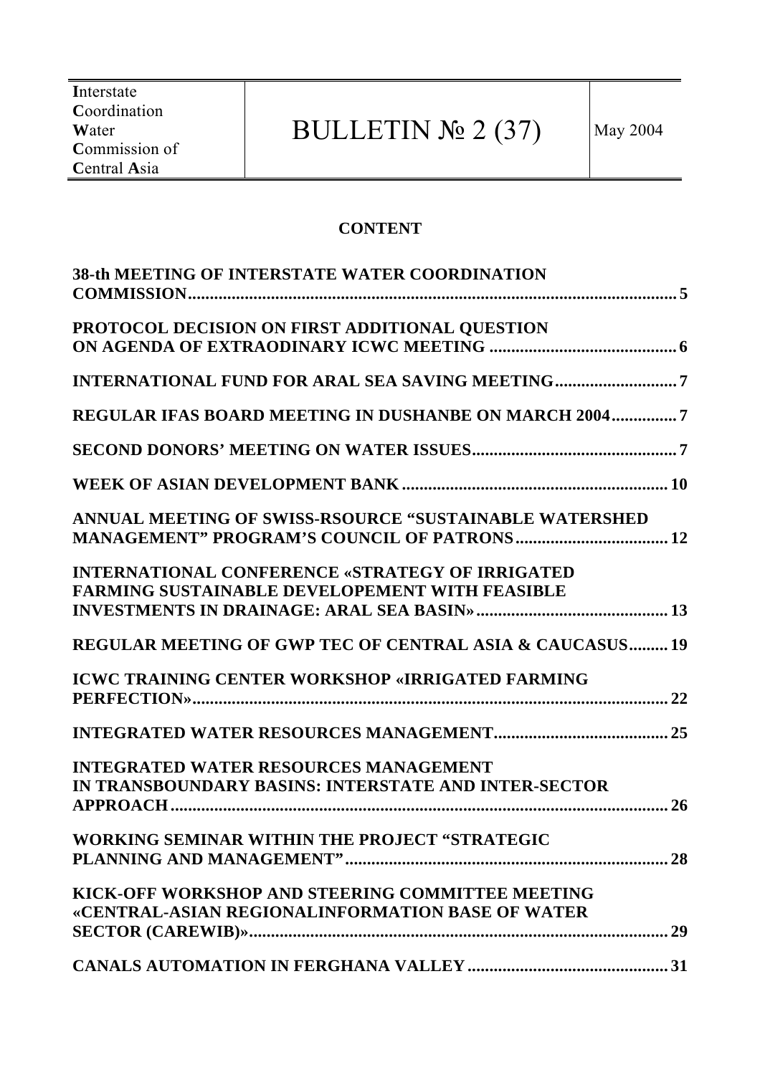# BULLETIN  $\mathbb{N}$ <sup>2</sup> (37) May 2004

#### **CONTENT**

| <b>38-th MEETING OF INTERSTATE WATER COORDINATION</b>                                                           |
|-----------------------------------------------------------------------------------------------------------------|
| PROTOCOL DECISION ON FIRST ADDITIONAL QUESTION                                                                  |
|                                                                                                                 |
| REGULAR IFAS BOARD MEETING IN DUSHANBE ON MARCH 20047                                                           |
|                                                                                                                 |
|                                                                                                                 |
| ANNUAL MEETING OF SWISS-RSOURCE "SUSTAINABLE WATERSHED                                                          |
| <b>INTERNATIONAL CONFERENCE «STRATEGY OF IRRIGATED</b><br><b>FARMING SUSTAINABLE DEVELOPEMENT WITH FEASIBLE</b> |
| <b>REGULAR MEETING OF GWP TEC OF CENTRAL ASIA &amp; CAUCASUS 19</b>                                             |
| <b>ICWC TRAINING CENTER WORKSHOP «IRRIGATED FARMING</b>                                                         |
|                                                                                                                 |
| <b>INTEGRATED WATER RESOURCES MANAGEMENT</b><br>IN TRANSBOUNDARY BASINS: INTERSTATE AND INTER-SECTOR            |
| WORKING SEMINAR WITHIN THE PROJECT "STRATEGIC                                                                   |
| KICK-OFF WORKSHOP AND STEERING COMMITTEE MEETING<br>«CENTRAL-ASIAN REGIONALINFORMATION BASE OF WATER            |
|                                                                                                                 |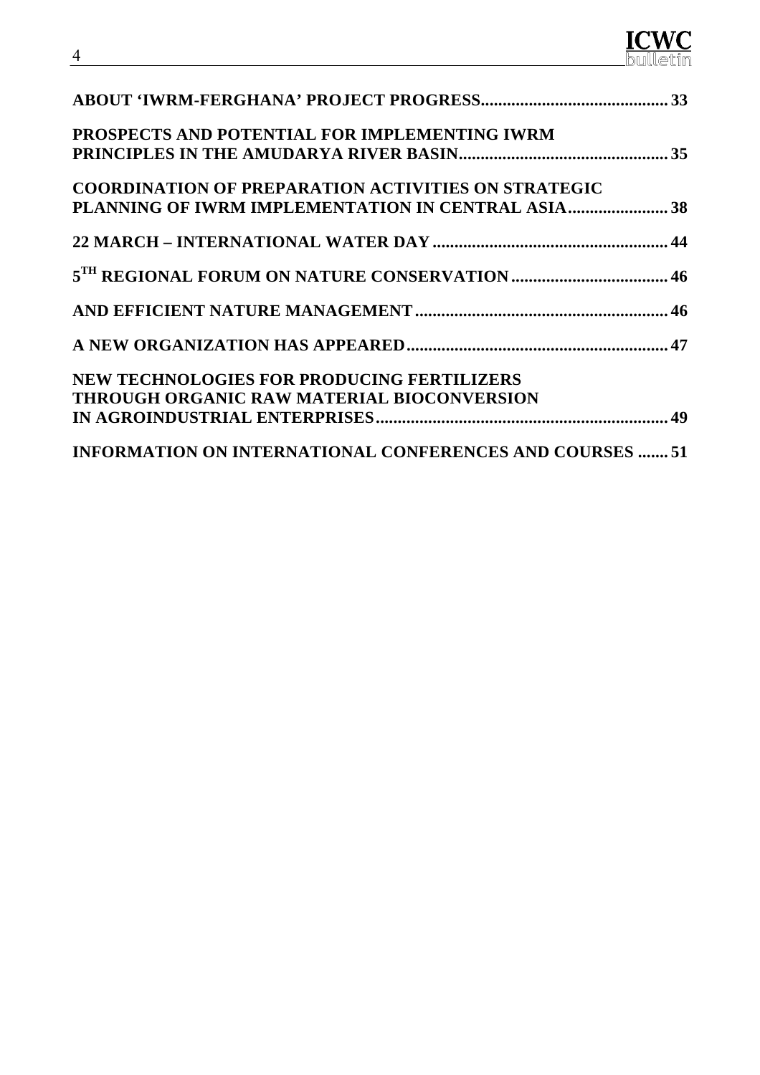| PROSPECTS AND POTENTIAL FOR IMPLEMENTING IWRM                   |  |
|-----------------------------------------------------------------|--|
|                                                                 |  |
| <b>COORDINATION OF PREPARATION ACTIVITIES ON STRATEGIC</b>      |  |
| PLANNING OF IWRM IMPLEMENTATION IN CENTRAL ASIA38               |  |
|                                                                 |  |
|                                                                 |  |
|                                                                 |  |
|                                                                 |  |
| <b>NEW TECHNOLOGIES FOR PRODUCING FERTILIZERS</b>               |  |
| THROUGH ORGANIC RAW MATERIAL BIOCONVERSION                      |  |
|                                                                 |  |
| <b>INFORMATION ON INTERNATIONAL CONFERENCES AND COURSES  51</b> |  |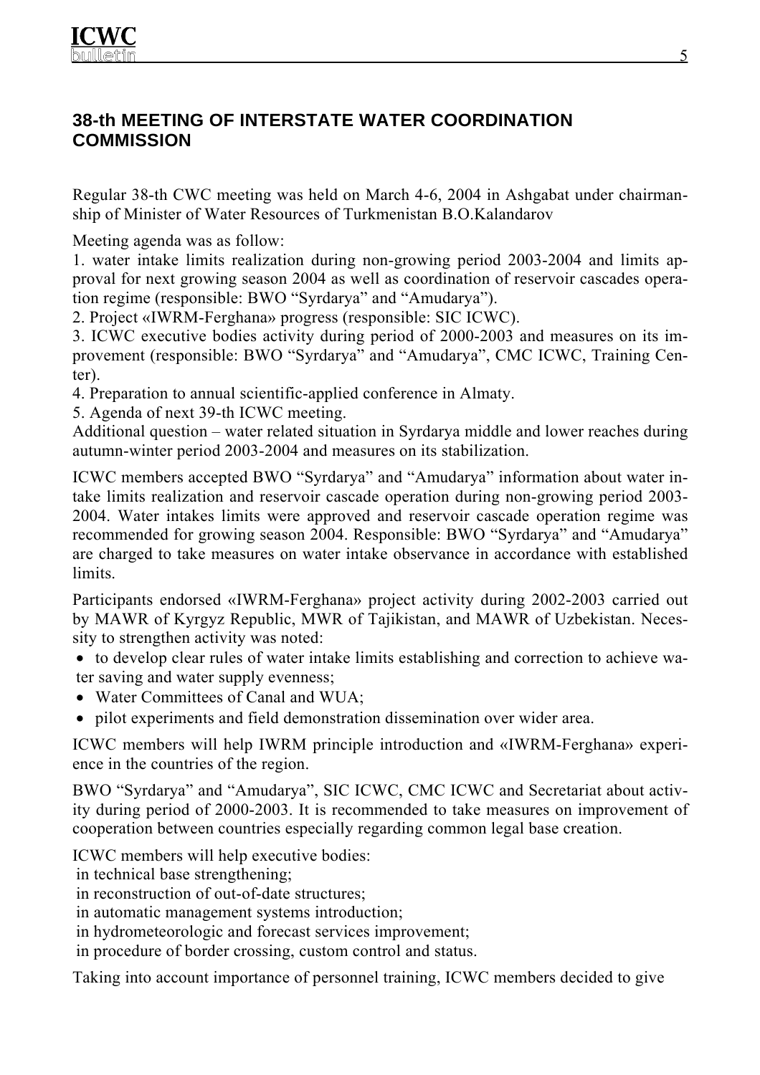## **38-th MEETING OF INTERSTATE WATER COORDINATION COMMISSION**

Regular 38-th CWC meeting was held on March 4-6, 2004 in Ashgabat under chairmanship of Minister of Water Resources of Turkmenistan B.O.Kalandarov

Meeting agenda was as follow:

1. water intake limits realization during non-growing period 2003-2004 and limits approval for next growing season 2004 as well as coordination of reservoir cascades operation regime (responsible: BWO "Syrdarya" and "Amudarya").

2. Project «IWRM-Ferghana» progress (responsible: SIC ICWC).

3. ICWC executive bodies activity during period of 2000-2003 and measures on its improvement (responsible: BWO "Syrdarya" and "Amudarya", CMC ICWC, Training Center).

4. Preparation to annual scientific-applied conference in Almaty.

5. Agenda of next 39-th ICWC meeting.

Additional question – water related situation in Syrdarya middle and lower reaches during autumn-winter period 2003-2004 and measures on its stabilization.

ICWC members accepted BWO "Syrdarya" and "Amudarya" information about water intake limits realization and reservoir cascade operation during non-growing period 2003- 2004. Water intakes limits were approved and reservoir cascade operation regime was recommended for growing season 2004. Responsible: BWO "Syrdarya" and "Amudarya" are charged to take measures on water intake observance in accordance with established limits.

Participants endorsed «IWRM-Ferghana» project activity during 2002-2003 carried out by MAWR of Kyrgyz Republic, MWR of Tajikistan, and MAWR of Uzbekistan. Necessity to strengthen activity was noted:

• to develop clear rules of water intake limits establishing and correction to achieve water saving and water supply evenness;

- Water Committees of Canal and WUA:
- pilot experiments and field demonstration dissemination over wider area.

ICWC members will help IWRM principle introduction and «IWRM-Ferghana» experience in the countries of the region.

BWO "Syrdarya" and "Amudarya", SIC ICWC, CMC ICWC and Secretariat about activity during period of 2000-2003. It is recommended to take measures on improvement of cooperation between countries especially regarding common legal base creation.

ICWC members will help executive bodies:

in technical base strengthening;

in reconstruction of out-of-date structures;

in automatic management systems introduction;

in hydrometeorologic and forecast services improvement;

in procedure of border crossing, custom control and status.

Taking into account importance of personnel training, ICWC members decided to give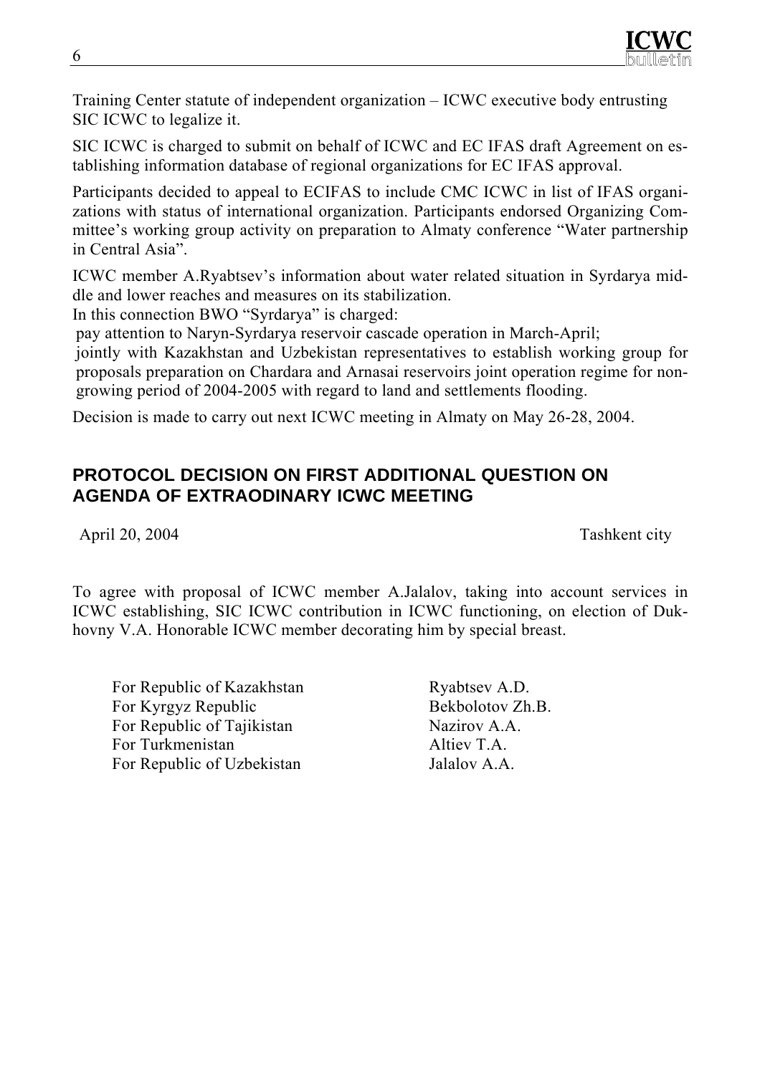Training Center statute of independent organization – ICWC executive body entrusting SIC ICWC to legalize it.

SIC ICWC is charged to submit on behalf of ICWC and EC IFAS draft Agreement on establishing information database of regional organizations for EC IFAS approval.

Participants decided to appeal to ECIFAS to include CMC ICWC in list of IFAS organizations with status of international organization. Participants endorsed Organizing Committee's working group activity on preparation to Almaty conference "Water partnership in Central Asia".

ICWC member A.Ryabtsev's information about water related situation in Syrdarya middle and lower reaches and measures on its stabilization.

In this connection BWO "Syrdarya" is charged:

pay attention to Naryn-Syrdarya reservoir cascade operation in March-April;

jointly with Kazakhstan and Uzbekistan representatives to establish working group for proposals preparation on Chardara and Arnasai reservoirs joint operation regime for nongrowing period of 2004-2005 with regard to land and settlements flooding.

Decision is made to carry out next ICWC meeting in Almaty on May 26-28, 2004.

## **PROTOCOL DECISION ON FIRST ADDITIONAL QUESTION ON AGENDA OF EXTRAODINARY ICWC MEETING**

April 20, 2004 Tashkent city

To agree with proposal of ICWC member A.Jalalov, taking into account services in ICWC establishing, SIC ICWC contribution in ICWC functioning, on election of Dukhovny V.A. Honorable ICWC member decorating him by special breast.

For Republic of Kazakhstan Ryabtsev A.D. For Kyrgyz Republic Bekbolotov Zh.B. For Republic of Tajikistan Nazirov A.A. For Turkmenistan Altiev T.A. For Republic of Uzbekistan Jalalov A.A.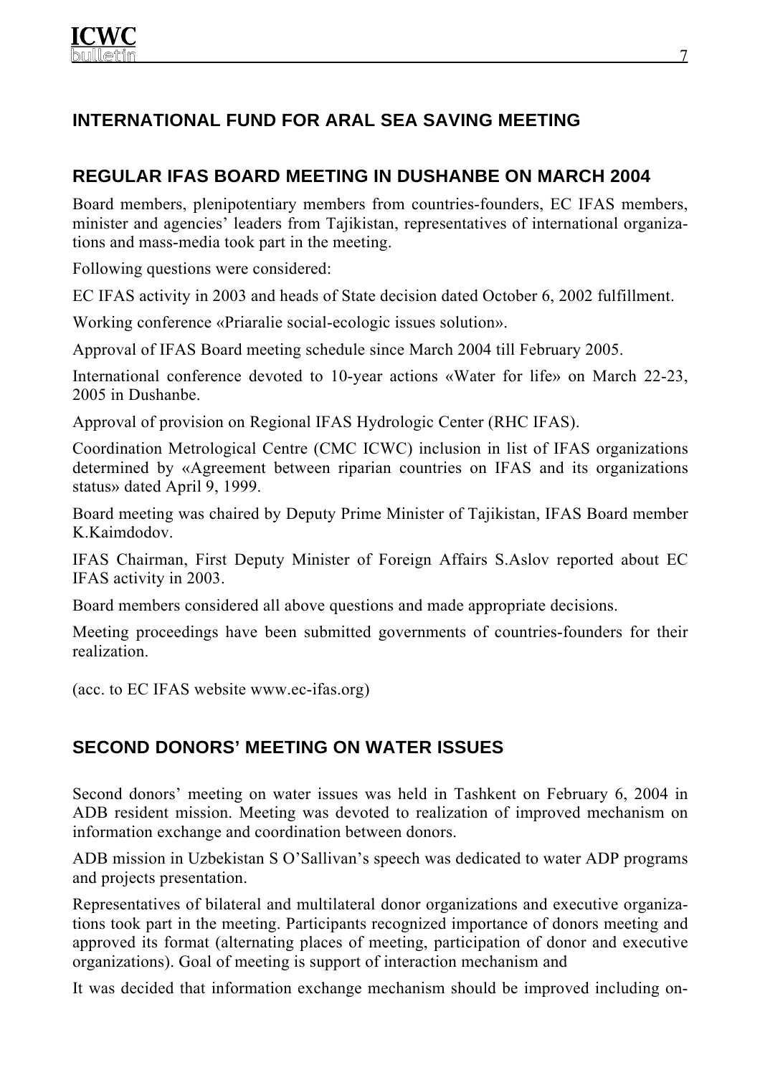# **INTERNATIONAL FUND FOR ARAL SEA SAVING MEETING**

# **REGULAR IFAS BOARD MEETING IN DUSHANBE ON MARCH 2004**

Board members, plenipotentiary members from countries-founders, EC IFAS members, minister and agencies' leaders from Tajikistan, representatives of international organizations and mass-media took part in the meeting.

Following questions were considered:

EC IFAS activity in 2003 and heads of State decision dated October 6, 2002 fulfillment.

Working conference «Priaralie social-ecologic issues solution».

Approval of IFAS Board meeting schedule since March 2004 till February 2005.

International conference devoted to 10-year actions «Water for life» on March 22-23, 2005 in Dushanbe.

Approval of provision on Regional IFAS Hydrologic Center (RHC IFAS).

Coordination Metrological Centre (CMC ICWC) inclusion in list of IFAS organizations determined by «Agreement between riparian countries on IFAS and its organizations status» dated April 9, 1999.

Board meeting was chaired by Deputy Prime Minister of Tajikistan, IFAS Board member K.Kaimdodov.

IFAS Chairman, First Deputy Minister of Foreign Affairs S.Aslov reported about EC IFAS activity in 2003.

Board members considered all above questions and made appropriate decisions.

Meeting proceedings have been submitted governments of countries-founders for their realization.

(acc. to EC IFAS website www.ec-ifas.org)

# **SECOND DONORS' MEETING ON WATER ISSUES**

Second donors' meeting on water issues was held in Tashkent on February 6, 2004 in ADB resident mission. Meeting was devoted to realization of improved mechanism on information exchange and coordination between donors.

ADB mission in Uzbekistan S O'Sallivan's speech was dedicated to water ADP programs and projects presentation.

Representatives of bilateral and multilateral donor organizations and executive organizations took part in the meeting. Participants recognized importance of donors meeting and approved its format (alternating places of meeting, participation of donor and executive organizations). Goal of meeting is support of interaction mechanism and

It was decided that information exchange mechanism should be improved including on-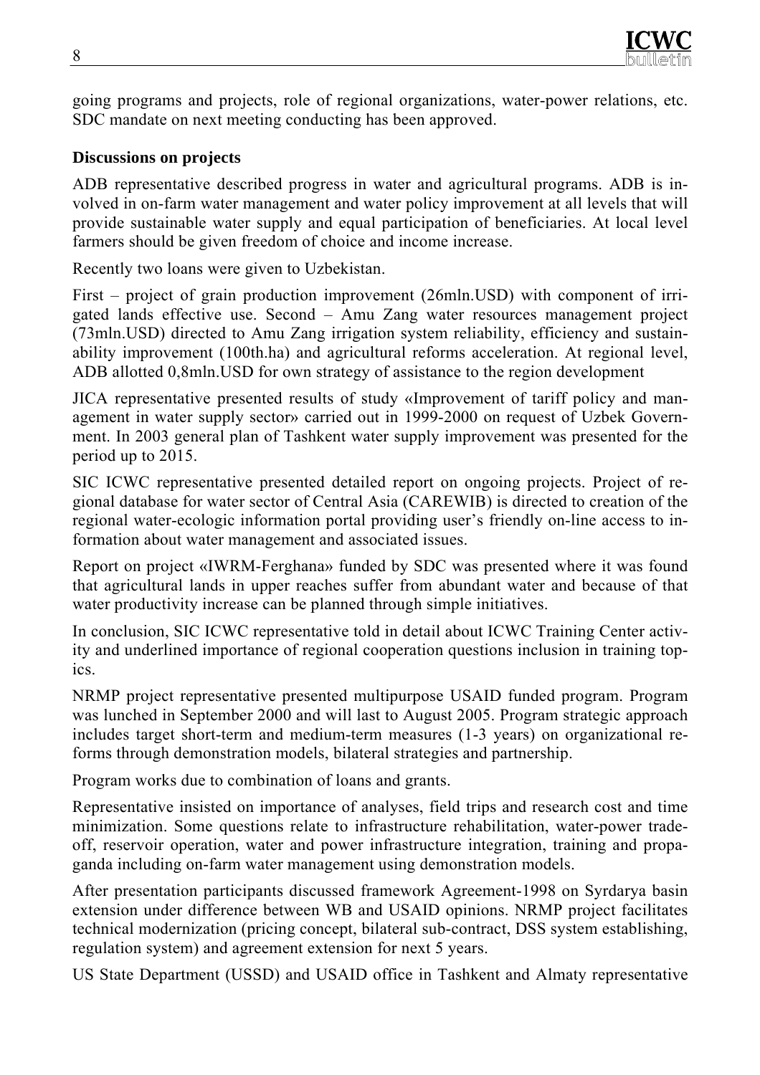going programs and projects, role of regional organizations, water-power relations, etc. SDC mandate on next meeting conducting has been approved.

#### **Discussions on projects**

ADB representative described progress in water and agricultural programs. ADB is involved in on-farm water management and water policy improvement at all levels that will provide sustainable water supply and equal participation of beneficiaries. At local level farmers should be given freedom of choice and income increase.

Recently two loans were given to Uzbekistan.

First – project of grain production improvement (26mln.USD) with component of irrigated lands effective use. Second – Amu Zang water resources management project (73mln.USD) directed to Amu Zang irrigation system reliability, efficiency and sustainability improvement (100th.ha) and agricultural reforms acceleration. At regional level, ADB allotted 0,8mln.USD for own strategy of assistance to the region development

JICA representative presented results of study «Improvement of tariff policy and management in water supply sector» carried out in 1999-2000 on request of Uzbek Government. In 2003 general plan of Tashkent water supply improvement was presented for the period up to 2015.

SIC ICWC representative presented detailed report on ongoing projects. Project of regional database for water sector of Central Asia (CAREWIB) is directed to creation of the regional water-ecologic information portal providing user's friendly on-line access to information about water management and associated issues.

Report on project «IWRM-Ferghana» funded by SDC was presented where it was found that agricultural lands in upper reaches suffer from abundant water and because of that water productivity increase can be planned through simple initiatives.

In conclusion, SIC ICWC representative told in detail about ICWC Training Center activity and underlined importance of regional cooperation questions inclusion in training topics.

NRMP project representative presented multipurpose USAID funded program. Program was lunched in September 2000 and will last to August 2005. Program strategic approach includes target short-term and medium-term measures (1-3 years) on organizational reforms through demonstration models, bilateral strategies and partnership.

Program works due to combination of loans and grants.

Representative insisted on importance of analyses, field trips and research cost and time minimization. Some questions relate to infrastructure rehabilitation, water-power tradeoff, reservoir operation, water and power infrastructure integration, training and propaganda including on-farm water management using demonstration models.

After presentation participants discussed framework Agreement-1998 on Syrdarya basin extension under difference between WB and USAID opinions. NRMP project facilitates technical modernization (pricing concept, bilateral sub-contract, DSS system establishing, regulation system) and agreement extension for next 5 years.

US State Department (USSD) and USAID office in Tashkent and Almaty representative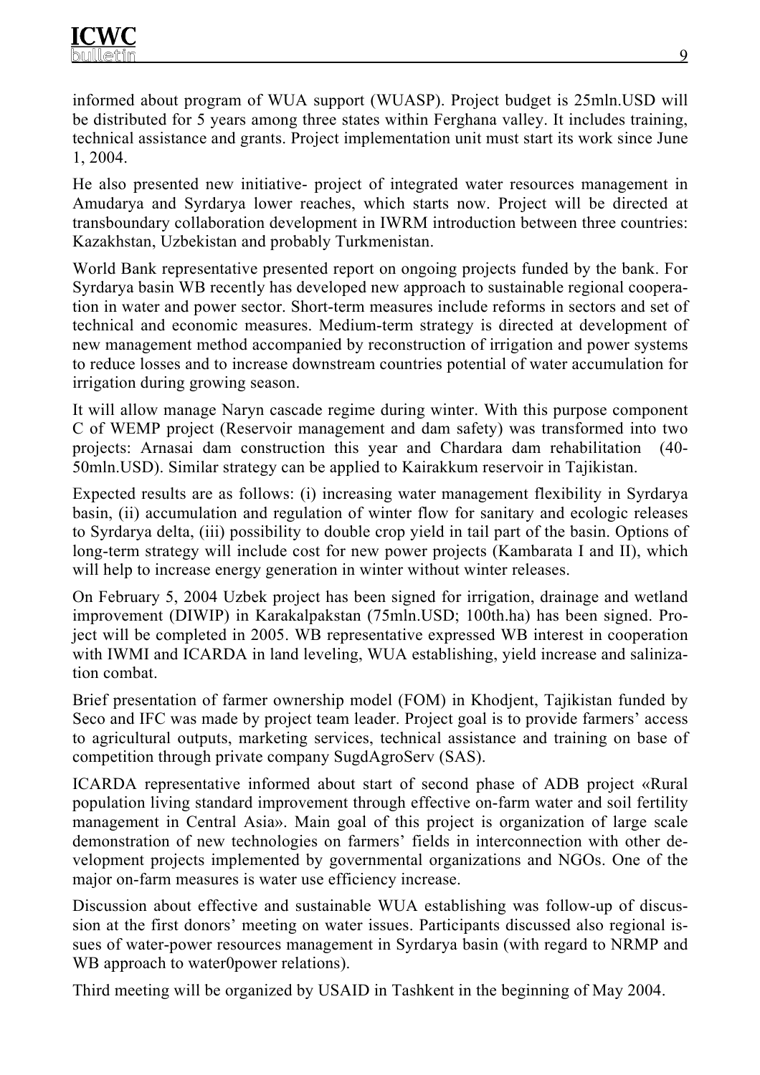informed about program of WUA support (WUASP). Project budget is 25mln.USD will be distributed for 5 years among three states within Ferghana valley. It includes training, technical assistance and grants. Project implementation unit must start its work since June 1, 2004.

He also presented new initiative- project of integrated water resources management in Amudarya and Syrdarya lower reaches, which starts now. Project will be directed at transboundary collaboration development in IWRM introduction between three countries: Kazakhstan, Uzbekistan and probably Turkmenistan.

World Bank representative presented report on ongoing projects funded by the bank. For Syrdarya basin WB recently has developed new approach to sustainable regional cooperation in water and power sector. Short-term measures include reforms in sectors and set of technical and economic measures. Medium-term strategy is directed at development of new management method accompanied by reconstruction of irrigation and power systems to reduce losses and to increase downstream countries potential of water accumulation for irrigation during growing season.

It will allow manage Naryn cascade regime during winter. With this purpose component C of WEMP project (Reservoir management and dam safety) was transformed into two projects: Arnasai dam construction this year and Chardara dam rehabilitation (40- 50mln.USD). Similar strategy can be applied to Kairakkum reservoir in Tajikistan.

Expected results are as follows: (i) increasing water management flexibility in Syrdarya basin, (ii) accumulation and regulation of winter flow for sanitary and ecologic releases to Syrdarya delta, (iii) possibility to double crop yield in tail part of the basin. Options of long-term strategy will include cost for new power projects (Kambarata I and II), which will help to increase energy generation in winter without winter releases.

On February 5, 2004 Uzbek project has been signed for irrigation, drainage and wetland improvement (DIWIP) in Karakalpakstan (75mln.USD; 100th.ha) has been signed. Project will be completed in 2005. WB representative expressed WB interest in cooperation with IWMI and ICARDA in land leveling, WUA establishing, yield increase and salinization combat.

Brief presentation of farmer ownership model (FOM) in Khodjent, Tajikistan funded by Seco and IFC was made by project team leader. Project goal is to provide farmers' access to agricultural outputs, marketing services, technical assistance and training on base of competition through private company SugdAgroServ (SAS).

ICARDA representative informed about start of second phase of ADB project «Rural population living standard improvement through effective on-farm water and soil fertility management in Central Asia». Main goal of this project is organization of large scale demonstration of new technologies on farmers' fields in interconnection with other development projects implemented by governmental organizations and NGOs. One of the major on-farm measures is water use efficiency increase.

Discussion about effective and sustainable WUA establishing was follow-up of discussion at the first donors' meeting on water issues. Participants discussed also regional issues of water-power resources management in Syrdarya basin (with regard to NRMP and WB approach to water0power relations).

Third meeting will be organized by USAID in Tashkent in the beginning of May 2004.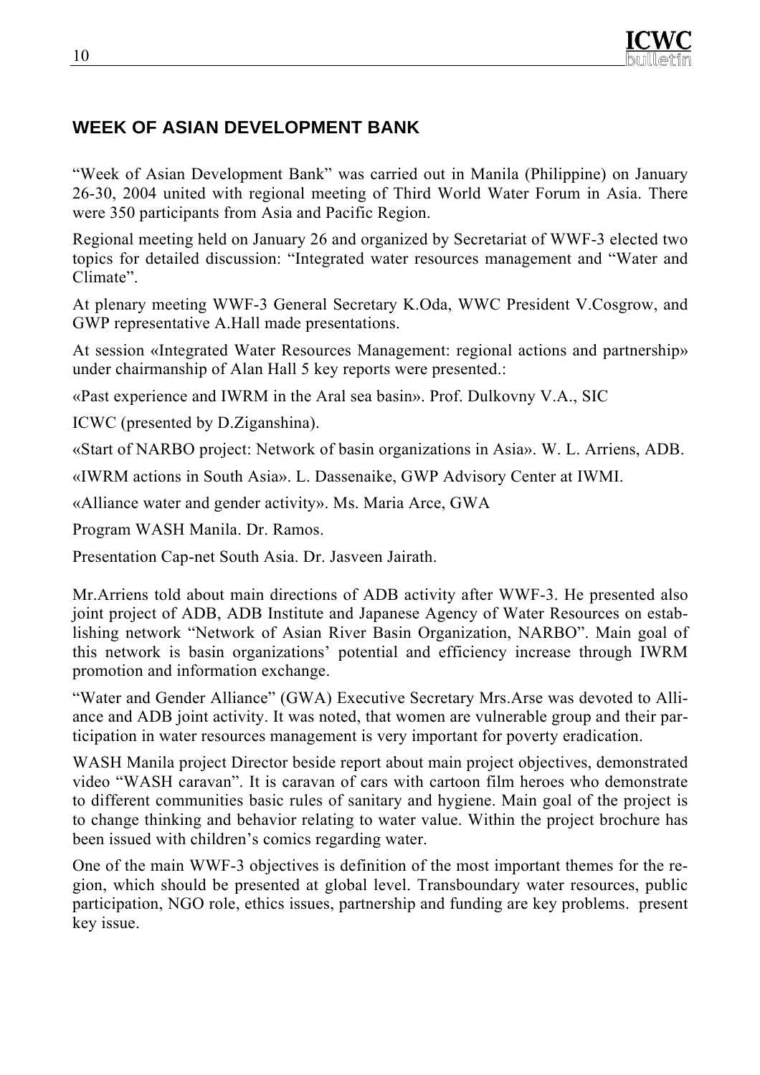

# **WEEK OF ASIAN DEVELOPMENT BANK**

"Week of Asian Development Bank" was carried out in Manila (Philippine) on January 26-30, 2004 united with regional meeting of Third World Water Forum in Asia. There were 350 participants from Asia and Pacific Region.

Regional meeting held on January 26 and organized by Secretariat of WWF-3 elected two topics for detailed discussion: "Integrated water resources management and "Water and Climate".

At plenary meeting WWF-3 General Secretary K.Oda, WWC President V.Cosgrow, and GWP representative A.Hall made presentations.

At session «Integrated Water Resources Management: regional actions and partnership» under chairmanship of Alan Hall 5 key reports were presented.:

«Past experience and IWRM in the Aral sea basin». Prof. Dulkovny V.A., SIC

ICWC (presented by D.Ziganshina).

«Start of NARBO project: Network of basin organizations in Asia». W. L. Arriens, ADB.

«IWRM actions in South Asia». L. Dassenaike, GWP Advisory Center at IWMI.

«Alliance water and gender activity». Ms. Maria Arce, GWA

Program WASH Manila. Dr. Ramos.

Presentation Cap-net South Asia. Dr. Jasveen Jairath.

Mr.Arriens told about main directions of ADB activity after WWF-3. He presented also joint project of ADB, ADB Institute and Japanese Agency of Water Resources on establishing network "Network of Asian River Basin Organization, NARBO". Main goal of this network is basin organizations' potential and efficiency increase through IWRM promotion and information exchange.

"Water and Gender Alliance" (GWA) Executive Secretary Mrs.Arse was devoted to Alliance and ADB joint activity. It was noted, that women are vulnerable group and their participation in water resources management is very important for poverty eradication.

WASH Manila project Director beside report about main project objectives, demonstrated video "WASH caravan". It is caravan of cars with cartoon film heroes who demonstrate to different communities basic rules of sanitary and hygiene. Main goal of the project is to change thinking and behavior relating to water value. Within the project brochure has been issued with children's comics regarding water.

One of the main WWF-3 objectives is definition of the most important themes for the region, which should be presented at global level. Transboundary water resources, public participation, NGO role, ethics issues, partnership and funding are key problems. present key issue.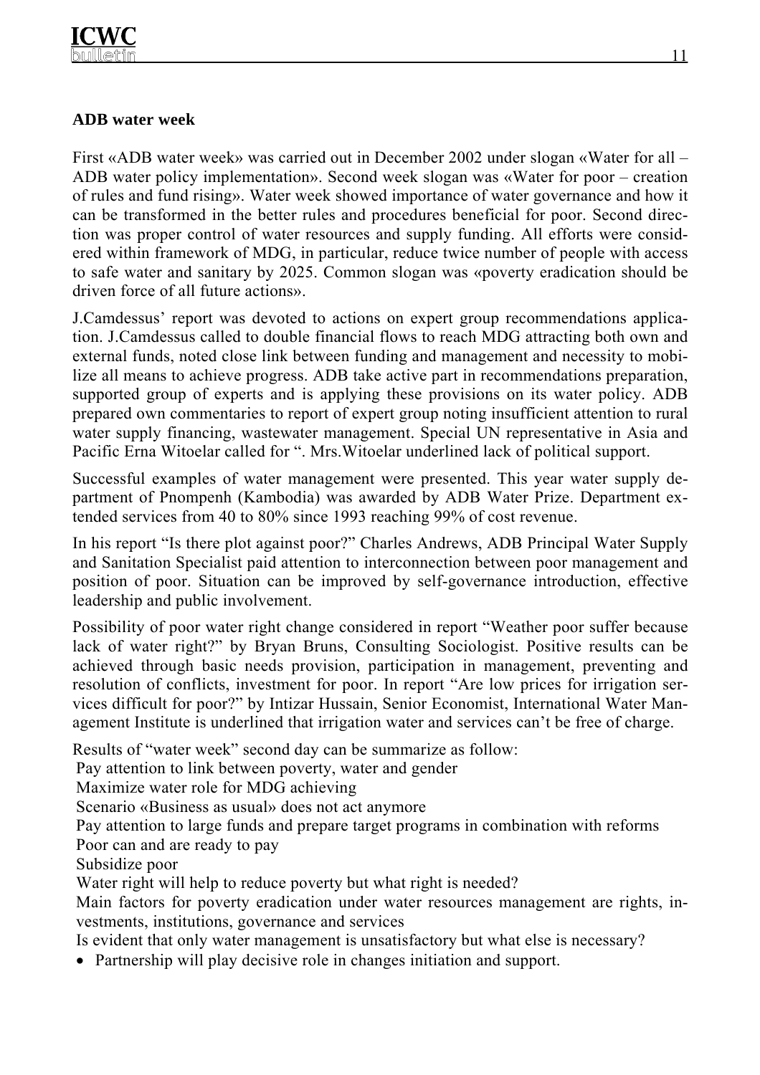#### **ADB water week**

First «ADB water week» was carried out in December 2002 under slogan «Water for all – ADB water policy implementation». Second week slogan was «Water for poor – creation of rules and fund rising». Water week showed importance of water governance and how it can be transformed in the better rules and procedures beneficial for poor. Second direction was proper control of water resources and supply funding. All efforts were considered within framework of MDG, in particular, reduce twice number of people with access to safe water and sanitary by 2025. Common slogan was «poverty eradication should be driven force of all future actions».

J.Camdessus' report was devoted to actions on expert group recommendations application. J.Camdessus called to double financial flows to reach MDG attracting both own and external funds, noted close link between funding and management and necessity to mobilize all means to achieve progress. ADB take active part in recommendations preparation, supported group of experts and is applying these provisions on its water policy. ADB prepared own commentaries to report of expert group noting insufficient attention to rural water supply financing, wastewater management. Special UN representative in Asia and Pacific Erna Witoelar called for ". Mrs.Witoelar underlined lack of political support.

Successful examples of water management were presented. This year water supply department of Pnompenh (Kambodia) was awarded by ADB Water Prize. Department extended services from 40 to 80% since 1993 reaching 99% of cost revenue.

In his report "Is there plot against poor?" Charles Andrews, ADB Principal Water Supply and Sanitation Specialist paid attention to interconnection between poor management and position of poor. Situation can be improved by self-governance introduction, effective leadership and public involvement.

Possibility of poor water right change considered in report "Weather poor suffer because lack of water right?" by Bryan Bruns, Consulting Sociologist. Positive results can be achieved through basic needs provision, participation in management, preventing and resolution of conflicts, investment for poor. In report "Are low prices for irrigation services difficult for poor?" by Intizar Hussain, Senior Economist, International Water Management Institute is underlined that irrigation water and services can't be free of charge.

Results of "water week" second day can be summarize as follow:

Pay attention to link between poverty, water and gender

Maximize water role for MDG achieving

Scenario «Business as usual» does not act anymore

Pay attention to large funds and prepare target programs in combination with reforms Poor can and are ready to pay

Subsidize poor

Water right will help to reduce poverty but what right is needed?

Main factors for poverty eradication under water resources management are rights, investments, institutions, governance and services

Is evident that only water management is unsatisfactory but what else is necessary?

• Partnership will play decisive role in changes initiation and support.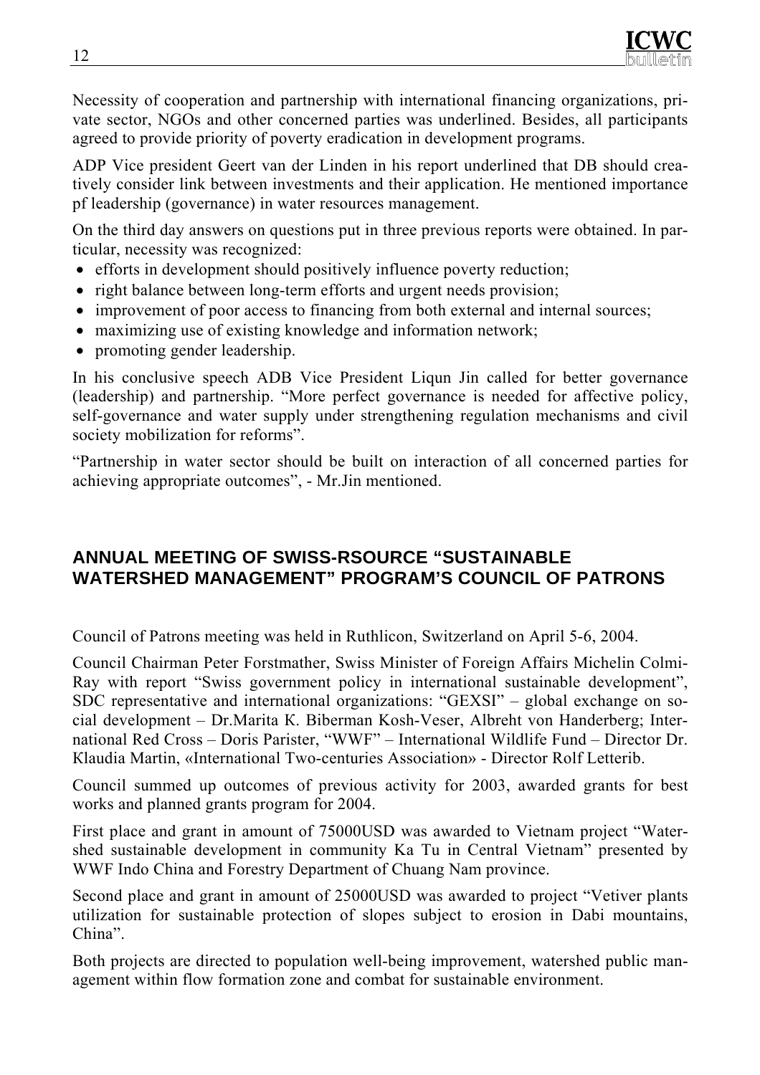

Necessity of cooperation and partnership with international financing organizations, private sector, NGOs and other concerned parties was underlined. Besides, all participants agreed to provide priority of poverty eradication in development programs.

ADP Vice president Geert van der Linden in his report underlined that DB should creatively consider link between investments and their application. He mentioned importance pf leadership (governance) in water resources management.

On the third day answers on questions put in three previous reports were obtained. In particular, necessity was recognized:

- efforts in development should positively influence poverty reduction;
- right balance between long-term efforts and urgent needs provision;
- improvement of poor access to financing from both external and internal sources;
- maximizing use of existing knowledge and information network;
- promoting gender leadership.

In his conclusive speech ADB Vice President Liqun Jin called for better governance (leadership) and partnership. "More perfect governance is needed for affective policy, self-governance and water supply under strengthening regulation mechanisms and civil society mobilization for reforms".

"Partnership in water sector should be built on interaction of all concerned parties for achieving appropriate outcomes", - Mr.Jin mentioned.

## **ANNUAL MEETING OF SWISS-RSOURCE "SUSTAINABLE WATERSHED MANAGEMENT" PROGRAM'S COUNCIL OF PATRONS**

Council of Patrons meeting was held in Ruthlicon, Switzerland on April 5-6, 2004.

Council Chairman Peter Forstmather, Swiss Minister of Foreign Affairs Michelin Colmi-Ray with report "Swiss government policy in international sustainable development", SDC representative and international organizations: "GEXSI" – global exchange on social development – Dr.Marita К. Biberman Kosh-Veser, Albreht von Handerberg; International Red Cross – Doris Parister, "WWF" – International Wildlife Fund – Director Dr. Кlaudia Martin, «International Two-centuries Association» - Director Rolf Letterib.

Council summed up outcomes of previous activity for 2003, awarded grants for best works and planned grants program for 2004.

First place and grant in amount of 75000USD was awarded to Vietnam project "Watershed sustainable development in community Ka Tu in Central Vietnam" presented by WWF Indo China and Forestry Department of Chuang Nam province.

Second place and grant in amount of 25000USD was awarded to project "Vetiver plants utilization for sustainable protection of slopes subject to erosion in Dabi mountains, China".

Both projects are directed to population well-being improvement, watershed public management within flow formation zone and combat for sustainable environment.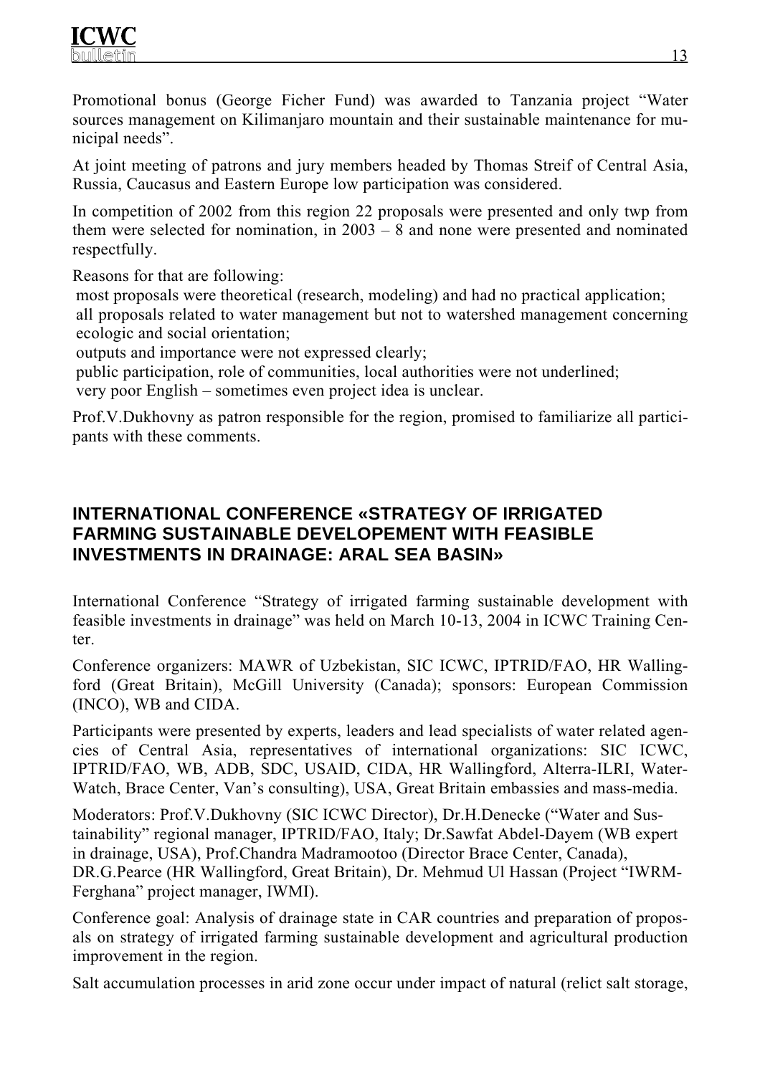Promotional bonus (George Ficher Fund) was awarded to Tanzania project "Water sources management on Kilimanjaro mountain and their sustainable maintenance for municipal needs".

At joint meeting of patrons and jury members headed by Thomas Streif of Central Asia, Russia, Caucasus and Eastern Europe low participation was considered.

In competition of 2002 from this region 22 proposals were presented and only twp from them were selected for nomination, in 2003 – 8 and none were presented and nominated respectfully.

Reasons for that are following:

most proposals were theoretical (research, modeling) and had no practical application;

all proposals related to water management but not to watershed management concerning ecologic and social orientation;

outputs and importance were not expressed clearly;

public participation, role of communities, local authorities were not underlined;

very poor English – sometimes even project idea is unclear.

Prof.V.Dukhovny as patron responsible for the region, promised to familiarize all participants with these comments.

# **INTERNATIONAL CONFERENCE «STRATEGY OF IRRIGATED FARMING SUSTAINABLE DEVELOPEMENT WITH FEASIBLE INVESTMENTS IN DRAINAGE: ARAL SEA BASIN»**

International Conference "Strategy of irrigated farming sustainable development with feasible investments in drainage" was held on March 10-13, 2004 in ICWC Training Center.

Conference organizers: MAWR of Uzbekistan, SIC ICWC, IPTRID/FAO, HR Wallingford (Great Britain), McGill University (Canada); sponsors: European Commission (INCO), WB and CIDA.

Participants were presented by experts, leaders and lead specialists of water related agencies of Central Asia, representatives of international organizations: SIC ICWC, IPTRID/FAO, WB, ADB, SDC, USAID, CIDA, HR Wallingford, Alterra-ILRI, Water-Watch, Brace Center, Van's consulting), USA, Great Britain embassies and mass-media.

Moderators: Prof.V.Dukhovny (SIC ICWC Director), Dr.H.Denecke ("Water and Sustainability" regional manager, IPTRID/FAO, Italy; Dr.Sawfat Abdel-Dayem (WB expert in drainage, USA), Prof.Chandra Madramootoo (Director Brace Center, Canada), DR.G.Pearce (HR Wallingford, Great Britain), Dr. Mehmud Ul Hassan (Project "IWRM-Ferghana" project manager, IWMI).

Conference goal: Analysis of drainage state in CAR countries and preparation of proposals on strategy of irrigated farming sustainable development and agricultural production improvement in the region.

Salt accumulation processes in arid zone occur under impact of natural (relict salt storage,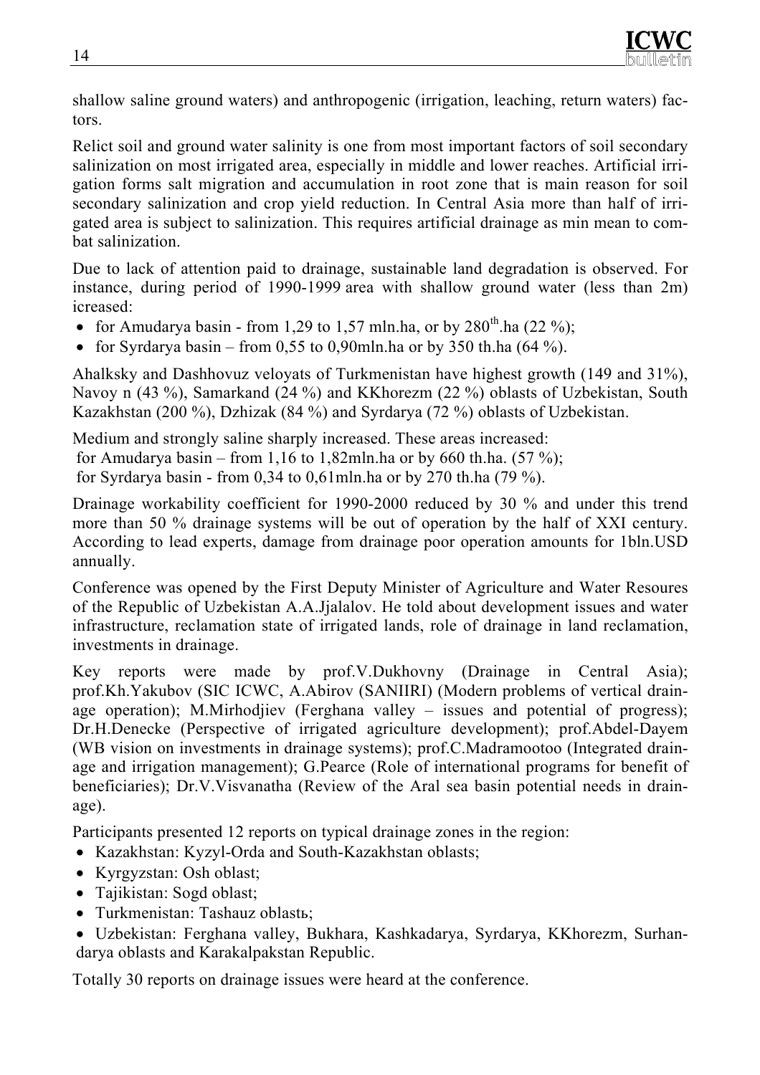shallow saline ground waters) and anthropogenic (irrigation, leaching, return waters) factors.

Relict soil and ground water salinity is one from most important factors of soil secondary salinization on most irrigated area, especially in middle and lower reaches. Artificial irrigation forms salt migration and accumulation in root zone that is main reason for soil secondary salinization and crop yield reduction. In Central Asia more than half of irrigated area is subject to salinization. This requires artificial drainage as min mean to combat salinization.

Due to lack of attention paid to drainage, sustainable land degradation is observed. For instance, during period of 1990-1999 area with shallow ground water (less than 2m) icreased:

- for Amudarya basin from 1,29 to 1,57 mln.ha, or by  $280^{th}$ .ha (22 %);
- for Syrdarya basin from 0.55 to 0.90mln.ha or by 350 th.ha  $(64\%)$ .

Ahalksky and Dashhovuz veloyats of Turkmenistan have highest growth (149 and 31%), Navoy n (43 %), Samarkand (24 %) and KKhorezm (22 %) oblasts of Uzbekistan, South Kazakhstan (200 %), Dzhizak (84 %) and Syrdarya (72 %) oblasts of Uzbekistan.

Medium and strongly saline sharply increased. These areas increased: for Amudarya basin – from 1,16 to 1,82mln.ha or by 660 th.ha.  $(57 \%)$ ; for Syrdarya basin - from 0,34 to 0,61mln.ha or by 270 th.ha (79 %).

Drainage workability coefficient for 1990-2000 reduced by 30 % and under this trend more than 50 % drainage systems will be out of operation by the half of XXI century. According to lead experts, damage from drainage poor operation amounts for 1bln.USD annually.

Conference was opened by the First Deputy Minister of Agriculture and Water Resoures of the Republic of Uzbekistan A.A.Jjalalov. He told about development issues and water infrastructure, reclamation state of irrigated lands, role of drainage in land reclamation, investments in drainage.

Key reports were made by prof.V.Dukhovny (Drainage in Central Asia); prof.Kh.Yakubov (SIC ICWC, A.Abirov (SANIIRI) (Modern problems of vertical drainage operation); M.Mirhodjiev (Ferghana valley  $-$  issues and potential of progress); Dr.H.Denecke (Perspective of irrigated agriculture development); prof.Abdel-Dayem (WB vision on investments in drainage systems); prof.C.Madramootoo (Integrated drainage and irrigation management); G.Pearce (Role of international programs for benefit of beneficiaries); Dr.V.Visvanatha (Review of the Aral sea basin potential needs in drainage).

Participants presented 12 reports on typical drainage zones in the region:

- Kazakhstan: Kyzyl-Orda and South-Kazakhstan oblasts;
- Kyrgyzstan: Osh oblast;
- Tajikistan: Sogd oblast;
- Turkmenistan: Tashauz oblastь;
- Uzbekistan: Ferghana valley, Bukhara, Kashkadarya, Syrdarya, KKhorezm, Surhandarya oblasts and Karakalpakstan Republic.

Totally 30 reports on drainage issues were heard at the conference.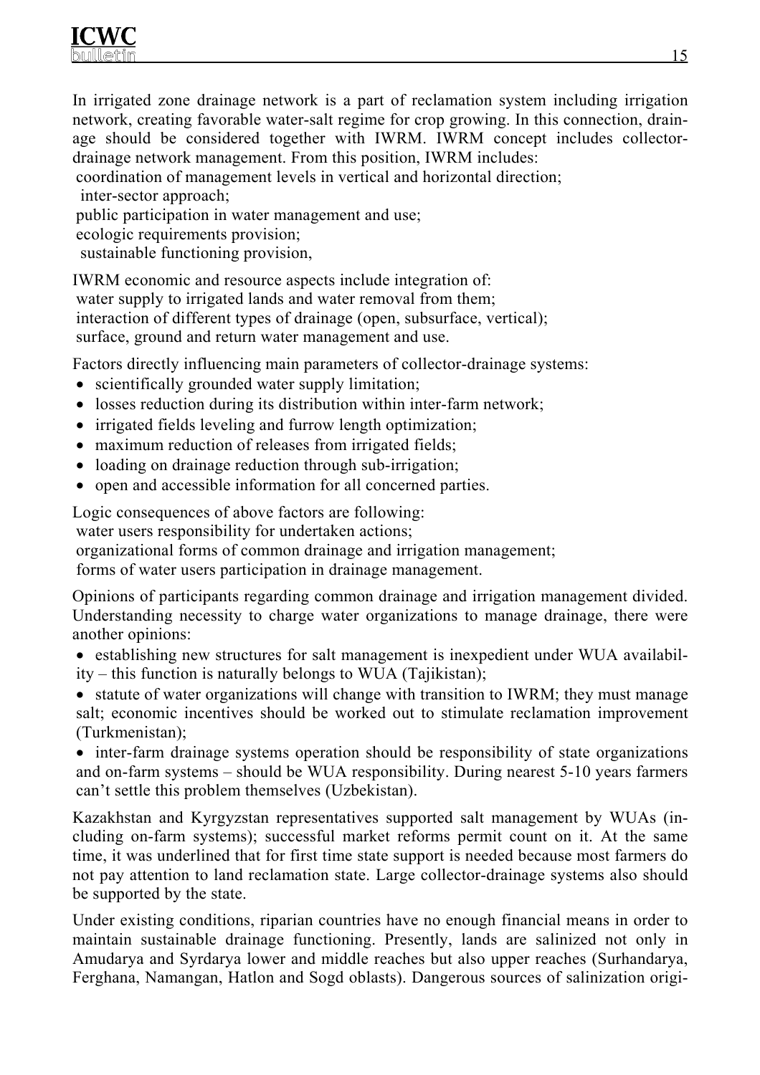In irrigated zone drainage network is a part of reclamation system including irrigation network, creating favorable water-salt regime for crop growing. In this connection, drainage should be considered together with IWRM. IWRM concept includes collectordrainage network management. From this position, IWRM includes:

coordination of management levels in vertical and horizontal direction; inter-sector approach;

public participation in water management and use; ecologic requirements provision;

sustainable functioning provision,

IWRM economic and resource aspects include integration of: water supply to irrigated lands and water removal from them; interaction of different types of drainage (open, subsurface, vertical); surface, ground and return water management and use.

Factors directly influencing main parameters of collector-drainage systems:

- scientifically grounded water supply limitation;
- losses reduction during its distribution within inter-farm network;
- irrigated fields leveling and furrow length optimization;
- maximum reduction of releases from irrigated fields;
- loading on drainage reduction through sub-irrigation;
- open and accessible information for all concerned parties.

Logic consequences of above factors are following:

water users responsibility for undertaken actions;

organizational forms of common drainage and irrigation management;

forms of water users participation in drainage management.

Opinions of participants regarding common drainage and irrigation management divided. Understanding necessity to charge water organizations to manage drainage, there were another opinions:

• establishing new structures for salt management is inexpedient under WUA availability – this function is naturally belongs to WUA (Tajikistan);

• statute of water organizations will change with transition to IWRM; they must manage salt; economic incentives should be worked out to stimulate reclamation improvement (Turkmenistan);

• inter-farm drainage systems operation should be responsibility of state organizations and on-farm systems – should be WUA responsibility. During nearest 5-10 years farmers can't settle this problem themselves (Uzbekistan).

Kazakhstan and Kyrgyzstan representatives supported salt management by WUAs (including on-farm systems); successful market reforms permit count on it. At the same time, it was underlined that for first time state support is needed because most farmers do not pay attention to land reclamation state. Large collector-drainage systems also should be supported by the state.

Under existing conditions, riparian countries have no enough financial means in order to maintain sustainable drainage functioning. Presently, lands are salinized not only in Amudarya and Syrdarya lower and middle reaches but also upper reaches (Surhandarya, Ferghana, Namangan, Hatlon and Sogd oblasts). Dangerous sources of salinization origi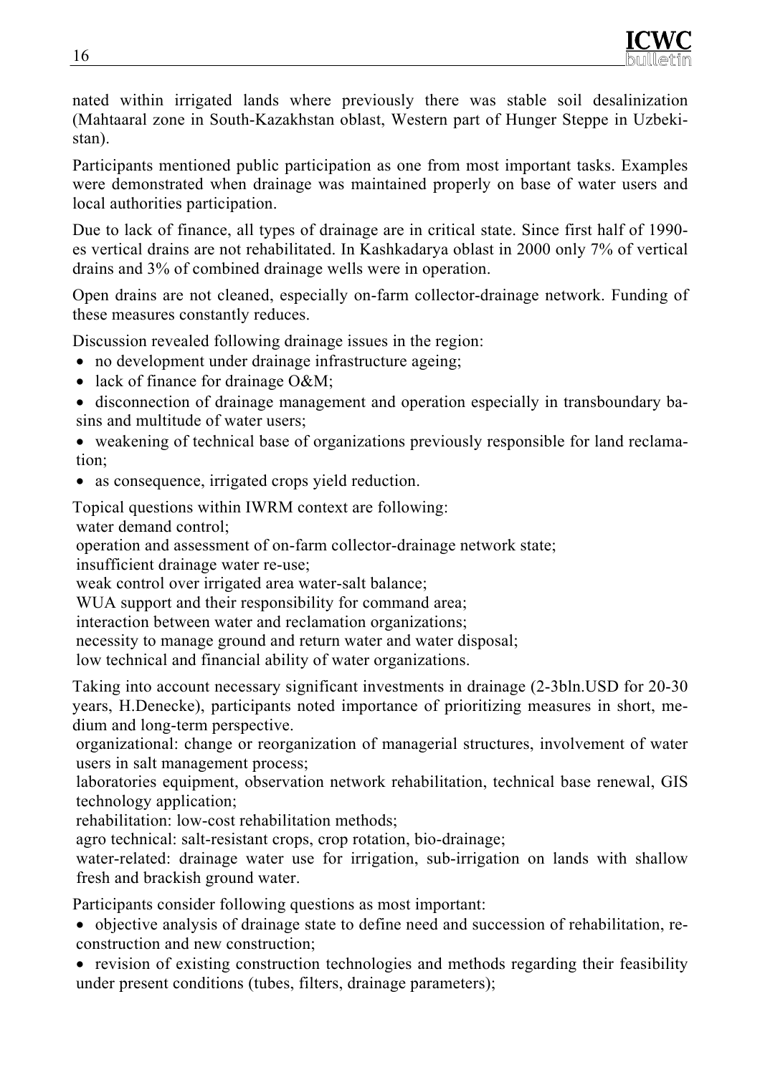nated within irrigated lands where previously there was stable soil desalinization (Mahtaaral zone in South-Kazakhstan oblast, Western part of Hunger Steppe in Uzbekistan).

Participants mentioned public participation as one from most important tasks. Examples were demonstrated when drainage was maintained properly on base of water users and local authorities participation.

Due to lack of finance, all types of drainage are in critical state. Since first half of 1990 es vertical drains are not rehabilitated. In Kashkadarya oblast in 2000 only 7% of vertical drains and 3% of combined drainage wells were in operation.

Open drains are not cleaned, especially on-farm collector-drainage network. Funding of these measures constantly reduces.

Discussion revealed following drainage issues in the region:

- no development under drainage infrastructure ageing;
- lack of finance for drainage O&M;
- disconnection of drainage management and operation especially in transboundary basins and multitude of water users;

• weakening of technical base of organizations previously responsible for land reclamation;

• as consequence, irrigated crops yield reduction.

Topical questions within IWRM context are following: water demand control;

operation and assessment of on-farm collector-drainage network state;

insufficient drainage water re-use;

weak control over irrigated area water-salt balance;

WUA support and their responsibility for command area;

interaction between water and reclamation organizations;

necessity to manage ground and return water and water disposal;

low technical and financial ability of water organizations.

Taking into account necessary significant investments in drainage (2-3bln.USD for 20-30 years, H.Denecke), participants noted importance of prioritizing measures in short, medium and long-term perspective.

organizational: change or reorganization of managerial structures, involvement of water users in salt management process;

laboratories equipment, observation network rehabilitation, technical base renewal, GIS technology application;

rehabilitation: low-cost rehabilitation methods;

agro technical: salt-resistant crops, crop rotation, bio-drainage;

water-related: drainage water use for irrigation, sub-irrigation on lands with shallow fresh and brackish ground water.

Participants consider following questions as most important:

- objective analysis of drainage state to define need and succession of rehabilitation, reconstruction and new construction;
- revision of existing construction technologies and methods regarding their feasibility under present conditions (tubes, filters, drainage parameters);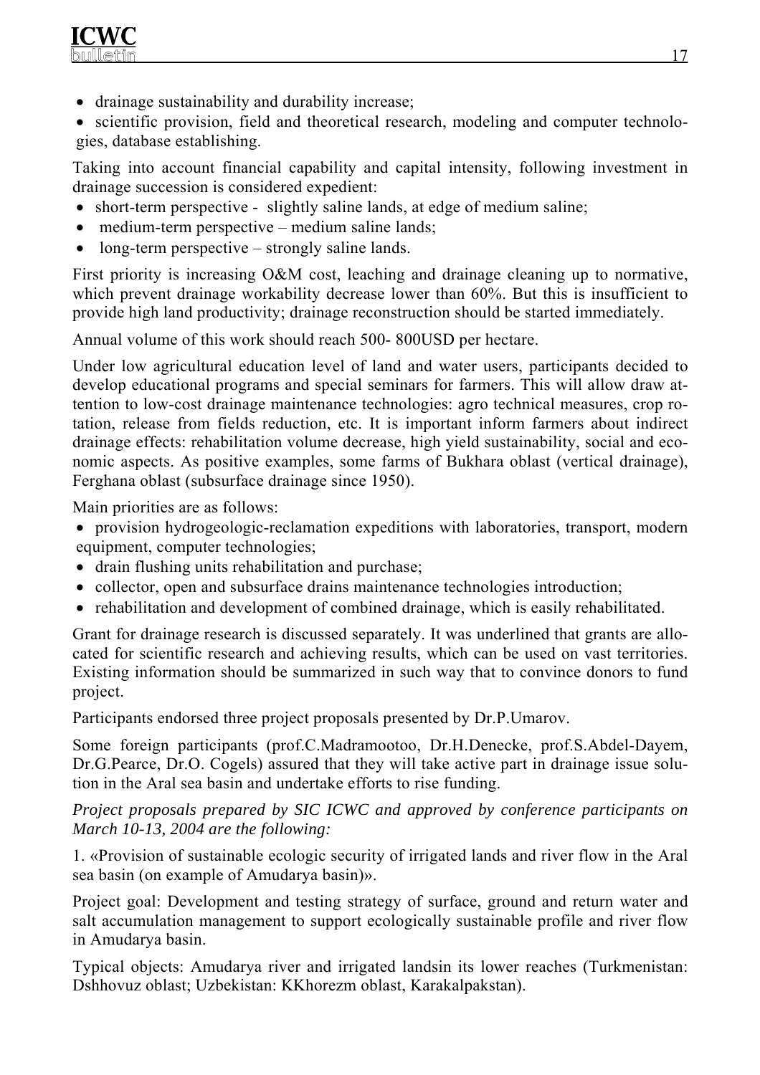• drainage sustainability and durability increase;

• scientific provision, field and theoretical research, modeling and computer technologies, database establishing.

Taking into account financial capability and capital intensity, following investment in drainage succession is considered expedient:

- short-term perspective slightly saline lands, at edge of medium saline;
- medium-term perspective medium saline lands;
- long-term perspective strongly saline lands.

First priority is increasing O&M cost, leaching and drainage cleaning up to normative, which prevent drainage workability decrease lower than 60%. But this is insufficient to provide high land productivity; drainage reconstruction should be started immediately.

Annual volume of this work should reach 500- 800USD per hectare.

Under low agricultural education level of land and water users, participants decided to develop educational programs and special seminars for farmers. This will allow draw attention to low-cost drainage maintenance technologies: agro technical measures, crop rotation, release from fields reduction, etc. It is important inform farmers about indirect drainage effects: rehabilitation volume decrease, high yield sustainability, social and economic aspects. As positive examples, some farms of Bukhara oblast (vertical drainage), Ferghana oblast (subsurface drainage since 1950).

Main priorities are as follows:

- provision hydrogeologic-reclamation expeditions with laboratories, transport, modern equipment, computer technologies;
- drain flushing units rehabilitation and purchase;
- collector, open and subsurface drains maintenance technologies introduction;
- rehabilitation and development of combined drainage, which is easily rehabilitated.

Grant for drainage research is discussed separately. It was underlined that grants are allocated for scientific research and achieving results, which can be used on vast territories. Existing information should be summarized in such way that to convince donors to fund project.

Participants endorsed three project proposals presented by Dr.P.Umarov.

Some foreign participants (prof.C.Madramootoo, Dr.H.Denecke, prof.S.Abdel-Dayem, Dr.G.Pearce, Dr.O. Cogels) assured that they will take active part in drainage issue solution in the Aral sea basin and undertake efforts to rise funding.

*Project proposals prepared by SIC ICWC and approved by conference participants on March 10-13, 2004 are the following:* 

1. «Provision of sustainable ecologic security of irrigated lands and river flow in the Aral sea basin (on example of Amudarya basin)».

Project goal: Development and testing strategy of surface, ground and return water and salt accumulation management to support ecologically sustainable profile and river flow in Amudarya basin.

Typical objects: Amudarya river and irrigated landsin its lower reaches (Turkmenistan: Dshhovuz oblast; Uzbekistan: KKhorezm oblast, Karakalpakstan).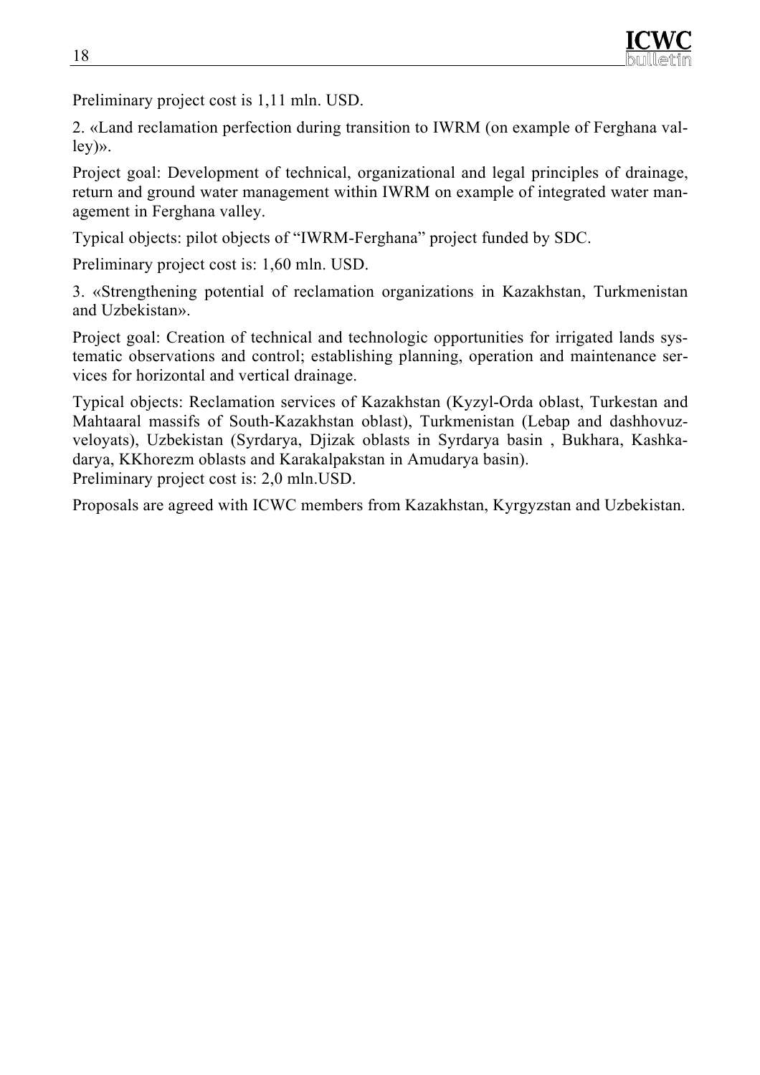Preliminary project cost is 1,11 mln. USD.

2. «Land reclamation perfection during transition to IWRM (on example of Ferghana valley)».

Project goal: Development of technical, organizational and legal principles of drainage, return and ground water management within IWRM on example of integrated water management in Ferghana valley.

Typical objects: pilot objects of "IWRM-Ferghana" project funded by SDC.

Preliminary project cost is: 1,60 mln. USD.

3. «Strengthening potential of reclamation organizations in Kazakhstan, Turkmenistan and Uzbekistan».

Project goal: Creation of technical and technologic opportunities for irrigated lands systematic observations and control; establishing planning, operation and maintenance services for horizontal and vertical drainage.

Typical objects: Reclamation services of Kazakhstan (Kyzyl-Orda oblast, Turkestan and Mahtaaral massifs of South-Kazakhstan oblast), Turkmenistan (Lebap and dashhovuzveloyats), Uzbekistan (Syrdarya, Djizak oblasts in Syrdarya basin , Bukhara, Kashkadarya, KKhorezm oblasts and Karakalpakstan in Amudarya basin). Preliminary project cost is: 2,0 mln.USD.

Proposals are agreed with ICWC members from Kazakhstan, Kyrgyzstan and Uzbekistan.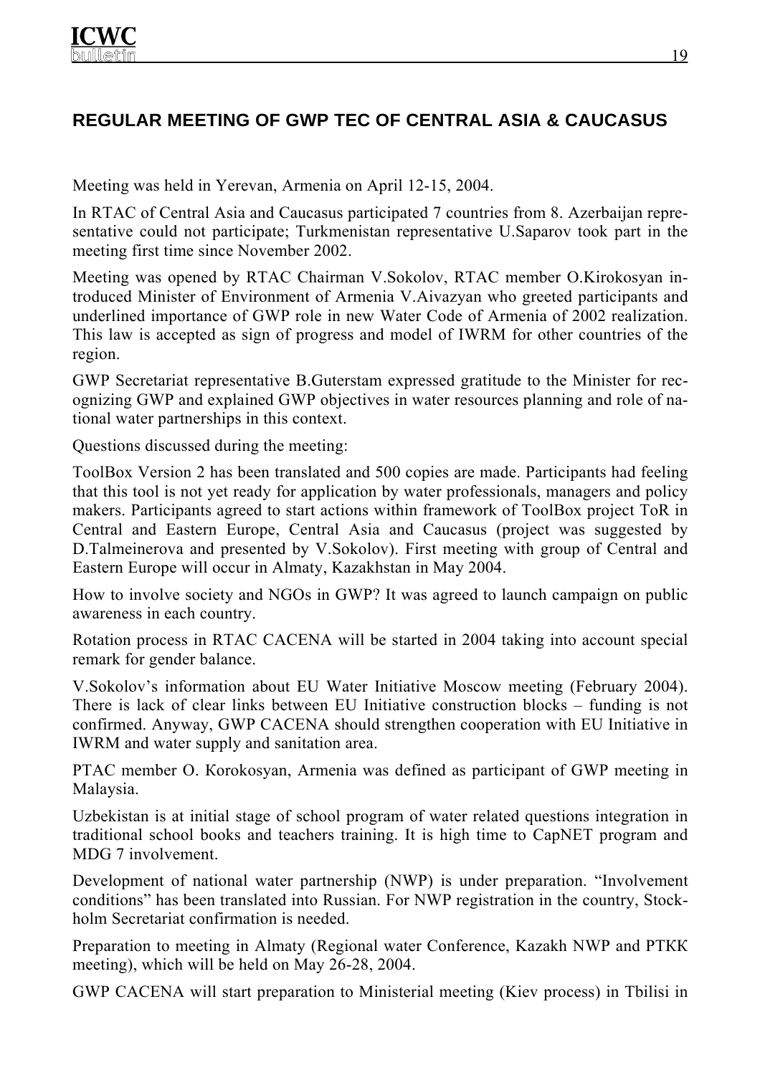# **REGULAR MEETING OF GWP TEC OF CENTRAL ASIA & CAUCASUS**

Meeting was held in Yerevan, Armenia on April 12-15, 2004.

In RTAC of Central Asia and Caucasus participated 7 countries from 8. Azerbaijan representative could not participate; Turkmenistan representative U.Saparov took part in the meeting first time since November 2002.

Meeting was opened by RTAC Chairman V.Sokolov, RTAC member O.Kirokosyan introduced Minister of Environment of Armenia V.Aivazyan who greeted participants and underlined importance of GWP role in new Water Code of Armenia of 2002 realization. This law is accepted as sign of progress and model of IWRM for other countries of the region.

GWP Secretariat representative B.Guterstam expressed gratitude to the Minister for recognizing GWP and explained GWP objectives in water resources planning and role of national water partnerships in this context.

Questions discussed during the meeting:

ToolBox Version 2 has been translated and 500 copies are made. Participants had feeling that this tool is not yet ready for application by water professionals, managers and policy makers. Participants agreed to start actions within framework of ToolBox project ToR in Central and Eastern Europe, Central Asia and Caucasus (project was suggested by D.Talmeinerova and presented by V.Sokolov). First meeting with group of Central and Eastern Europe will occur in Almaty, Kazakhstan in May 2004.

How to involve society and NGOs in GWP? It was agreed to launch campaign on public awareness in each country.

Rotation process in RTAC CACENA will be started in 2004 taking into account special remark for gender balance.

V.Sokolov's information about EU Water Initiative Moscow meeting (February 2004). There is lack of clear links between EU Initiative construction blocks – funding is not confirmed. Anyway, GWP CACENA should strengthen cooperation with EU Initiative in IWRM and water supply and sanitation area.

РТAC member О. Кorokosyan, Armenia was defined as participant of GWP meeting in Malaysia.

Uzbekistan is at initial stage of school program of water related questions integration in traditional school books and teachers training. It is high time to CapNET program and MDG 7 involvement.

Development of national water partnership (NWP) is under preparation. "Involvement conditions" has been translated into Russian. For NWP registration in the country, Stockholm Secretariat confirmation is needed.

Preparation to meeting in Almaty (Regional water Conference, Kazakh NWP and РТКК meeting), which will be held on May 26-28, 2004.

GWP CACENA will start preparation to Ministerial meeting (Kiev process) in Tbilisi in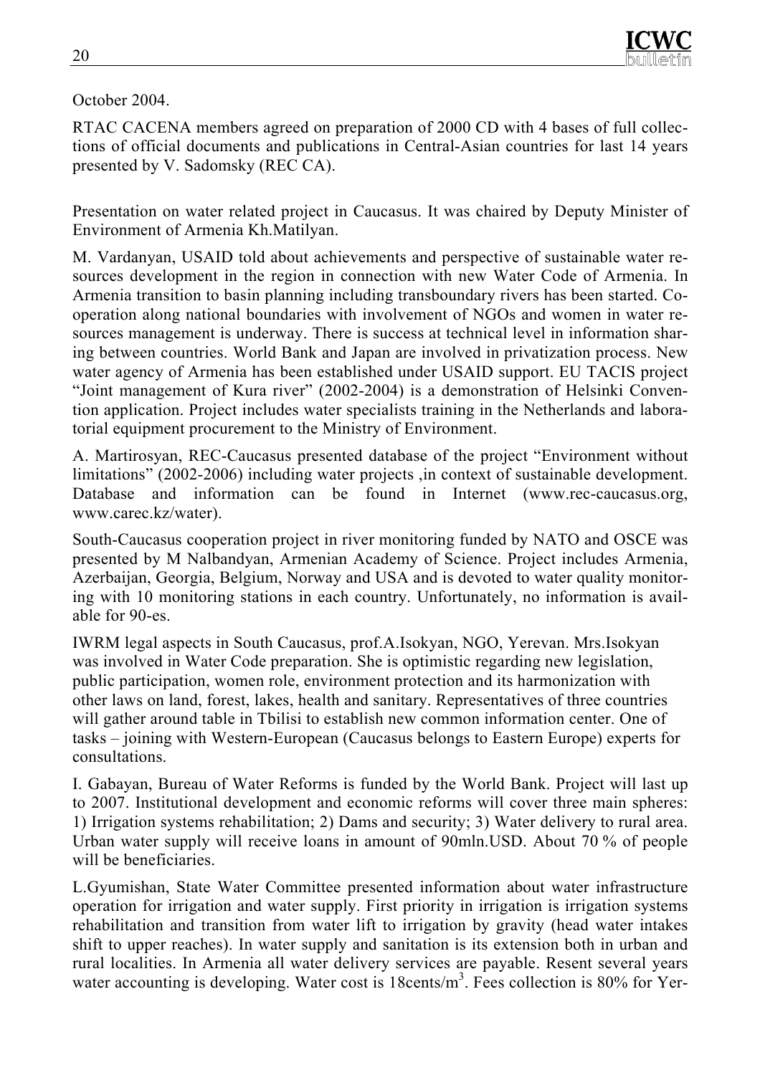## October 2004.

RТAC CACENA members agreed on preparation of 2000 CD with 4 bases of full collections of official documents and publications in Central-Asian countries for last 14 years presented by V. Sadomsky (REC CA).

Presentation on water related project in Caucasus. It was chaired by Deputy Minister of Environment of Armenia Kh.Matilyan.

М. Vardanyan, USAID told about achievements and perspective of sustainable water resources development in the region in connection with new Water Code of Armenia. In Armenia transition to basin planning including transboundary rivers has been started. Cooperation along national boundaries with involvement of NGOs and women in water resources management is underway. There is success at technical level in information sharing between countries. World Bank and Japan are involved in privatization process. New water agency of Armenia has been established under USAID support. EU TACIS project "Joint management of Kura river" (2002-2004) is a demonstration of Helsinki Convention application. Project includes water specialists training in the Netherlands and laboratorial equipment procurement to the Ministry of Environment.

А. Маrtirosyan, REC-Caucasus presented database of the project "Environment without limitations" (2002-2006) including water projects ,in context of sustainable development. Database and information can be found in Internet (www.rec-caucasus.org, www.carec.kz/water).

South-Caucasus cooperation project in river monitoring funded by NATO and OSCE was presented by М Nalbandyan, Armenian Academy of Science. Project includes Armenia, Azerbaijan, Georgia, Belgium, Norway and USA and is devoted to water quality monitoring with 10 monitoring stations in each country. Unfortunately, no information is available for 90-es.

IWRM legal aspects in South Caucasus, prof.A.Isokyan, NGO, Yerevan. Mrs.Isokyan was involved in Water Code preparation. She is optimistic regarding new legislation, public participation, women role, environment protection and its harmonization with other laws on land, forest, lakes, health and sanitary. Representatives of three countries will gather around table in Tbilisi to establish new common information center. One of tasks – joining with Western-European (Caucasus belongs to Eastern Europe) experts for consultations.

I. Gabayan, Bureau of Water Reforms is funded by the World Bank. Project will last up to 2007. Institutional development and economic reforms will cover three main spheres: 1) Irrigation systems rehabilitation; 2) Dams and security; 3) Water delivery to rural area. Urban water supply will receive loans in amount of 90mln.USD. About 70 % of people will be beneficiaries.

L.Gyumishan, State Water Committee presented information about water infrastructure operation for irrigation and water supply. First priority in irrigation is irrigation systems rehabilitation and transition from water lift to irrigation by gravity (head water intakes shift to upper reaches). In water supply and sanitation is its extension both in urban and rural localities. In Armenia all water delivery services are payable. Resent several years water accounting is developing. Water cost is 18cents/m<sup>3</sup>. Fees collection is 80% for Yer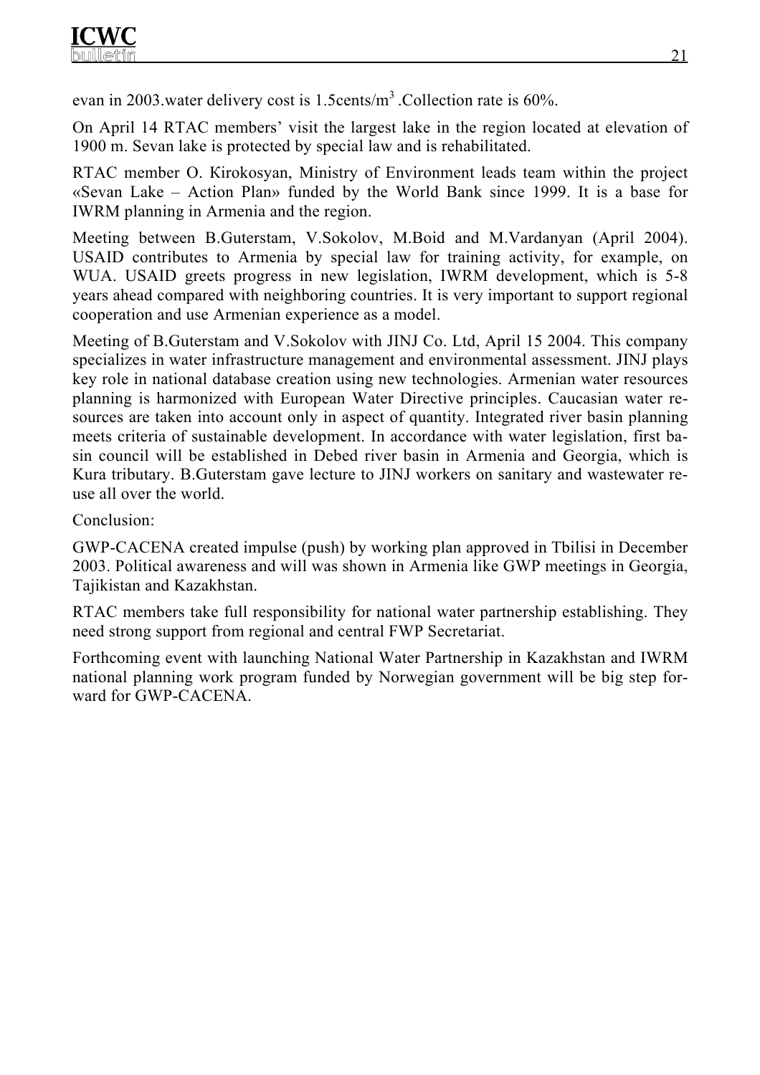evan in 2003 water delivery cost is 1.5cents/m<sup>3</sup> .Collection rate is 60%.

On April 14 RТAC members' visit the largest lake in the region located at elevation of 1900 m. Sevan lake is protected by special law and is rehabilitated.

RТAC member О. Кirokosyan, Ministry of Environment leads team within the project «Sevan Lake – Action Plan» funded by the World Bank since 1999. It is a base for IWRM planning in Armenia and the region.

Meeting between B.Guterstam, V.Sokolov, M.Boid and M.Vardanyan (April 2004). USAID contributes to Armenia by special law for training activity, for example, on WUA. USAID greets progress in new legislation, IWRM development, which is 5-8 years ahead compared with neighboring countries. It is very important to support regional cooperation and use Armenian experience as a model.

Meeting of B.Guterstam and V.Sokolov with JINJ Co. Ltd, April 15 2004. This company specializes in water infrastructure management and environmental assessment. JINJ plays key role in national database creation using new technologies. Armenian water resources planning is harmonized with European Water Directive principles. Caucasian water resources are taken into account only in aspect of quantity. Integrated river basin planning meets criteria of sustainable development. In accordance with water legislation, first basin council will be established in Debed river basin in Armenia and Georgia, which is Kura tributary. B.Guterstam gave lecture to JINJ workers on sanitary and wastewater reuse all over the world.

Conclusion:

GWP-CACENA created impulse (push) by working plan approved in Tbilisi in December 2003. Political awareness and will was shown in Armenia like GWP meetings in Georgia, Tajikistan and Kazakhstan.

RTAC members take full responsibility for national water partnership establishing. They need strong support from regional and central FWP Secretariat.

Forthcoming event with launching National Water Partnership in Kazakhstan and IWRM national planning work program funded by Norwegian government will be big step forward for GWP-CACENA.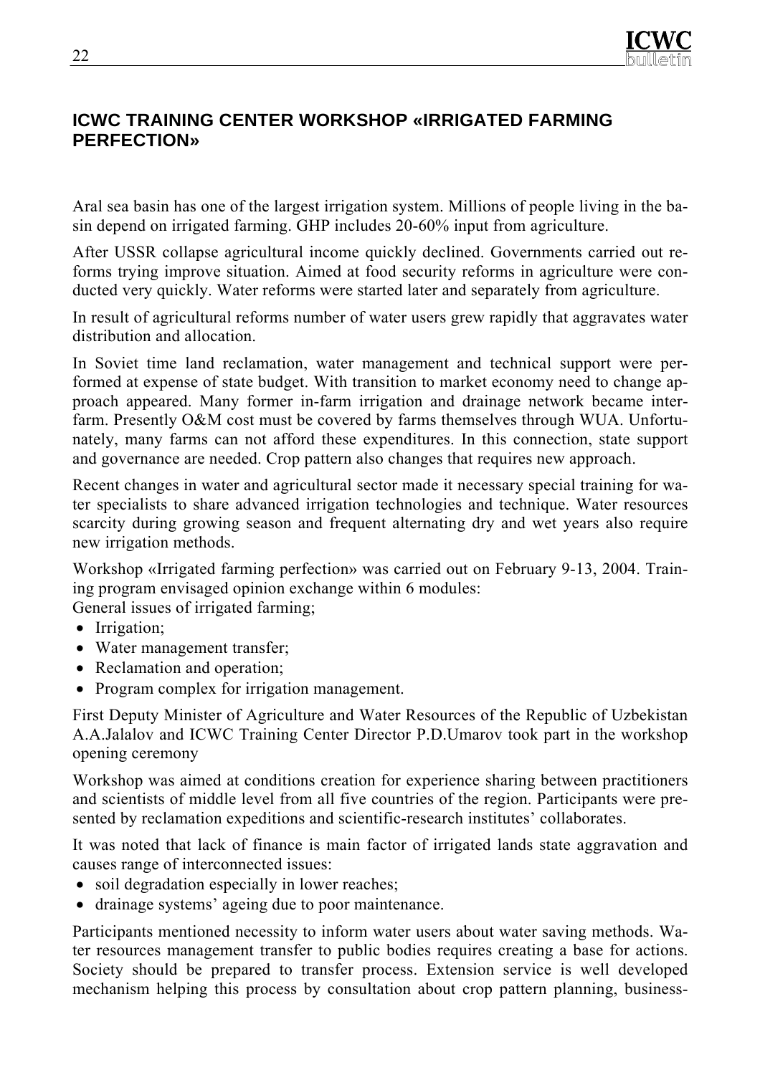# **ICWC TRAINING CENTER WORKSHOP «IRRIGATED FARMING PERFECTION»**

Aral sea basin has one of the largest irrigation system. Millions of people living in the basin depend on irrigated farming. GHP includes 20-60% input from agriculture.

After USSR collapse agricultural income quickly declined. Governments carried out reforms trying improve situation. Aimed at food security reforms in agriculture were conducted very quickly. Water reforms were started later and separately from agriculture.

In result of agricultural reforms number of water users grew rapidly that aggravates water distribution and allocation.

In Soviet time land reclamation, water management and technical support were performed at expense of state budget. With transition to market economy need to change approach appeared. Many former in-farm irrigation and drainage network became interfarm. Presently O&M cost must be covered by farms themselves through WUA. Unfortunately, many farms can not afford these expenditures. In this connection, state support and governance are needed. Crop pattern also changes that requires new approach.

Recent changes in water and agricultural sector made it necessary special training for water specialists to share advanced irrigation technologies and technique. Water resources scarcity during growing season and frequent alternating dry and wet years also require new irrigation methods.

Workshop «Irrigated farming perfection» was carried out on February 9-13, 2004. Training program envisaged opinion exchange within 6 modules:

General issues of irrigated farming;

- Irrigation;
- Water management transfer;
- Reclamation and operation;
- Program complex for irrigation management.

First Deputy Minister of Agriculture and Water Resources of the Republic of Uzbekistan A.A.Jalalov and ICWC Training Center Director P.D.Umarov took part in the workshop opening ceremony

Workshop was aimed at conditions creation for experience sharing between practitioners and scientists of middle level from all five countries of the region. Participants were presented by reclamation expeditions and scientific-research institutes' collaborates.

It was noted that lack of finance is main factor of irrigated lands state aggravation and causes range of interconnected issues:

- soil degradation especially in lower reaches;
- drainage systems' ageing due to poor maintenance.

Participants mentioned necessity to inform water users about water saving methods. Water resources management transfer to public bodies requires creating a base for actions. Society should be prepared to transfer process. Extension service is well developed mechanism helping this process by consultation about crop pattern planning, business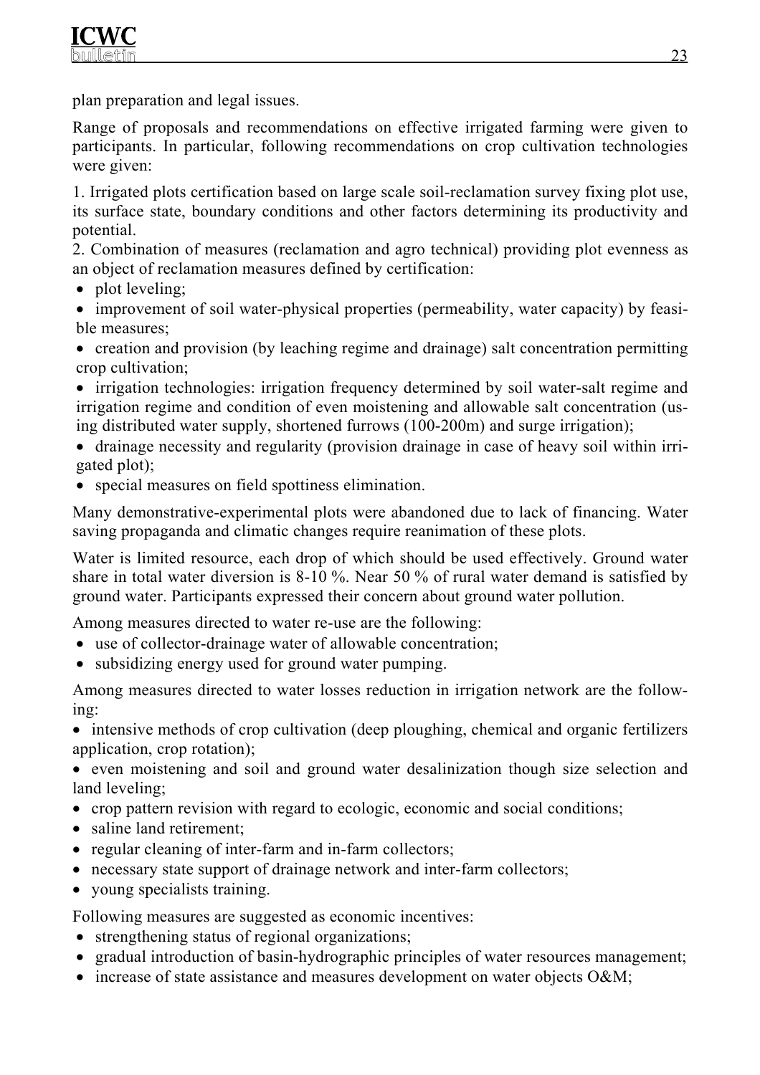plan preparation and legal issues.

Range of proposals and recommendations on effective irrigated farming were given to participants. In particular, following recommendations on crop cultivation technologies were given:

1. Irrigated plots certification based on large scale soil-reclamation survey fixing plot use, its surface state, boundary conditions and other factors determining its productivity and potential.

2. Combination of measures (reclamation and agro technical) providing plot evenness as an object of reclamation measures defined by certification:

• plot leveling;

• improvement of soil water-physical properties (permeability, water capacity) by feasible measures;

• creation and provision (by leaching regime and drainage) salt concentration permitting crop cultivation;

• irrigation technologies: irrigation frequency determined by soil water-salt regime and irrigation regime and condition of even moistening and allowable salt concentration (using distributed water supply, shortened furrows (100-200m) and surge irrigation);

- drainage necessity and regularity (provision drainage in case of heavy soil within irrigated plot);
- special measures on field spottiness elimination.

Many demonstrative-experimental plots were abandoned due to lack of financing. Water saving propaganda and climatic changes require reanimation of these plots.

Water is limited resource, each drop of which should be used effectively. Ground water share in total water diversion is 8-10 %. Near 50 % of rural water demand is satisfied by ground water. Participants expressed their concern about ground water pollution.

Among measures directed to water re-use are the following:

- use of collector-drainage water of allowable concentration;
- subsidizing energy used for ground water pumping.

Among measures directed to water losses reduction in irrigation network are the following:

• intensive methods of crop cultivation (deep ploughing, chemical and organic fertilizers application, crop rotation);

• even moistening and soil and ground water desalinization though size selection and land leveling;

- crop pattern revision with regard to ecologic, economic and social conditions;
- saline land retirement;
- regular cleaning of inter-farm and in-farm collectors;
- necessary state support of drainage network and inter-farm collectors;
- young specialists training.

Following measures are suggested as economic incentives:

- strengthening status of regional organizations;
- gradual introduction of basin-hydrographic principles of water resources management;
- increase of state assistance and measures development on water objects O&M;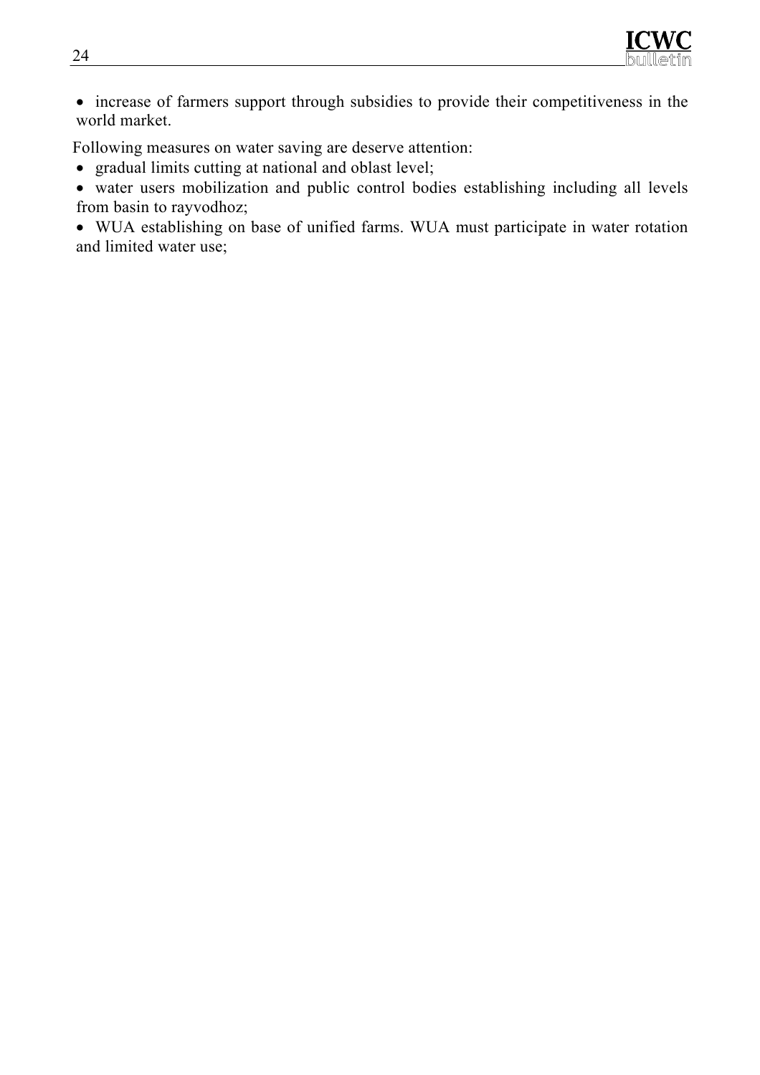

• increase of farmers support through subsidies to provide their competitiveness in the world market.

Following measures on water saving are deserve attention:

- gradual limits cutting at national and oblast level;
- water users mobilization and public control bodies establishing including all levels from basin to rayvodhoz;

• WUA establishing on base of unified farms. WUA must participate in water rotation and limited water use;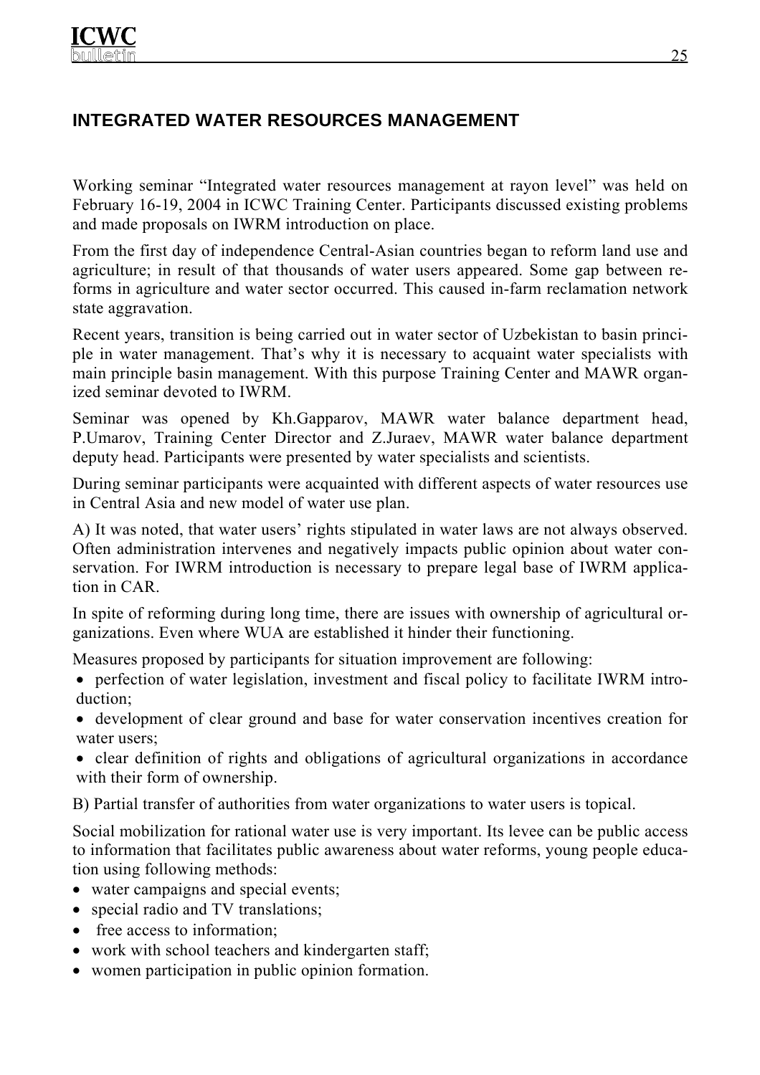# **INTEGRATED WATER RESOURCES MANAGEMENT**

Working seminar "Integrated water resources management at rayon level" was held on February 16-19, 2004 in ICWC Training Center. Participants discussed existing problems and made proposals on IWRM introduction on place.

From the first day of independence Central-Asian countries began to reform land use and agriculture; in result of that thousands of water users appeared. Some gap between reforms in agriculture and water sector occurred. This caused in-farm reclamation network state aggravation.

Recent years, transition is being carried out in water sector of Uzbekistan to basin principle in water management. That's why it is necessary to acquaint water specialists with main principle basin management. With this purpose Training Center and MAWR organized seminar devoted to IWRM.

Seminar was opened by Kh.Gapparov, MAWR water balance department head, P.Umarov, Training Center Director and Z.Juraev, MAWR water balance department deputy head. Participants were presented by water specialists and scientists.

During seminar participants were acquainted with different aspects of water resources use in Central Asia and new model of water use plan.

А) It was noted, that water users' rights stipulated in water laws are not always observed. Often administration intervenes and negatively impacts public opinion about water conservation. For IWRM introduction is necessary to prepare legal base of IWRM application in CAR.

In spite of reforming during long time, there are issues with ownership of agricultural organizations. Even where WUA are established it hinder their functioning.

Measures proposed by participants for situation improvement are following:

• perfection of water legislation, investment and fiscal policy to facilitate IWRM introduction;

- development of clear ground and base for water conservation incentives creation for water users;
- clear definition of rights and obligations of agricultural organizations in accordance with their form of ownership.

B) Partial transfer of authorities from water organizations to water users is topical.

Social mobilization for rational water use is very important. Its levee can be public access to information that facilitates public awareness about water reforms, young people education using following methods:

- water campaigns and special events;
- special radio and TV translations;
- free access to information;
- work with school teachers and kindergarten staff;
- women participation in public opinion formation.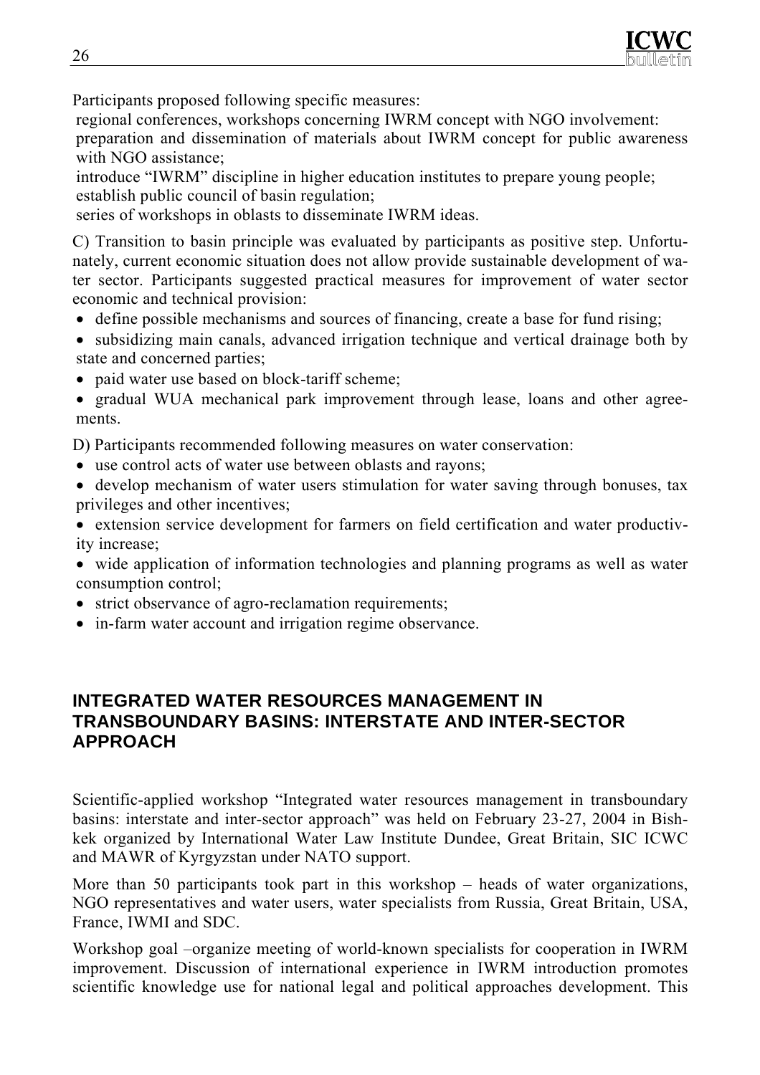

Participants proposed following specific measures:

regional conferences, workshops concerning IWRM concept with NGO involvement: preparation and dissemination of materials about IWRM concept for public awareness with NGO assistance;

introduce "IWRM" discipline in higher education institutes to prepare young people; establish public council of basin regulation;

series of workshops in oblasts to disseminate IWRM ideas.

C) Transition to basin principle was evaluated by participants as positive step. Unfortunately, current economic situation does not allow provide sustainable development of water sector. Participants suggested practical measures for improvement of water sector economic and technical provision:

- define possible mechanisms and sources of financing, create a base for fund rising;
- subsidizing main canals, advanced irrigation technique and vertical drainage both by state and concerned parties;
- paid water use based on block-tariff scheme;

• gradual WUA mechanical park improvement through lease, loans and other agreements.

D) Participants recommended following measures on water conservation:

- use control acts of water use between oblasts and rayons;
- develop mechanism of water users stimulation for water saving through bonuses, tax privileges and other incentives;
- extension service development for farmers on field certification and water productivity increase;
- wide application of information technologies and planning programs as well as water consumption control;
- strict observance of agro-reclamation requirements;
- in-farm water account and irrigation regime observance.

## **INTEGRATED WATER RESOURCES MANAGEMENT IN TRANSBOUNDARY BASINS: INTERSTATE AND INTER-SECTOR APPROACH**

Scientific-applied workshop "Integrated water resources management in transboundary basins: interstate and inter-sector approach" was held on February 23-27, 2004 in Bishkek organized by International Water Law Institute Dundee, Great Britain, SIC ICWC and MAWR of Kyrgyzstan under NATO support.

More than 50 participants took part in this workshop – heads of water organizations, NGO representatives and water users, water specialists from Russia, Great Britain, USA, France, IWMI and SDC.

Workshop goal –organize meeting of world-known specialists for cooperation in IWRM improvement. Discussion of international experience in IWRM introduction promotes scientific knowledge use for national legal and political approaches development. This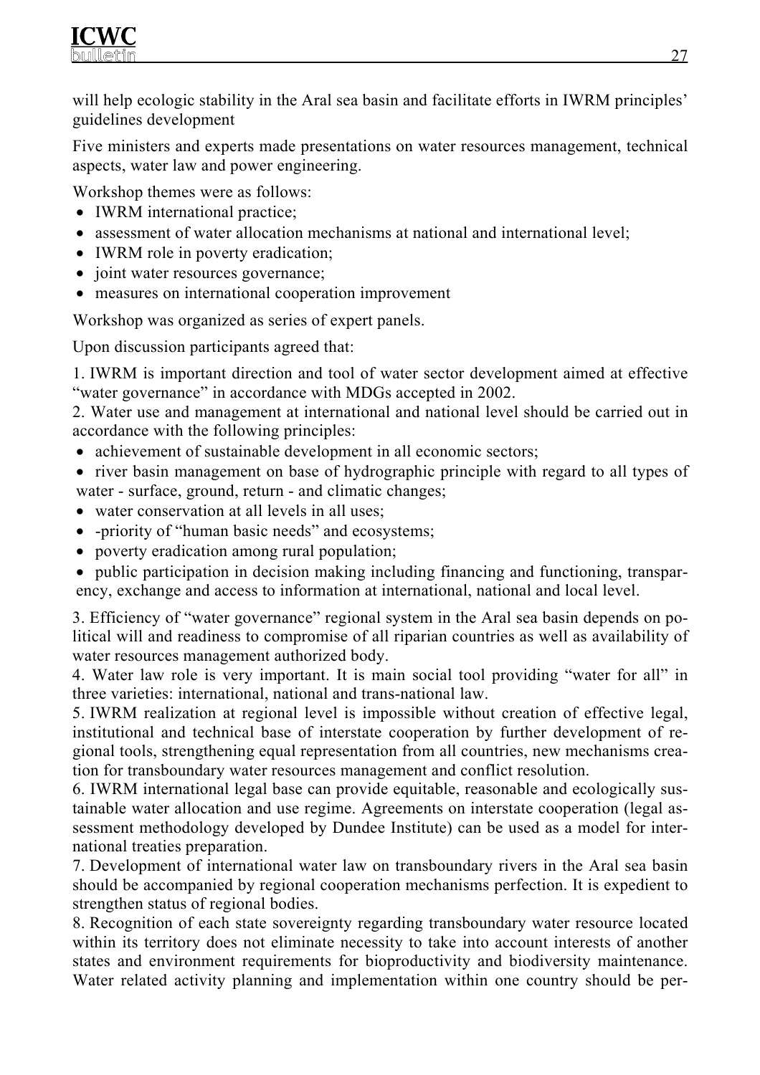will help ecologic stability in the Aral sea basin and facilitate efforts in IWRM principles' guidelines development

Five ministers and experts made presentations on water resources management, technical aspects, water law and power engineering.

Workshop themes were as follows:

- IWRM international practice:
- assessment of water allocation mechanisms at national and international level;
- IWRM role in poverty eradication;
- joint water resources governance;
- measures on international cooperation improvement

Workshop was organized as series of expert panels.

Upon discussion participants agreed that:

1. IWRM is important direction and tool of water sector development aimed at effective "water governance" in accordance with MDGs accepted in 2002.

2. Water use and management at international and national level should be carried out in accordance with the following principles:

- achievement of sustainable development in all economic sectors;
- river basin management on base of hydrographic principle with regard to all types of water - surface, ground, return - and climatic changes;
- water conservation at all levels in all uses:
- -priority of "human basic needs" and ecosystems;
- poverty eradication among rural population;
- public participation in decision making including financing and functioning, transparency, exchange and access to information at international, national and local level.

3. Efficiency of "water governance" regional system in the Aral sea basin depends on political will and readiness to compromise of all riparian countries as well as availability of water resources management authorized body.

4. Water law role is very important. It is main social tool providing "water for all" in three varieties: international, national and trans-national law.

5. IWRM realization at regional level is impossible without creation of effective legal, institutional and technical base of interstate cooperation by further development of regional tools, strengthening equal representation from all countries, new mechanisms creation for transboundary water resources management and conflict resolution.

6. IWRM international legal base can provide equitable, reasonable and ecologically sustainable water allocation and use regime. Agreements on interstate cooperation (legal assessment methodology developed by Dundee Institute) can be used as a model for international treaties preparation.

7. Development of international water law on transboundary rivers in the Aral sea basin should be accompanied by regional cooperation mechanisms perfection. It is expedient to strengthen status of regional bodies.

8. Recognition of each state sovereignty regarding transboundary water resource located within its territory does not eliminate necessity to take into account interests of another states and environment requirements for bioproductivity and biodiversity maintenance. Water related activity planning and implementation within one country should be per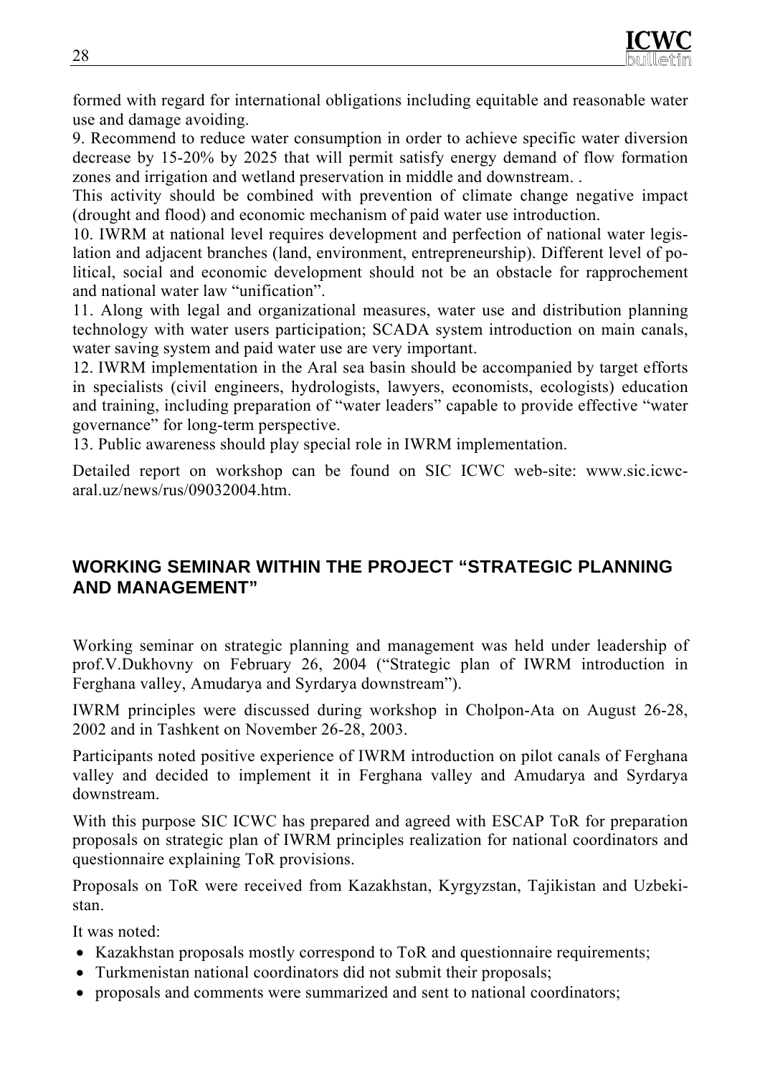formed with regard for international obligations including equitable and reasonable water use and damage avoiding.

9. Recommend to reduce water consumption in order to achieve specific water diversion decrease by 15-20% by 2025 that will permit satisfy energy demand of flow formation zones and irrigation and wetland preservation in middle and downstream. .

This activity should be combined with prevention of climate change negative impact (drought and flood) and economic mechanism of paid water use introduction.

10. IWRM at national level requires development and perfection of national water legislation and adjacent branches (land, environment, entrepreneurship). Different level of political, social and economic development should not be an obstacle for rapprochement and national water law "unification".

11. Along with legal and organizational measures, water use and distribution planning technology with water users participation; SCADA system introduction on main canals, water saving system and paid water use are very important.

12. IWRM implementation in the Aral sea basin should be accompanied by target efforts in specialists (civil engineers, hydrologists, lawyers, economists, ecologists) education and training, including preparation of "water leaders" capable to provide effective "water governance" for long-term perspective.

13. Public awareness should play special role in IWRM implementation.

Detailed report on workshop can be found on SIC ICWC web-site: www.sic.icwcaral.uz/news/rus/09032004.htm.

# **WORKING SEMINAR WITHIN THE PROJECT "STRATEGIC PLANNING AND MANAGEMENT"**

Working seminar on strategic planning and management was held under leadership of prof.V.Dukhovny on February 26, 2004 ("Strategic plan of IWRM introduction in Ferghana valley, Amudarya and Syrdarya downstream").

IWRM principles were discussed during workshop in Cholpon-Ata on August 26-28, 2002 and in Tashkent on November 26-28, 2003.

Participants noted positive experience of IWRM introduction on pilot canals of Ferghana valley and decided to implement it in Ferghana valley and Amudarya and Syrdarya downstream.

With this purpose SIC ICWC has prepared and agreed with ESCAP ToR for preparation proposals on strategic plan of IWRM principles realization for national coordinators and questionnaire explaining ToR provisions.

Proposals on ToR were received from Kazakhstan, Kyrgyzstan, Tajikistan and Uzbekistan.

It was noted:

- Kazakhstan proposals mostly correspond to ToR and questionnaire requirements;
- Turkmenistan national coordinators did not submit their proposals;
- proposals and comments were summarized and sent to national coordinators;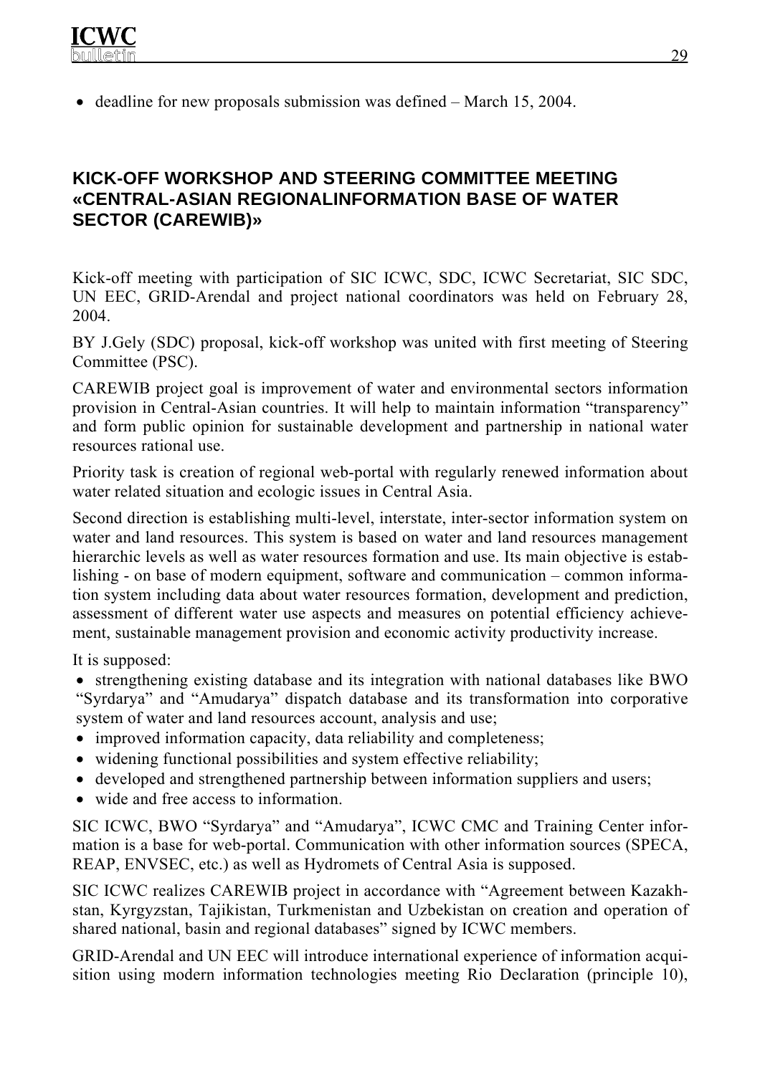• deadline for new proposals submission was defined – March 15, 2004.

## **KICK-OFF WORKSHOP AND STEERING COMMITTEE MEETING «CENTRAL-ASIAN REGIONALINFORMATION BASE OF WATER SECTOR (CAREWIB)»**

Kick-off meeting with participation of SIC ICWC, SDC, ICWC Secretariat, SIC SDC, UN EEC, GRID-Arendal and project national coordinators was held on February 28, 2004.

BY J.Gely (SDC) proposal, kick-off workshop was united with first meeting of Steering Committee (PSC).

CAREWIB project goal is improvement of water and environmental sectors information provision in Central-Asian countries. It will help to maintain information "transparency" and form public opinion for sustainable development and partnership in national water resources rational use.

Priority task is creation of regional web-portal with regularly renewed information about water related situation and ecologic issues in Central Asia.

Second direction is establishing multi-level, interstate, inter-sector information system on water and land resources. This system is based on water and land resources management hierarchic levels as well as water resources formation and use. Its main objective is establishing - on base of modern equipment, software and communication – common information system including data about water resources formation, development and prediction, assessment of different water use aspects and measures on potential efficiency achievement, sustainable management provision and economic activity productivity increase.

It is supposed:

• strengthening existing database and its integration with national databases like BWO "Syrdarya" and "Amudarya" dispatch database and its transformation into corporative system of water and land resources account, analysis and use;

- improved information capacity, data reliability and completeness;
- widening functional possibilities and system effective reliability;
- developed and strengthened partnership between information suppliers and users;
- wide and free access to information.

SIC ICWC, BWO "Syrdarya" and "Amudarya", ICWC CMC and Training Center information is a base for web-portal. Communication with other information sources (SPECA, REAP, ENVSEC, etc.) as well as Hydromets of Central Asia is supposed.

SIC ICWC realizes CAREWIB project in accordance with "Agreement between Kazakhstan, Kyrgyzstan, Tajikistan, Turkmenistan and Uzbekistan on creation and operation of shared national, basin and regional databases" signed by ICWC members.

GRID-Arendal and UN EEC will introduce international experience of information acquisition using modern information technologies meeting Rio Declaration (principle 10),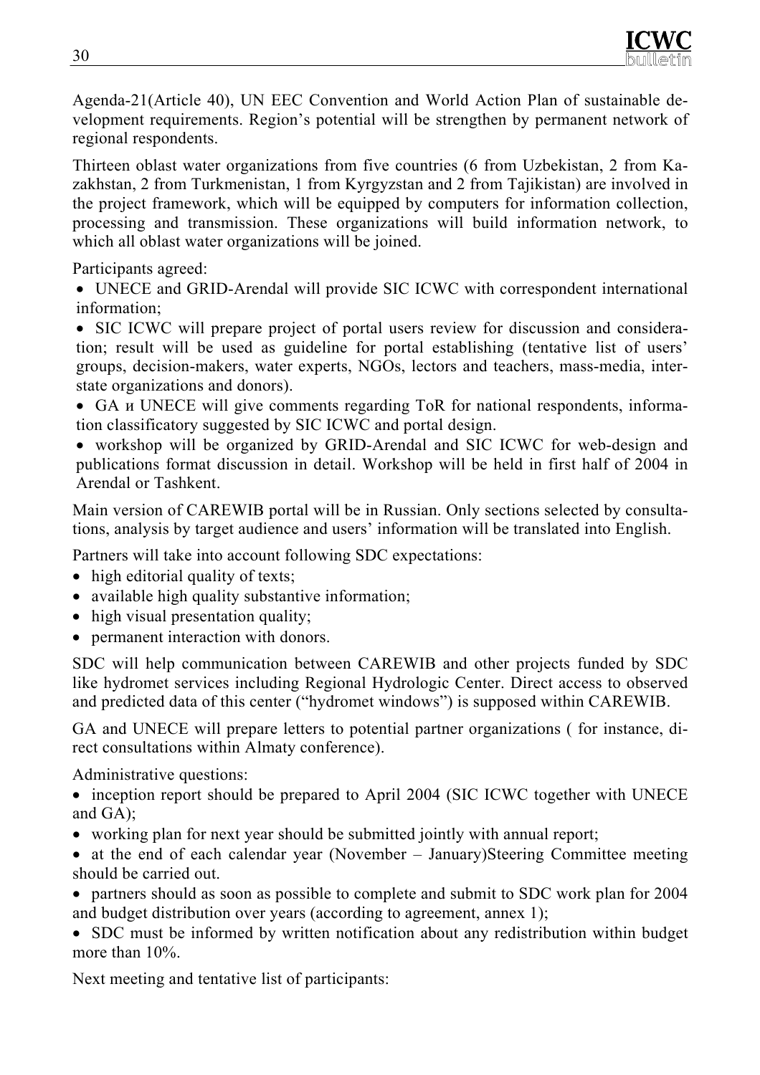Agenda-21(Article 40), UN EEC Convention and World Action Plan of sustainable development requirements. Region's potential will be strengthen by permanent network of regional respondents.

Thirteen oblast water organizations from five countries (6 from Uzbekistan, 2 from Kazakhstan, 2 from Turkmenistan, 1 from Kyrgyzstan and 2 from Tajikistan) are involved in the project framework, which will be equipped by computers for information collection, processing and transmission. These organizations will build information network, to which all oblast water organizations will be joined.

Participants agreed:

• UNECE and GRID-Arendal will provide SIC ICWC with correspondent international information;

• SIC ICWC will prepare project of portal users review for discussion and consideration; result will be used as guideline for portal establishing (tentative list of users' groups, decision-makers, water experts, NGOs, lectors and teachers, mass-media, interstate organizations and donors).

• GA и UNECE will give comments regarding ToR for national respondents, information classificatory suggested by SIC ICWC and portal design.

• workshop will be organized by GRID-Arendal and SIC ICWC for web-design and publications format discussion in detail. Workshop will be held in first half of 2004 in Arendal or Tashkent.

Main version of CAREWIB portal will be in Russian. Only sections selected by consultations, analysis by target audience and users' information will be translated into English.

Partners will take into account following SDC expectations:

- high editorial quality of texts;
- available high quality substantive information;
- high visual presentation quality;
- permanent interaction with donors.

SDC will help communication between CAREWIB and other projects funded by SDC like hydromet services including Regional Hydrologic Center. Direct access to observed and predicted data of this center ("hydromet windows") is supposed within CAREWIB.

GA and UNECE will prepare letters to potential partner organizations ( for instance, direct consultations within Almaty conference).

Administrative questions:

• inception report should be prepared to April 2004 (SIC ICWC together with UNECE and GA);

- working plan for next year should be submitted jointly with annual report;
- at the end of each calendar year (November January)Steering Committee meeting should be carried out.
- partners should as soon as possible to complete and submit to SDC work plan for 2004 and budget distribution over years (according to agreement, annex 1);

• SDC must be informed by written notification about any redistribution within budget more than 10%.

Next meeting and tentative list of participants: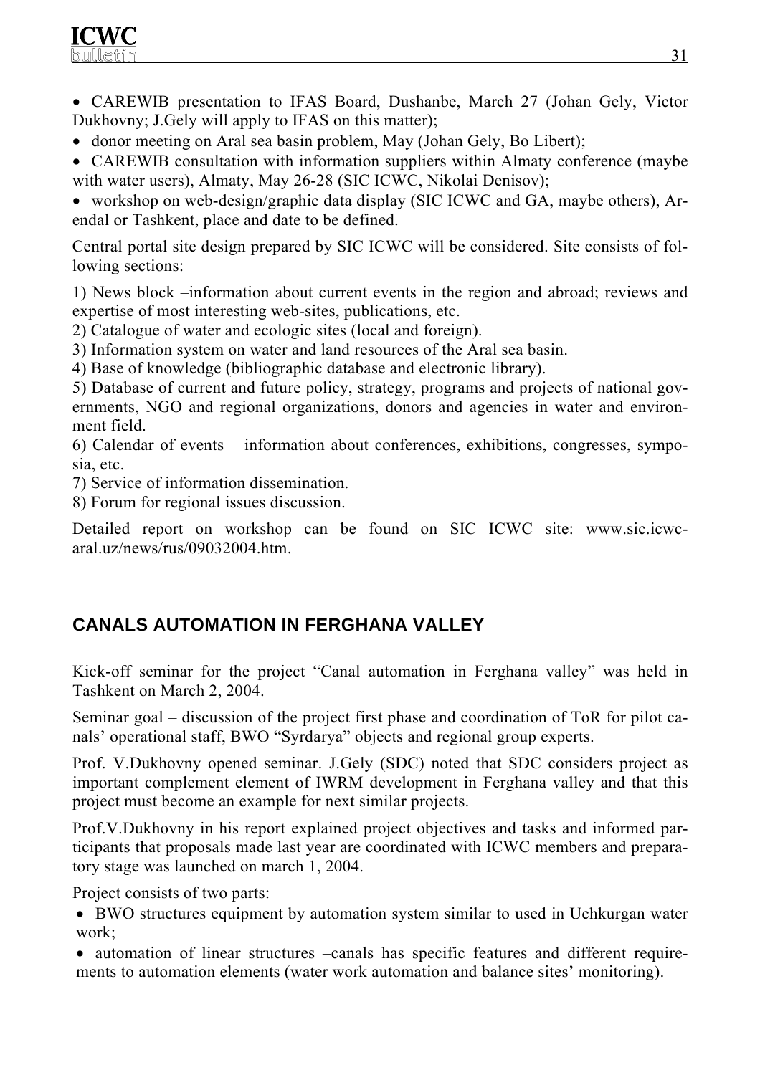

• CAREWIB presentation to IFAS Board, Dushanbe, March 27 (Johan Gely, Victor Dukhovny; J.Gely will apply to IFAS on this matter);

- donor meeting on Aral sea basin problem, May (Johan Gely, Bo Libert);
- CAREWIB consultation with information suppliers within Almaty conference (maybe with water users), Almaty, May 26-28 (SIC ICWC, Nikolai Denisov);

• workshop on web-design/graphic data display (SIC ICWC and GA, maybe others), Arendal or Tashkent, place and date to be defined.

Central portal site design prepared by SIC ICWC will be considered. Site consists of following sections:

1) News block –information about current events in the region and abroad; reviews and expertise of most interesting web-sites, publications, etc.

- 2) Catalogue of water and ecologic sites (local and foreign).
- 3) Information system on water and land resources of the Aral sea basin.
- 4) Base of knowledge (bibliographic database and electronic library).

5) Database of current and future policy, strategy, programs and projects of national governments, NGO and regional organizations, donors and agencies in water and environment field.

6) Calendar of events – information about conferences, exhibitions, congresses, symposia, etc.

- 7) Service of information dissemination.
- 8) Forum for regional issues discussion.

Detailed report on workshop can be found on SIC ICWC site: www.sic.icwcaral.uz/news/rus/09032004.htm.

# **CANALS AUTOMATION IN FERGHANA VALLEY**

Kick-off seminar for the project "Canal automation in Ferghana valley" was held in Tashkent on March 2, 2004.

Seminar goal – discussion of the project first phase and coordination of ToR for pilot canals' operational staff, BWO "Syrdarya" objects and regional group experts.

Prof. V.Dukhovny opened seminar. J.Gely (SDC) noted that SDC considers project as important complement element of IWRM development in Ferghana valley and that this project must become an example for next similar projects.

Prof.V.Dukhovny in his report explained project objectives and tasks and informed participants that proposals made last year are coordinated with ICWC members and preparatory stage was launched on march 1, 2004.

Project consists of two parts:

• BWO structures equipment by automation system similar to used in Uchkurgan water work;

• automation of linear structures –canals has specific features and different requirements to automation elements (water work automation and balance sites' monitoring).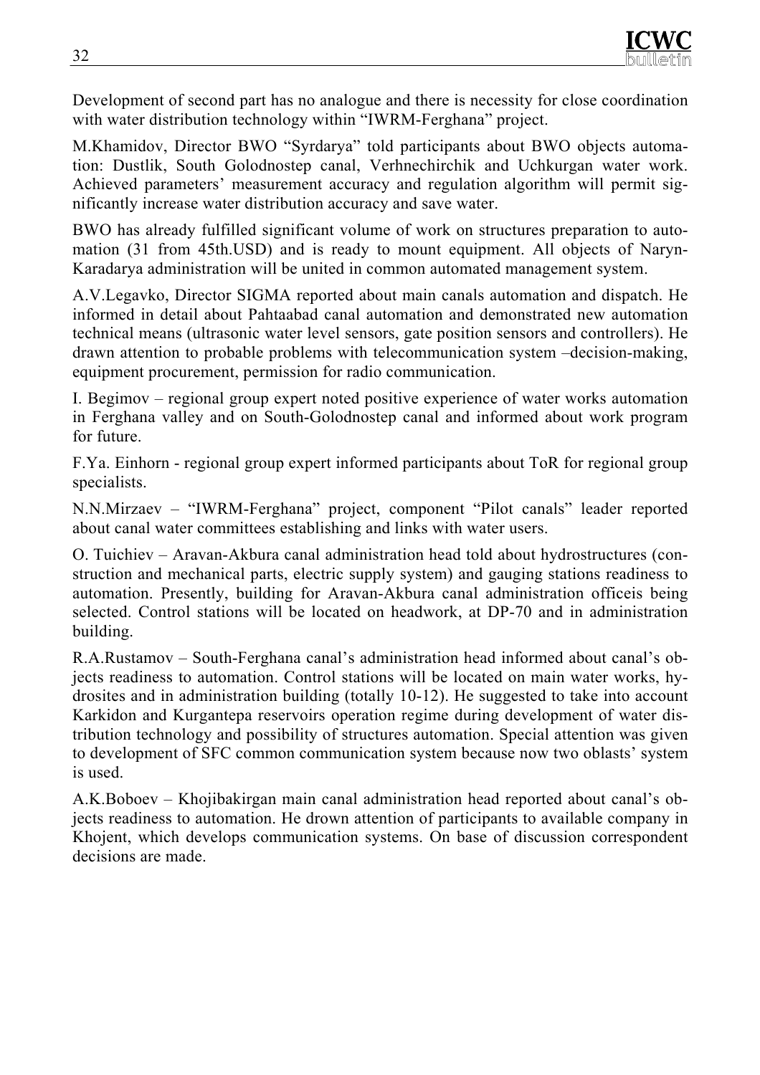Development of second part has no analogue and there is necessity for close coordination with water distribution technology within "IWRM-Ferghana" project.

M.Khamidov, Director BWO "Syrdarya" told participants about BWO objects automation: Dustlik, South Golodnostep canal, Verhnechirchik and Uchkurgan water work. Achieved parameters' measurement accuracy and regulation algorithm will permit significantly increase water distribution accuracy and save water.

BWO has already fulfilled significant volume of work on structures preparation to automation (31 from 45th.USD) and is ready to mount equipment. All objects of Naryn-Karadarya administration will be united in common automated management system.

A.V.Legavko, Director SIGMA reported about main canals automation and dispatch. He informed in detail about Pahtaabad canal automation and demonstrated new automation technical means (ultrasonic water level sensors, gate position sensors and controllers). He drawn attention to probable problems with telecommunication system –decision-making, equipment procurement, permission for radio communication.

I. Begimov – regional group expert noted positive experience of water works automation in Ferghana valley and on South-Golodnostep canal and informed about work program for future.

F.Ya. Einhorn - regional group expert informed participants about ToR for regional group specialists.

N.N.Mirzaev – "IWRM-Ferghana" project, component "Pilot canals" leader reported about canal water committees establishing and links with water users.

О. Тuichiev – Aravan-Akbura canal administration head told about hydrostructures (construction and mechanical parts, electric supply system) and gauging stations readiness to automation. Presently, building for Aravan-Akbura canal administration officeis being selected. Control stations will be located on headwork, at DP-70 and in administration building.

R.A.Rustamov – South-Ferghana canal's administration head informed about canal's objects readiness to automation. Control stations will be located on main water works, hydrosites and in administration building (totally 10-12). He suggested to take into account Karkidon and Kurgantepa reservoirs operation regime during development of water distribution technology and possibility of structures automation. Special attention was given to development of SFC common communication system because now two oblasts' system is used.

A.K.Boboev – Khojibakirgan main canal administration head reported about canal's objects readiness to automation. He drown attention of participants to available company in Khojent, which develops communication systems. On base of discussion correspondent decisions are made.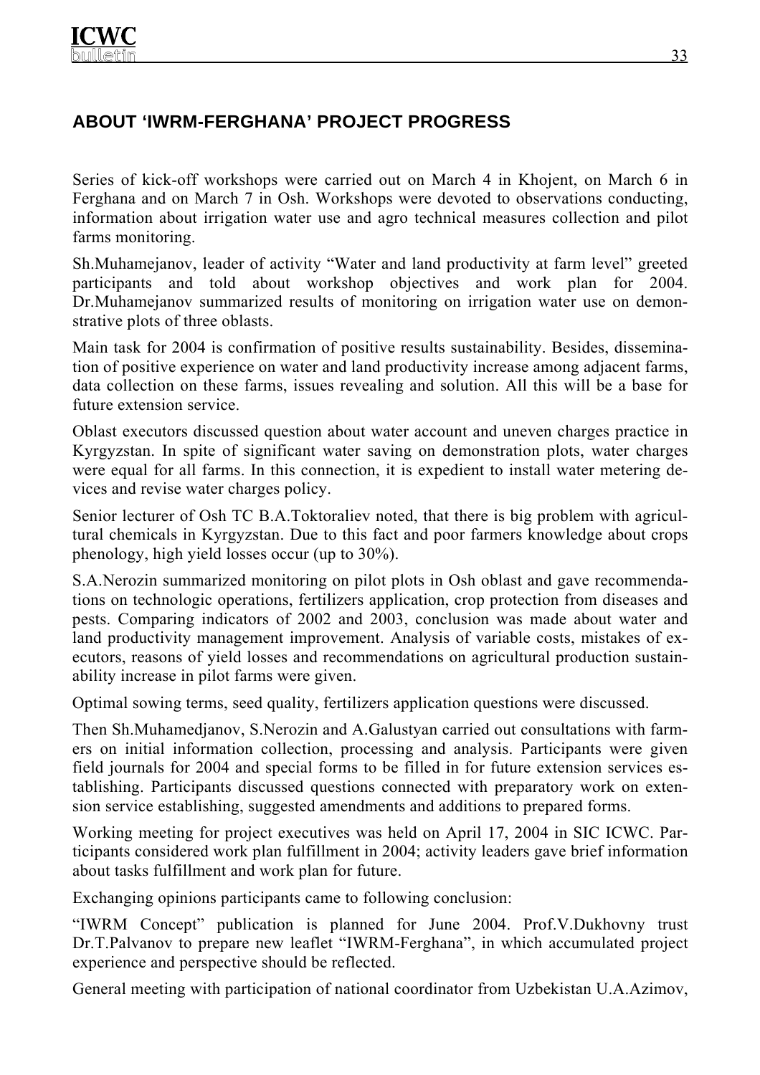# **ABOUT 'IWRM-FERGHANA' PROJECT PROGRESS**

Series of kick-off workshops were carried out on March 4 in Khojent, on March 6 in Ferghana and on March 7 in Osh. Workshops were devoted to observations conducting, information about irrigation water use and agro technical measures collection and pilot farms monitoring.

Sh.Muhamejanov, leader of activity "Water and land productivity at farm level" greeted participants and told about workshop objectives and work plan for 2004. Dr.Muhamejanov summarized results of monitoring on irrigation water use on demonstrative plots of three oblasts.

Main task for 2004 is confirmation of positive results sustainability. Besides, dissemination of positive experience on water and land productivity increase among adjacent farms, data collection on these farms, issues revealing and solution. All this will be a base for future extension service.

Oblast executors discussed question about water account and uneven charges practice in Kyrgyzstan. In spite of significant water saving on demonstration plots, water charges were equal for all farms. In this connection, it is expedient to install water metering devices and revise water charges policy.

Senior lecturer of Osh TC B.A.Toktoraliev noted, that there is big problem with agricultural chemicals in Kyrgyzstan. Due to this fact and poor farmers knowledge about crops phenology, high yield losses occur (up to 30%).

S.A.Nerozin summarized monitoring on pilot plots in Osh oblast and gave recommendations on technologic operations, fertilizers application, crop protection from diseases and pests. Comparing indicators of 2002 and 2003, conclusion was made about water and land productivity management improvement. Analysis of variable costs, mistakes of executors, reasons of yield losses and recommendations on agricultural production sustainability increase in pilot farms were given.

Optimal sowing terms, seed quality, fertilizers application questions were discussed.

Then Sh.Muhamedjanov, S.Nerozin and A.Galustyan carried out consultations with farmers on initial information collection, processing and analysis. Participants were given field journals for 2004 and special forms to be filled in for future extension services establishing. Participants discussed questions connected with preparatory work on extension service establishing, suggested amendments and additions to prepared forms.

Working meeting for project executives was held on April 17, 2004 in SIC ICWC. Participants considered work plan fulfillment in 2004; activity leaders gave brief information about tasks fulfillment and work plan for future.

Exchanging opinions participants came to following conclusion:

"IWRM Concept" publication is planned for June 2004. Prof.V.Dukhovny trust Dr.T.Palvanov to prepare new leaflet "IWRM-Ferghana", in which accumulated project experience and perspective should be reflected.

General meeting with participation of national coordinator from Uzbekistan U.A.Azimov,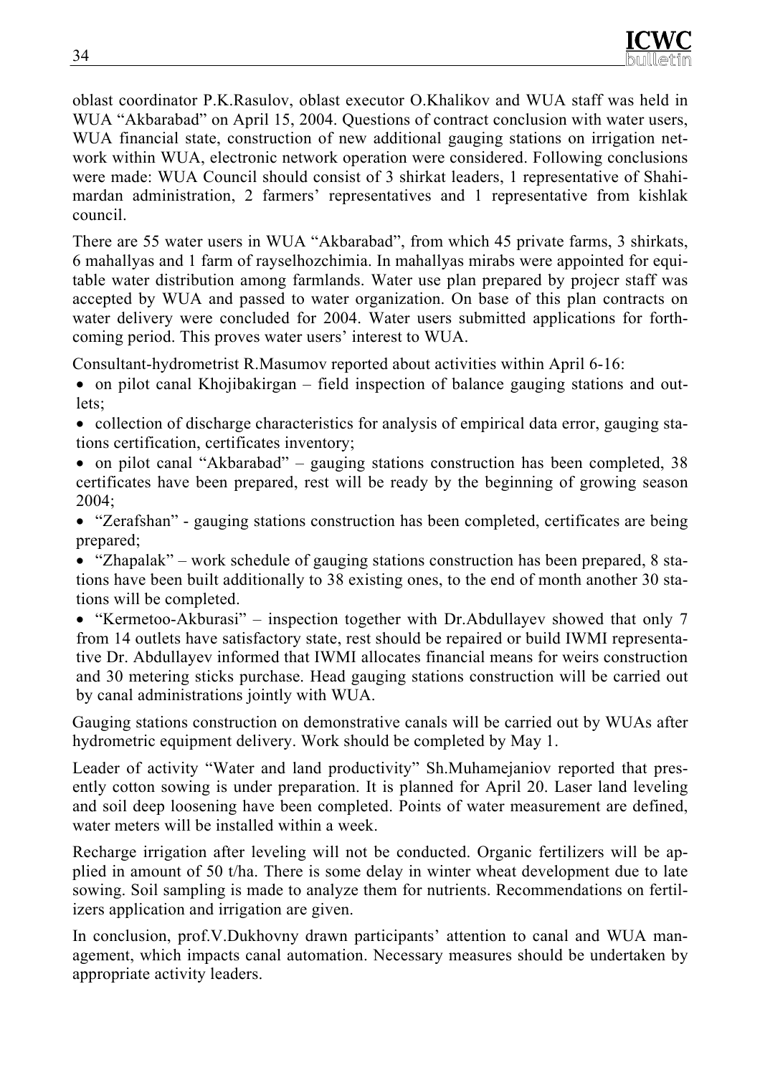oblast coordinator P.K.Rasulov, oblast executor O.Khalikov and WUA staff was held in WUA "Akbarabad" on April 15, 2004. Questions of contract conclusion with water users, WUA financial state, construction of new additional gauging stations on irrigation network within WUA, electronic network operation were considered. Following conclusions were made: WUA Council should consist of 3 shirkat leaders, 1 representative of Shahimardan administration, 2 farmers' representatives and 1 representative from kishlak council.

There are 55 water users in WUA "Akbarabad", from which 45 private farms, 3 shirkats, 6 mahallyas and 1 farm of rayselhozchimia. In mahallyas mirabs were appointed for equitable water distribution among farmlands. Water use plan prepared by projecr staff was accepted by WUA and passed to water organization. On base of this plan contracts on water delivery were concluded for 2004. Water users submitted applications for forthcoming period. This proves water users' interest to WUA.

Consultant-hydrometrist R.Masumov reported about activities within April 6-16:

- on pilot canal Khojibakirgan field inspection of balance gauging stations and outlets;
- collection of discharge characteristics for analysis of empirical data error, gauging stations certification, certificates inventory;
- on pilot canal "Akbarabad" gauging stations construction has been completed, 38 certificates have been prepared, rest will be ready by the beginning of growing season 2004;
- "Zerafshan" gauging stations construction has been completed, certificates are being prepared;
- "Zhapalak" work schedule of gauging stations construction has been prepared, 8 stations have been built additionally to 38 existing ones, to the end of month another 30 stations will be completed.
- "Kermetoo-Akburasi" inspection together with Dr.Abdullayev showed that only 7 from 14 outlets have satisfactory state, rest should be repaired or build IWMI representative Dr. Abdullayev informed that IWMI allocates financial means for weirs construction and 30 metering sticks purchase. Head gauging stations construction will be carried out by canal administrations jointly with WUA.

Gauging stations construction on demonstrative canals will be carried out by WUAs after hydrometric equipment delivery. Work should be completed by May 1.

Leader of activity "Water and land productivity" Sh.Muhamejaniov reported that presently cotton sowing is under preparation. It is planned for April 20. Laser land leveling and soil deep loosening have been completed. Points of water measurement are defined, water meters will be installed within a week.

Recharge irrigation after leveling will not be conducted. Organic fertilizers will be applied in amount of 50 t/ha. There is some delay in winter wheat development due to late sowing. Soil sampling is made to analyze them for nutrients. Recommendations on fertilizers application and irrigation are given.

In conclusion, prof.V.Dukhovny drawn participants' attention to canal and WUA management, which impacts canal automation. Necessary measures should be undertaken by appropriate activity leaders.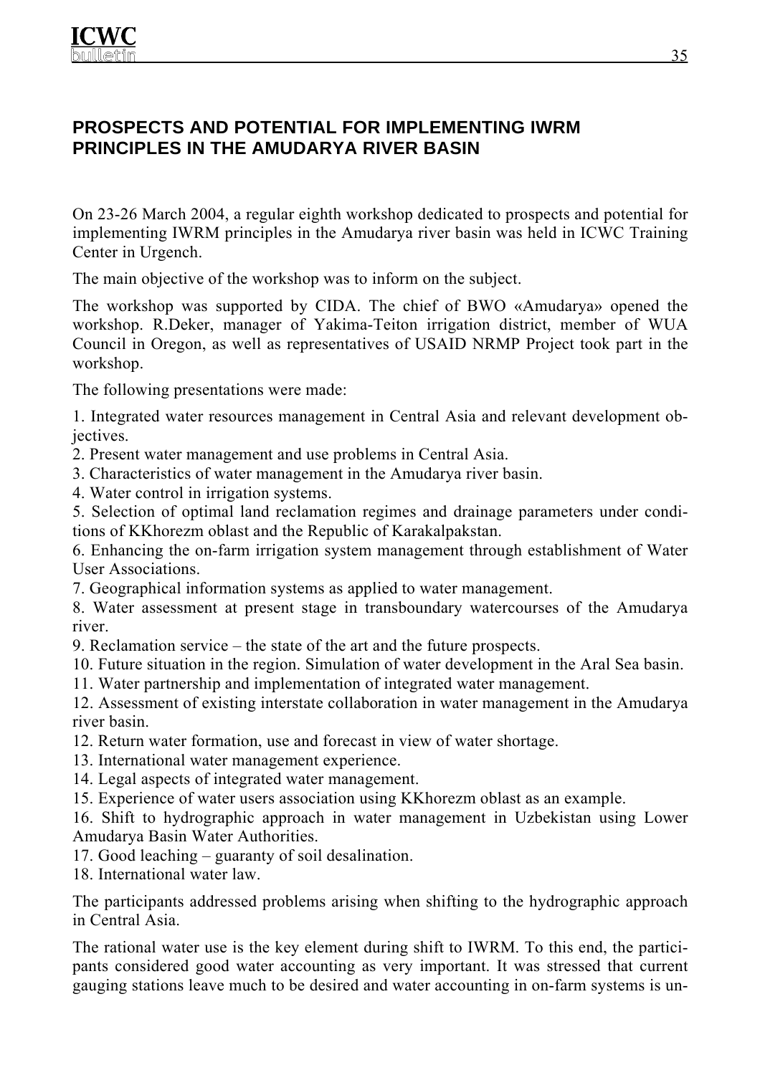## **PROSPECTS AND POTENTIAL FOR IMPLEMENTING IWRM PRINCIPLES IN THE AMUDARYA RIVER BASIN**

On 23-26 March 2004, a regular eighth workshop dedicated to prospects and potential for implementing IWRM principles in the Amudarya river basin was held in ICWC Training Center in Urgench.

The main objective of the workshop was to inform on the subject.

The workshop was supported by CIDA. The chief of BWO «Amudarya» opened the workshop. R.Deker, manager of Yakima-Teiton irrigation district, member of WUA Council in Oregon, as well as representatives of USAID NRMP Project took part in the workshop.

The following presentations were made:

1. Integrated water resources management in Central Asia and relevant development objectives.

2. Present water management and use problems in Central Asia.

3. Characteristics of water management in the Amudarya river basin.

4. Water control in irrigation systems.

5. Selection of optimal land reclamation regimes and drainage parameters under conditions of KKhorezm oblast and the Republic of Karakalpakstan.

6. Enhancing the on-farm irrigation system management through establishment of Water User Associations.

7. Geographical information systems as applied to water management.

8. Water assessment at present stage in transboundary watercourses of the Amudarya river.

9. Reclamation service – the state of the art and the future prospects.

10. Future situation in the region. Simulation of water development in the Aral Sea basin.

11. Water partnership and implementation of integrated water management.

12. Assessment of existing interstate collaboration in water management in the Amudarya river basin.

12. Return water formation, use and forecast in view of water shortage.

- 13. International water management experience.
- 14. Legal aspects of integrated water management.

15. Experience of water users association using KKhorezm oblast as an example.

16. Shift to hydrographic approach in water management in Uzbekistan using Lower Amudarya Basin Water Authorities.

17. Good leaching – guaranty of soil desalination.

18. International water law.

The participants addressed problems arising when shifting to the hydrographic approach in Central Asia.

The rational water use is the key element during shift to IWRM. To this end, the participants considered good water accounting as very important. It was stressed that current gauging stations leave much to be desired and water accounting in on-farm systems is un-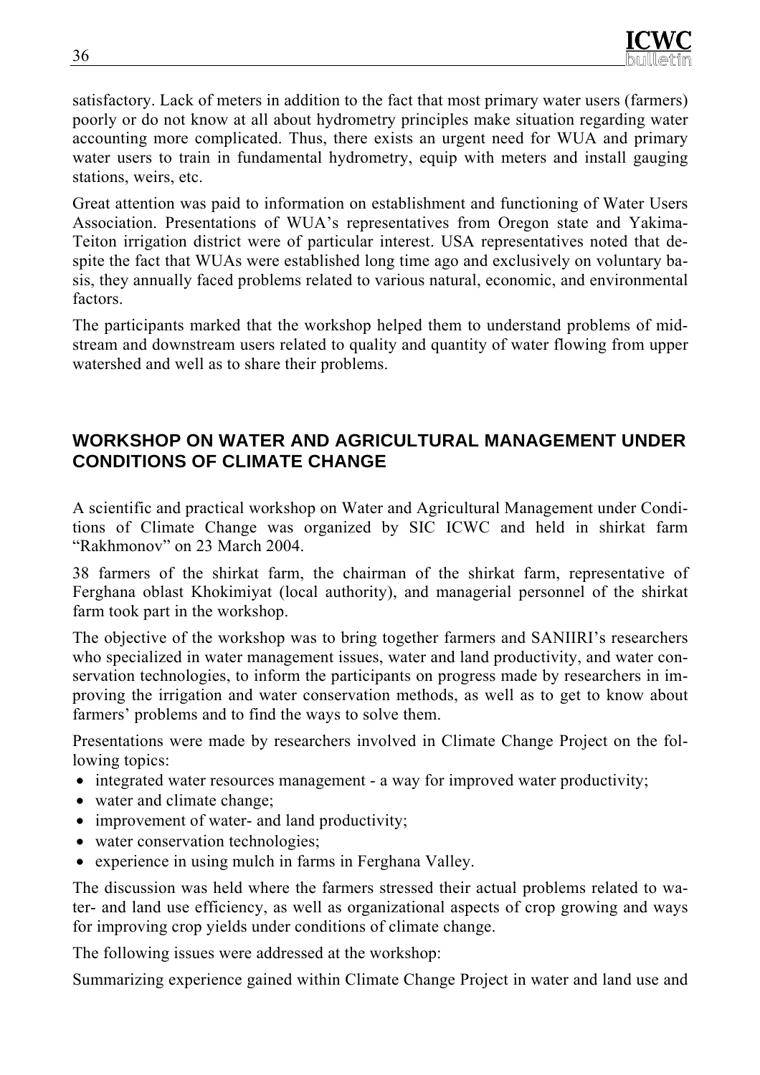satisfactory. Lack of meters in addition to the fact that most primary water users (farmers) poorly or do not know at all about hydrometry principles make situation regarding water accounting more complicated. Thus, there exists an urgent need for WUA and primary water users to train in fundamental hydrometry, equip with meters and install gauging stations, weirs, etc.

Great attention was paid to information on establishment and functioning of Water Users Association. Presentations of WUA's representatives from Oregon state and Yakima-Teiton irrigation district were of particular interest. USA representatives noted that despite the fact that WUAs were established long time ago and exclusively on voluntary basis, they annually faced problems related to various natural, economic, and environmental factors.

The participants marked that the workshop helped them to understand problems of midstream and downstream users related to quality and quantity of water flowing from upper watershed and well as to share their problems.

## **WORKSHOP ON WATER AND AGRICULTURAL MANAGEMENT UNDER CONDITIONS OF CLIMATE CHANGE**

A scientific and practical workshop on Water and Agricultural Management under Conditions of Climate Change was organized by SIC ICWC and held in shirkat farm "Rakhmonov" on 23 March 2004.

38 farmers of the shirkat farm, the chairman of the shirkat farm, representative of Ferghana oblast Khokimiyat (local authority), and managerial personnel of the shirkat farm took part in the workshop.

The objective of the workshop was to bring together farmers and SANIIRI's researchers who specialized in water management issues, water and land productivity, and water conservation technologies, to inform the participants on progress made by researchers in improving the irrigation and water conservation methods, as well as to get to know about farmers' problems and to find the ways to solve them.

Presentations were made by researchers involved in Climate Change Project on the following topics:

- integrated water resources management a way for improved water productivity;
- water and climate change;
- improvement of water- and land productivity;
- water conservation technologies;
- experience in using mulch in farms in Ferghana Valley.

The discussion was held where the farmers stressed their actual problems related to water- and land use efficiency, as well as organizational aspects of crop growing and ways for improving crop yields under conditions of climate change.

The following issues were addressed at the workshop:

Summarizing experience gained within Climate Change Project in water and land use and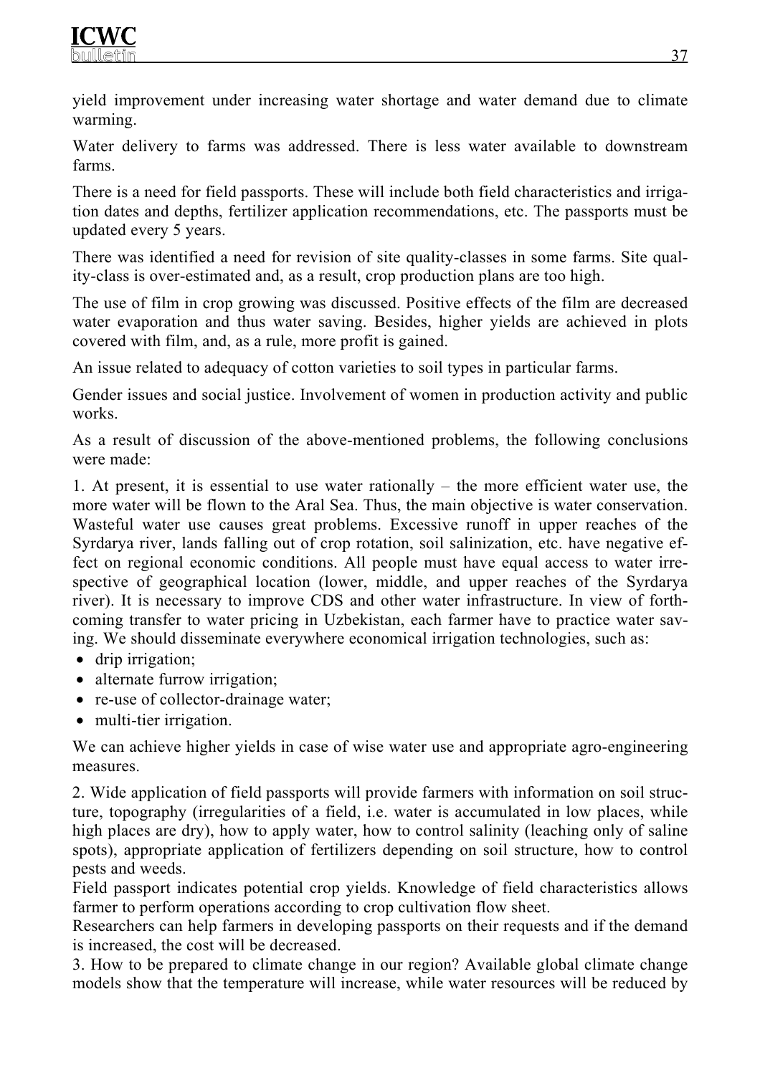yield improvement under increasing water shortage and water demand due to climate warming.

Water delivery to farms was addressed. There is less water available to downstream farms.

There is a need for field passports. These will include both field characteristics and irrigation dates and depths, fertilizer application recommendations, etc. The passports must be updated every 5 years.

There was identified a need for revision of site quality-classes in some farms. Site quality-class is over-estimated and, as a result, crop production plans are too high.

The use of film in crop growing was discussed. Positive effects of the film are decreased water evaporation and thus water saving. Besides, higher yields are achieved in plots covered with film, and, as a rule, more profit is gained.

An issue related to adequacy of cotton varieties to soil types in particular farms.

Gender issues and social justice. Involvement of women in production activity and public works.

As a result of discussion of the above-mentioned problems, the following conclusions were made:

1. At present, it is essential to use water rationally – the more efficient water use, the more water will be flown to the Aral Sea. Thus, the main objective is water conservation. Wasteful water use causes great problems. Excessive runoff in upper reaches of the Syrdarya river, lands falling out of crop rotation, soil salinization, etc. have negative effect on regional economic conditions. All people must have equal access to water irrespective of geographical location (lower, middle, and upper reaches of the Syrdarya river). It is necessary to improve CDS and other water infrastructure. In view of forthcoming transfer to water pricing in Uzbekistan, each farmer have to practice water saving. We should disseminate everywhere economical irrigation technologies, such as:

- drip irrigation;
- alternate furrow irrigation;
- re-use of collector-drainage water;
- multi-tier irrigation.

We can achieve higher yields in case of wise water use and appropriate agro-engineering measures.

2. Wide application of field passports will provide farmers with information on soil structure, topography (irregularities of a field, i.e. water is accumulated in low places, while high places are dry), how to apply water, how to control salinity (leaching only of saline spots), appropriate application of fertilizers depending on soil structure, how to control pests and weeds.

Field passport indicates potential crop yields. Knowledge of field characteristics allows farmer to perform operations according to crop cultivation flow sheet.

Researchers can help farmers in developing passports on their requests and if the demand is increased, the cost will be decreased.

3. How to be prepared to climate change in our region? Available global climate change models show that the temperature will increase, while water resources will be reduced by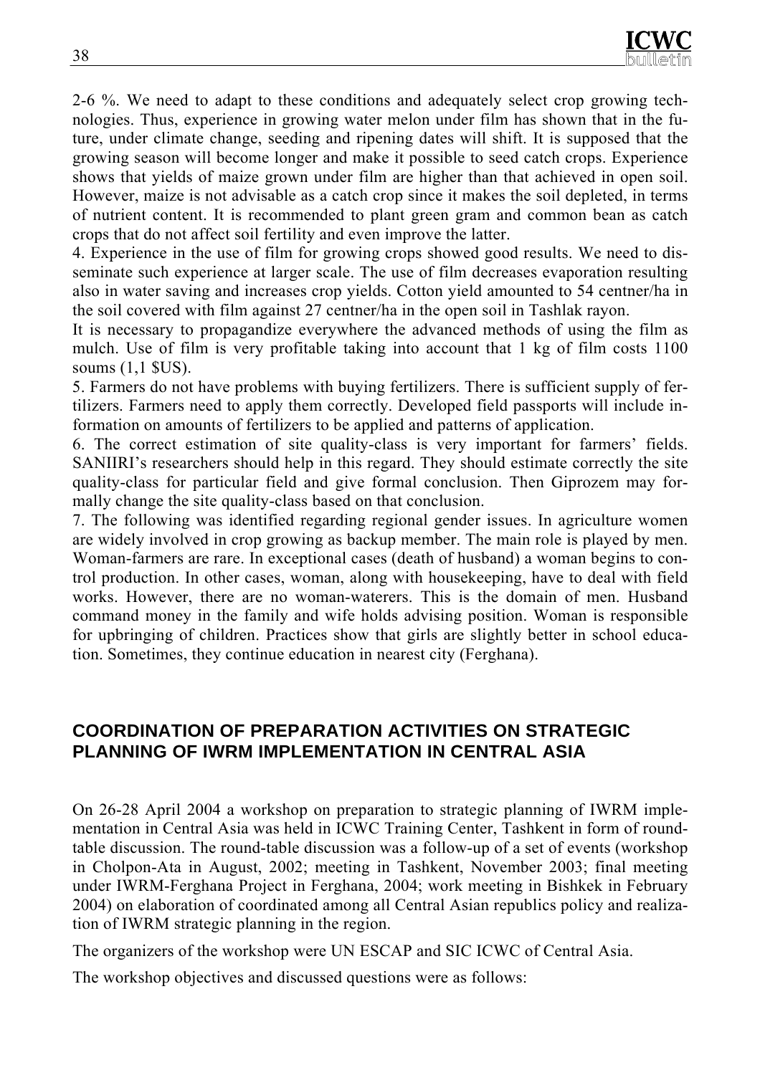2-6 %. We need to adapt to these conditions and adequately select crop growing technologies. Thus, experience in growing water melon under film has shown that in the future, under climate change, seeding and ripening dates will shift. It is supposed that the growing season will become longer and make it possible to seed catch crops. Experience shows that yields of maize grown under film are higher than that achieved in open soil. However, maize is not advisable as a catch crop since it makes the soil depleted, in terms of nutrient content. It is recommended to plant green gram and common bean as catch crops that do not affect soil fertility and even improve the latter.

4. Experience in the use of film for growing crops showed good results. We need to disseminate such experience at larger scale. The use of film decreases evaporation resulting also in water saving and increases crop yields. Cotton yield amounted to 54 centner/ha in the soil covered with film against 27 centner/ha in the open soil in Tashlak rayon.

It is necessary to propagandize everywhere the advanced methods of using the film as mulch. Use of film is very profitable taking into account that 1 kg of film costs 1100 soums (1,1 \$US).

5. Farmers do not have problems with buying fertilizers. There is sufficient supply of fertilizers. Farmers need to apply them correctly. Developed field passports will include information on amounts of fertilizers to be applied and patterns of application.

6. The correct estimation of site quality-class is very important for farmers' fields. SANIIRI's researchers should help in this regard. They should estimate correctly the site quality-class for particular field and give formal conclusion. Then Giprozem may formally change the site quality-class based on that conclusion.

7. The following was identified regarding regional gender issues. In agriculture women are widely involved in crop growing as backup member. The main role is played by men. Woman-farmers are rare. In exceptional cases (death of husband) a woman begins to control production. In other cases, woman, along with housekeeping, have to deal with field works. However, there are no woman-waterers. This is the domain of men. Husband command money in the family and wife holds advising position. Woman is responsible for upbringing of children. Practices show that girls are slightly better in school education. Sometimes, they continue education in nearest city (Ferghana).

## **COORDINATION OF PREPARATION ACTIVITIES ON STRATEGIC PLANNING OF IWRM IMPLEMENTATION IN CENTRAL ASIA**

On 26-28 April 2004 a workshop on preparation to strategic planning of IWRM implementation in Central Asia was held in ICWC Training Center, Tashkent in form of roundtable discussion. The round-table discussion was a follow-up of a set of events (workshop in Cholpon-Ata in August, 2002; meeting in Tashkent, November 2003; final meeting under IWRM-Ferghana Project in Ferghana, 2004; work meeting in Bishkek in February 2004) on elaboration of coordinated among all Central Asian republics policy and realization of IWRM strategic planning in the region.

The organizers of the workshop were UN ESCAP and SIC ICWC of Central Asia.

The workshop objectives and discussed questions were as follows: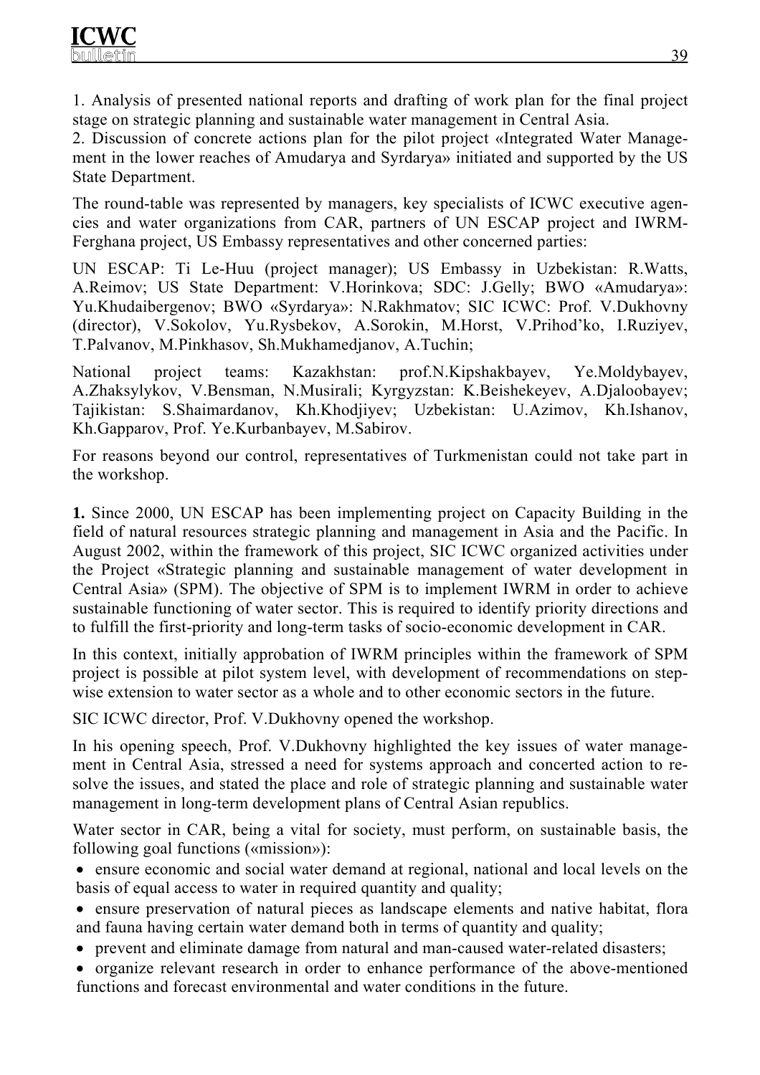1. Analysis of presented national reports and drafting of work plan for the final project stage on strategic planning and sustainable water management in Central Asia.

2. Discussion of concrete actions plan for the pilot project «Integrated Water Management in the lower reaches of Amudarya and Syrdarya» initiated and supported by the US State Department.

The round-table was represented by managers, key specialists of ICWC executive agencies and water organizations from CAR, partners of UN ESCAP project and IWRM-Ferghana project, US Embassy representatives and other concerned parties:

UN ESCAP: Ti Le-Huu (project manager); US Embassy in Uzbekistan: R.Watts, A.Reimov; US State Department: V.Horinkova; SDC: J.Gelly; BWO «Amudarya»: Yu.Khudaibergenov; BWO «Syrdarya»: N.Rakhmatov; SIC ICWC: Prof. V.Dukhovny (director), V.Sokolov, Yu.Rysbekov, A.Sorokin, M.Horst, V.Prihod'ko, I.Ruziyev, T.Palvanov, M.Pinkhasov, Sh.Mukhamedjanov, A.Tuchin;

National project teams: Kazakhstan: prof.N.Kipshakbayev, Ye.Moldybayev, A.Zhaksylykov, V.Bensman, N.Musirali; Kyrgyzstan: K.Beishekeyev, A.Djaloobayev; Tajikistan: S.Shaimardanov, Kh.Khodjiyev; Uzbekistan: U.Azimov, Kh.Ishanov, Kh.Gapparov, Prof. Ye.Kurbanbayev, M.Sabirov.

For reasons beyond our control, representatives of Turkmenistan could not take part in the workshop.

**1.** Since 2000, UN ESCAP has been implementing project on Capacity Building in the field of natural resources strategic planning and management in Asia and the Pacific. In August 2002, within the framework of this project, SIC ICWC organized activities under the Project «Strategic planning and sustainable management of water development in Central Asia» (SPM). The objective of SPM is to implement IWRM in order to achieve sustainable functioning of water sector. This is required to identify priority directions and to fulfill the first-priority and long-term tasks of socio-economic development in CAR.

In this context, initially approbation of IWRM principles within the framework of SPM project is possible at pilot system level, with development of recommendations on stepwise extension to water sector as a whole and to other economic sectors in the future.

SIC ICWC director, Prof. V.Dukhovny opened the workshop.

In his opening speech, Prof. V.Dukhovny highlighted the key issues of water management in Central Asia, stressed a need for systems approach and concerted action to resolve the issues, and stated the place and role of strategic planning and sustainable water management in long-term development plans of Central Asian republics.

Water sector in CAR, being a vital for society, must perform, on sustainable basis, the following goal functions («mission»):

- ensure economic and social water demand at regional, national and local levels on the basis of equal access to water in required quantity and quality;
- ensure preservation of natural pieces as landscape elements and native habitat, flora and fauna having certain water demand both in terms of quantity and quality;
- prevent and eliminate damage from natural and man-caused water-related disasters;
- organize relevant research in order to enhance performance of the above-mentioned functions and forecast environmental and water conditions in the future.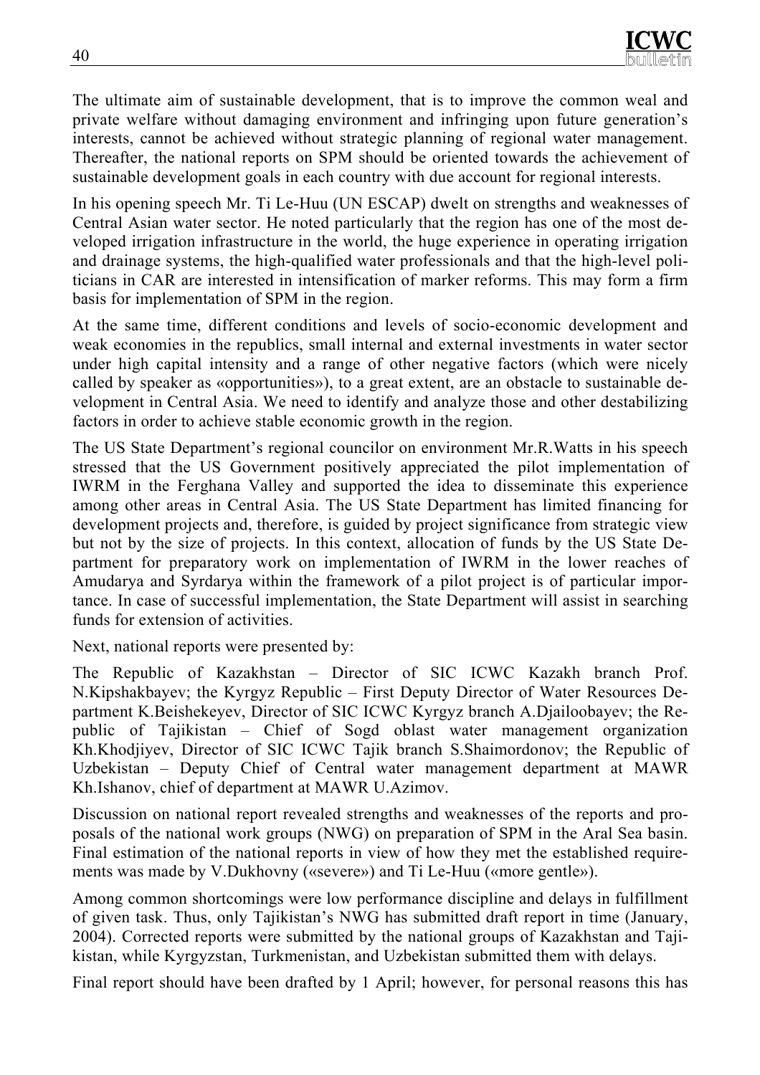The ultimate aim of sustainable development, that is to improve the common weal and private welfare without damaging environment and infringing upon future generation's interests, cannot be achieved without strategic planning of regional water management. Thereafter, the national reports on SPM should be oriented towards the achievement of sustainable development goals in each country with due account for regional interests.

In his opening speech Mr. Ti Le-Huu (UN ESCAP) dwelt on strengths and weaknesses of Central Asian water sector. He noted particularly that the region has one of the most developed irrigation infrastructure in the world, the huge experience in operating irrigation and drainage systems, the high-qualified water professionals and that the high-level politicians in CAR are interested in intensification of marker reforms. This may form a firm basis for implementation of SPM in the region.

At the same time, different conditions and levels of socio-economic development and weak economies in the republics, small internal and external investments in water sector under high capital intensity and a range of other negative factors (which were nicely called by speaker as «opportunities»), to a great extent, are an obstacle to sustainable development in Central Asia. We need to identify and analyze those and other destabilizing factors in order to achieve stable economic growth in the region.

The US State Department's regional councilor on environment Mr.R.Watts in his speech stressed that the US Government positively appreciated the pilot implementation of IWRM in the Ferghana Valley and supported the idea to disseminate this experience among other areas in Central Asia. The US State Department has limited financing for development projects and, therefore, is guided by project significance from strategic view but not by the size of projects. In this context, allocation of funds by the US State Department for preparatory work on implementation of IWRM in the lower reaches of Amudarya and Syrdarya within the framework of a pilot project is of particular importance. In case of successful implementation, the State Department will assist in searching funds for extension of activities.

Next, national reports were presented by:

The Republic of Kazakhstan – Director of SIC ICWC Kazakh branch Prof. N.Kipshakbayev; the Kyrgyz Republic – First Deputy Director of Water Resources Department K.Beishekeyev, Director of SIC ICWC Kyrgyz branch A.Djailoobayev; the Republic of Tajikistan – Chief of Sogd oblast water management organization Kh.Khodjiyev, Director of SIC ICWC Tajik branch S.Shaimordonov; the Republic of Uzbekistan – Deputy Chief of Central water management department at MAWR Kh.Ishanov, chief of department at MAWR U.Azimov.

Discussion on national report revealed strengths and weaknesses of the reports and proposals of the national work groups (NWG) on preparation of SPM in the Aral Sea basin. Final estimation of the national reports in view of how they met the established requirements was made by V.Dukhovny («severe») and Ti Le-Huu («more gentle»).

Among common shortcomings were low performance discipline and delays in fulfillment of given task. Thus, only Tajikistan's NWG has submitted draft report in time (January, 2004). Corrected reports were submitted by the national groups of Kazakhstan and Tajikistan, while Kyrgyzstan, Turkmenistan, and Uzbekistan submitted them with delays.

Final report should have been drafted by 1 April; however, for personal reasons this has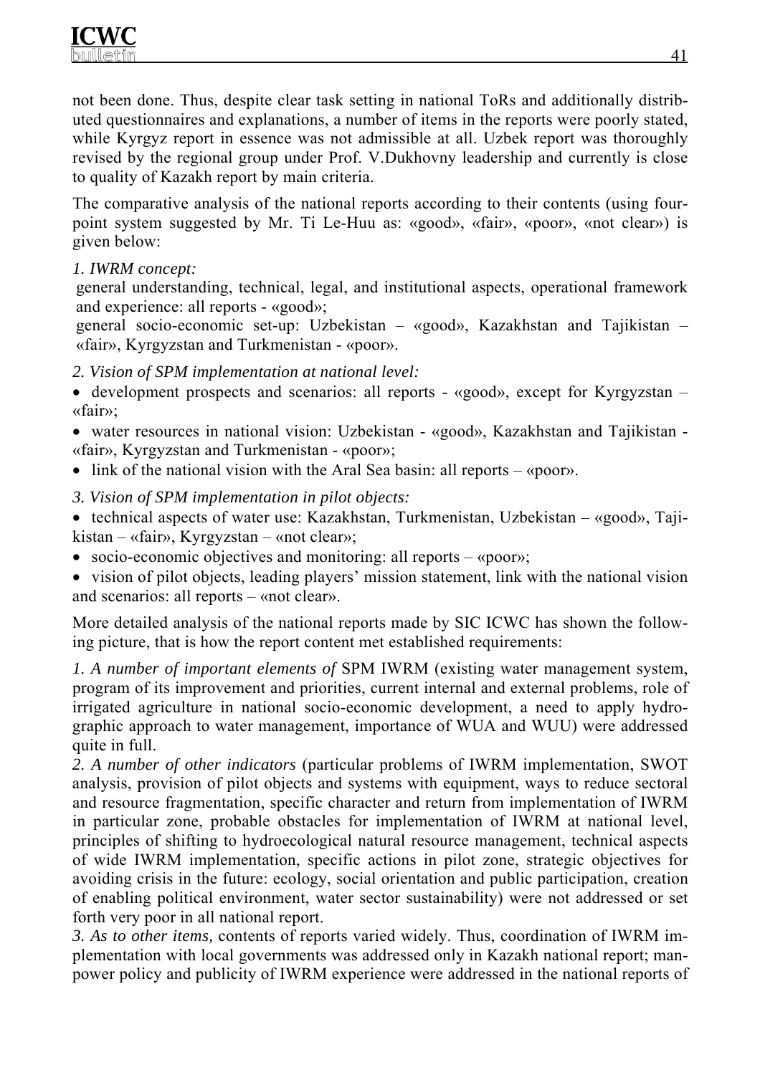not been done. Thus, despite clear task setting in national ToRs and additionally distributed questionnaires and explanations, a number of items in the reports were poorly stated, while Kyrgyz report in essence was not admissible at all. Uzbek report was thoroughly revised by the regional group under Prof. V.Dukhovny leadership and currently is close to quality of Kazakh report by main criteria.

The comparative analysis of the national reports according to their contents (using fourpoint system suggested by Mr. Ti Le-Huu as: «good», «fair», «poor», «not clear») is given below:

## *1. IWRM concept:*

general understanding, technical, legal, and institutional aspects, operational framework and experience: all reports - «good»;

general socio-economic set-up: Uzbekistan – «good», Kazakhstan and Tajikistan – «fair», Kyrgyzstan and Turkmenistan - «poor».

## *2. Vision of SPM implementation at national level:*

• development prospects and scenarios: all reports - «good», except for Kyrgyzstan – «fair»;

• water resources in national vision: Uzbekistan - «good», Kazakhstan and Tajikistan -«fair», Kyrgyzstan and Turkmenistan - «poor»;

- link of the national vision with the Aral Sea basin: all reports «poor».
- *3. Vision of SPM implementation in pilot objects:*

• technical aspects of water use: Kazakhstan, Turkmenistan, Uzbekistan – «good», Tajikistan – «fair», Kyrgyzstan – «not clear»;

• socio-economic objectives and monitoring: all reports – «poor»;

• vision of pilot objects, leading players' mission statement, link with the national vision and scenarios: all reports – «not clear».

More detailed analysis of the national reports made by SIC ICWC has shown the following picture, that is how the report content met established requirements:

*1. A number of important elements of* SPM IWRM (existing water management system, program of its improvement and priorities, current internal and external problems, role of irrigated agriculture in national socio-economic development, a need to apply hydrographic approach to water management, importance of WUA and WUU) were addressed quite in full.

*2. A number of other indicators* (particular problems of IWRM implementation, SWOT analysis, provision of pilot objects and systems with equipment, ways to reduce sectoral and resource fragmentation, specific character and return from implementation of IWRM in particular zone, probable obstacles for implementation of IWRM at national level, principles of shifting to hydroecological natural resource management, technical aspects of wide IWRM implementation, specific actions in pilot zone, strategic objectives for avoiding crisis in the future: ecology, social orientation and public participation, creation of enabling political environment, water sector sustainability) were not addressed or set forth very poor in all national report.

*3. As to other items,* contents of reports varied widely. Thus, coordination of IWRM implementation with local governments was addressed only in Kazakh national report; manpower policy and publicity of IWRM experience were addressed in the national reports of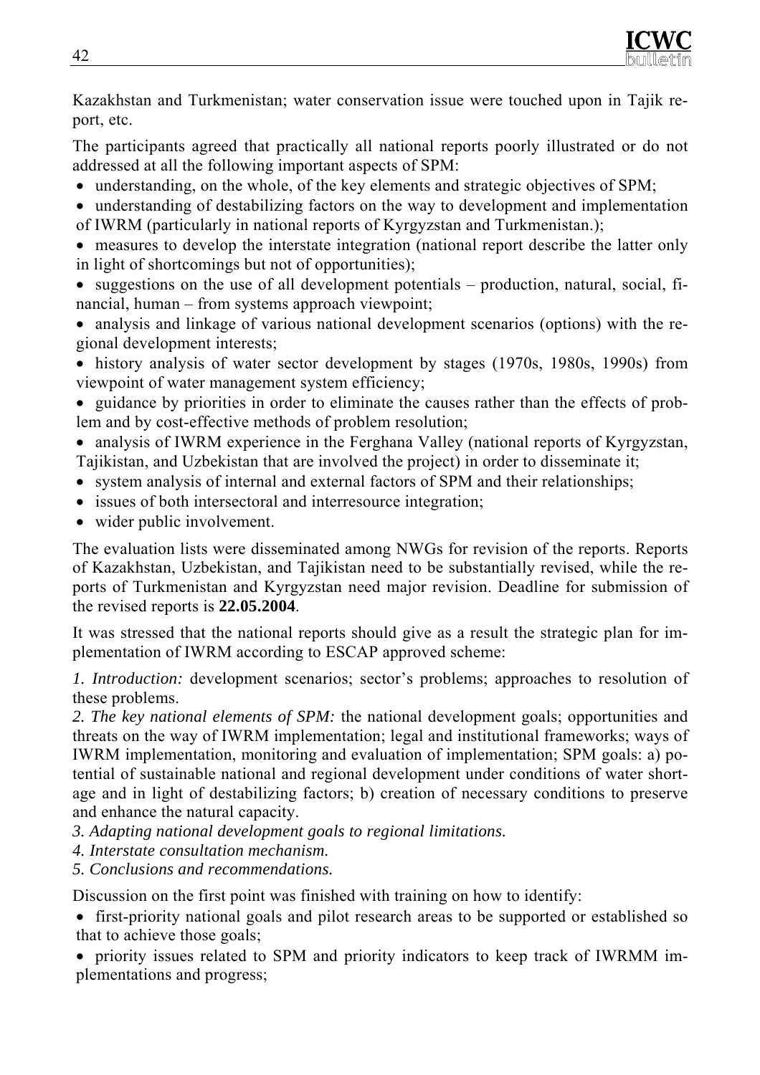Kazakhstan and Turkmenistan; water conservation issue were touched upon in Tajik report, etc.

The participants agreed that practically all national reports poorly illustrated or do not addressed at all the following important aspects of SPM:

- understanding, on the whole, of the key elements and strategic objectives of SPM;
- understanding of destabilizing factors on the way to development and implementation of IWRM (particularly in national reports of Kyrgyzstan and Turkmenistan.);
- measures to develop the interstate integration (national report describe the latter only in light of shortcomings but not of opportunities);
- suggestions on the use of all development potentials production, natural, social, financial, human – from systems approach viewpoint;
- analysis and linkage of various national development scenarios (options) with the regional development interests;
- history analysis of water sector development by stages (1970s, 1980s, 1990s) from viewpoint of water management system efficiency;

• guidance by priorities in order to eliminate the causes rather than the effects of problem and by cost-effective methods of problem resolution;

• analysis of IWRM experience in the Ferghana Valley (national reports of Kyrgyzstan, Tajikistan, and Uzbekistan that are involved the project) in order to disseminate it;

- system analysis of internal and external factors of SPM and their relationships;
- issues of both intersectoral and interresource integration;
- wider public involvement.

The evaluation lists were disseminated among NWGs for revision of the reports. Reports of Kazakhstan, Uzbekistan, and Tajikistan need to be substantially revised, while the reports of Turkmenistan and Kyrgyzstan need major revision. Deadline for submission of the revised reports is **22.05.2004**.

It was stressed that the national reports should give as a result the strategic plan for implementation of IWRM according to ESCAP approved scheme:

*1. Introduction:* development scenarios; sector's problems; approaches to resolution of these problems.

*2. The key national elements of SPM:* the national development goals; opportunities and threats on the way of IWRM implementation; legal and institutional frameworks; ways of IWRM implementation, monitoring and evaluation of implementation; SPM goals: a) potential of sustainable national and regional development under conditions of water shortage and in light of destabilizing factors; b) creation of necessary conditions to preserve and enhance the natural capacity.

- *3. Adapting national development goals to regional limitations.*
- *4. Interstate consultation mechanism.*
- *5. Conclusions and recommendations.*

Discussion on the first point was finished with training on how to identify:

• first-priority national goals and pilot research areas to be supported or established so that to achieve those goals;

• priority issues related to SPM and priority indicators to keep track of IWRMM implementations and progress;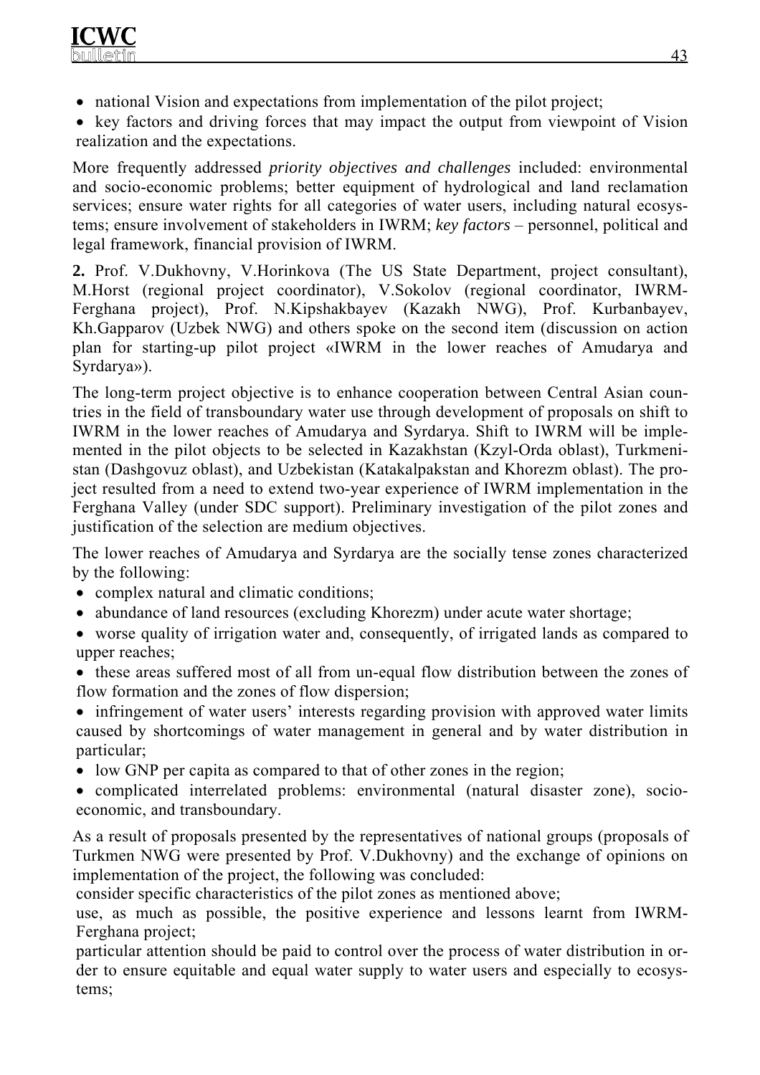• national Vision and expectations from implementation of the pilot project;

• key factors and driving forces that may impact the output from viewpoint of Vision realization and the expectations.

More frequently addressed *priority objectives and challenges* included: environmental and socio-economic problems; better equipment of hydrological and land reclamation services; ensure water rights for all categories of water users, including natural ecosystems; ensure involvement of stakeholders in IWRM; *key factors* – personnel, political and legal framework, financial provision of IWRM.

**2.** Prof. V.Dukhovny, V.Horinkova (The US State Department, project consultant), M.Horst (regional project coordinator), V.Sokolov (regional coordinator, IWRM-Ferghana project), Prof. N.Kipshakbayev (Kazakh NWG), Prof. Kurbanbayev, Kh.Gapparov (Uzbek NWG) and others spoke on the second item (discussion on action plan for starting-up pilot project «IWRM in the lower reaches of Amudarya and Syrdarya»).

The long-term project objective is to enhance cooperation between Central Asian countries in the field of transboundary water use through development of proposals on shift to IWRM in the lower reaches of Amudarya and Syrdarya. Shift to IWRM will be implemented in the pilot objects to be selected in Kazakhstan (Kzyl-Orda oblast), Turkmenistan (Dashgovuz oblast), and Uzbekistan (Katakalpakstan and Khorezm oblast). The project resulted from a need to extend two-year experience of IWRM implementation in the Ferghana Valley (under SDC support). Preliminary investigation of the pilot zones and justification of the selection are medium objectives.

The lower reaches of Amudarya and Syrdarya are the socially tense zones characterized by the following:

- complex natural and climatic conditions;
- abundance of land resources (excluding Khorezm) under acute water shortage;
- worse quality of irrigation water and, consequently, of irrigated lands as compared to upper reaches;
- these areas suffered most of all from un-equal flow distribution between the zones of flow formation and the zones of flow dispersion;
- infringement of water users' interests regarding provision with approved water limits caused by shortcomings of water management in general and by water distribution in particular;
- low GNP per capita as compared to that of other zones in the region;
- complicated interrelated problems: environmental (natural disaster zone), socioeconomic, and transboundary.

As a result of proposals presented by the representatives of national groups (proposals of Turkmen NWG were presented by Prof. V.Dukhovny) and the exchange of opinions on implementation of the project, the following was concluded:

consider specific characteristics of the pilot zones as mentioned above;

use, as much as possible, the positive experience and lessons learnt from IWRM-Ferghana project;

particular attention should be paid to control over the process of water distribution in order to ensure equitable and equal water supply to water users and especially to ecosystems;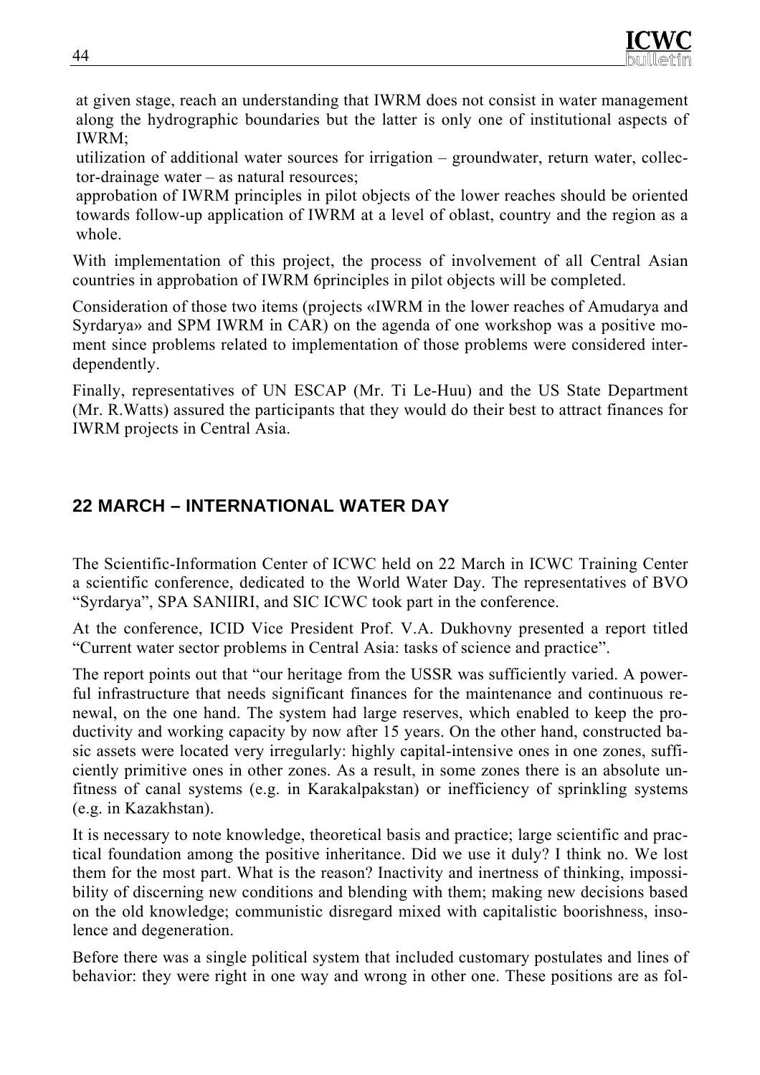at given stage, reach an understanding that IWRM does not consist in water management along the hydrographic boundaries but the latter is only one of institutional aspects of IWRM;

utilization of additional water sources for irrigation – groundwater, return water, collector-drainage water – as natural resources;

approbation of IWRM principles in pilot objects of the lower reaches should be oriented towards follow-up application of IWRM at a level of oblast, country and the region as a whole.

With implementation of this project, the process of involvement of all Central Asian countries in approbation of IWRM 6principles in pilot objects will be completed.

Consideration of those two items (projects «IWRM in the lower reaches of Amudarya and Syrdarya» and SPM IWRM in CAR) on the agenda of one workshop was a positive moment since problems related to implementation of those problems were considered interdependently.

Finally, representatives of UN ESCAP (Mr. Ti Le-Huu) and the US State Department (Mr. R.Watts) assured the participants that they would do their best to attract finances for IWRM projects in Central Asia.

# **22 MARCH – INTERNATIONAL WATER DAY**

The Scientific-Information Center of ICWC held on 22 March in ICWC Training Center a scientific conference, dedicated to the World Water Day. The representatives of BVO "Syrdarya", SPA SANIIRI, and SIC ICWC took part in the conference.

At the conference, ICID Vice President Prof. V.A. Dukhovny presented a report titled "Current water sector problems in Central Asia: tasks of science and practice".

The report points out that "our heritage from the USSR was sufficiently varied. A powerful infrastructure that needs significant finances for the maintenance and continuous renewal, on the one hand. The system had large reserves, which enabled to keep the productivity and working capacity by now after 15 years. On the other hand, constructed basic assets were located very irregularly: highly capital-intensive ones in one zones, sufficiently primitive ones in other zones. As a result, in some zones there is an absolute unfitness of canal systems (e.g. in Karakalpakstan) or inefficiency of sprinkling systems (e.g. in Kazakhstan).

It is necessary to note knowledge, theoretical basis and practice; large scientific and practical foundation among the positive inheritance. Did we use it duly? I think no. We lost them for the most part. What is the reason? Inactivity and inertness of thinking, impossibility of discerning new conditions and blending with them; making new decisions based on the old knowledge; communistic disregard mixed with capitalistic boorishness, insolence and degeneration.

Before there was a single political system that included customary postulates and lines of behavior: they were right in one way and wrong in other one. These positions are as fol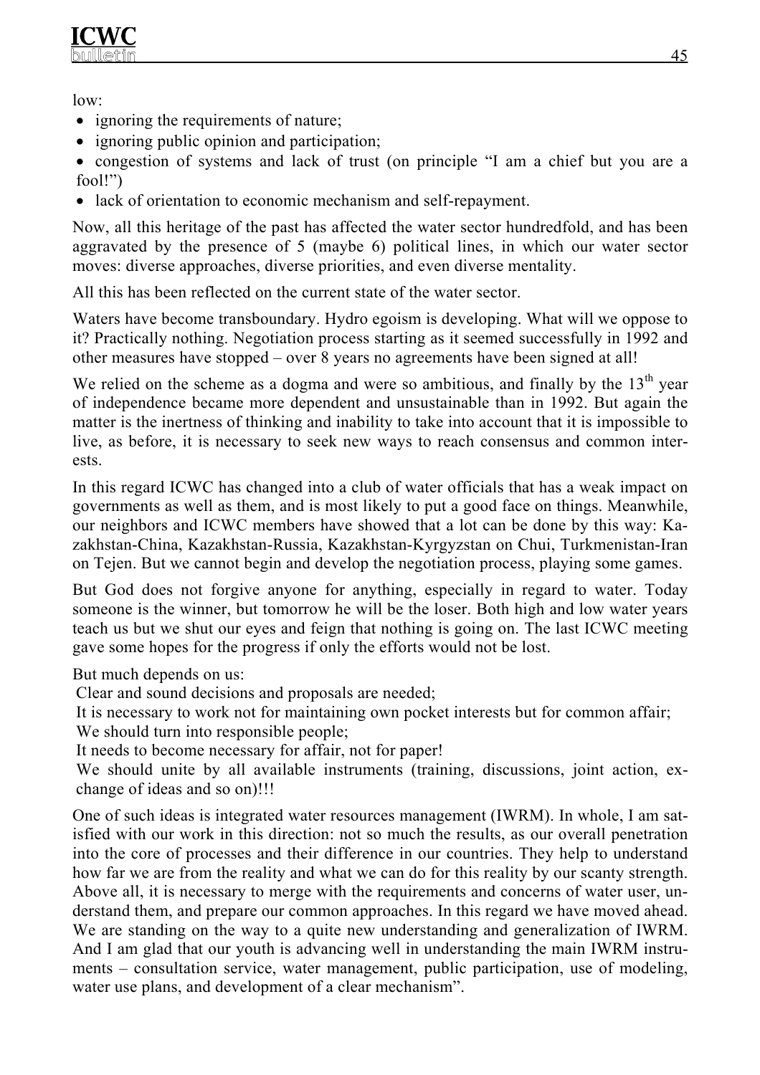low:

- ignoring the requirements of nature;
- ignoring public opinion and participation;

• congestion of systems and lack of trust (on principle "I am a chief but you are a fool!")

• lack of orientation to economic mechanism and self-repayment.

Now, all this heritage of the past has affected the water sector hundredfold, and has been aggravated by the presence of 5 (maybe 6) political lines, in which our water sector moves: diverse approaches, diverse priorities, and even diverse mentality.

All this has been reflected on the current state of the water sector.

Waters have become transboundary. Hydro egoism is developing. What will we oppose to it? Practically nothing. Negotiation process starting as it seemed successfully in 1992 and other measures have stopped – over 8 years no agreements have been signed at all!

We relied on the scheme as a dogma and were so ambitious, and finally by the  $13<sup>th</sup>$  year of independence became more dependent and unsustainable than in 1992. But again the matter is the inertness of thinking and inability to take into account that it is impossible to live, as before, it is necessary to seek new ways to reach consensus and common interests.

In this regard ICWC has changed into a club of water officials that has a weak impact on governments as well as them, and is most likely to put a good face on things. Meanwhile, our neighbors and ICWC members have showed that a lot can be done by this way: Kazakhstan-China, Kazakhstan-Russia, Kazakhstan-Kyrgyzstan on Chui, Turkmenistan-Iran on Tejen. But we cannot begin and develop the negotiation process, playing some games.

But God does not forgive anyone for anything, especially in regard to water. Today someone is the winner, but tomorrow he will be the loser. Both high and low water years teach us but we shut our eyes and feign that nothing is going on. The last ICWC meeting gave some hopes for the progress if only the efforts would not be lost.

But much depends on us:

Clear and sound decisions and proposals are needed;

It is necessary to work not for maintaining own pocket interests but for common affair;

We should turn into responsible people;

It needs to become necessary for affair, not for paper!

We should unite by all available instruments (training, discussions, joint action, exchange of ideas and so on)!!!

One of such ideas is integrated water resources management (IWRM). In whole, I am satisfied with our work in this direction: not so much the results, as our overall penetration into the core of processes and their difference in our countries. They help to understand how far we are from the reality and what we can do for this reality by our scanty strength. Above all, it is necessary to merge with the requirements and concerns of water user, understand them, and prepare our common approaches. In this regard we have moved ahead. We are standing on the way to a quite new understanding and generalization of IWRM. And I am glad that our youth is advancing well in understanding the main IWRM instruments – consultation service, water management, public participation, use of modeling, water use plans, and development of a clear mechanism".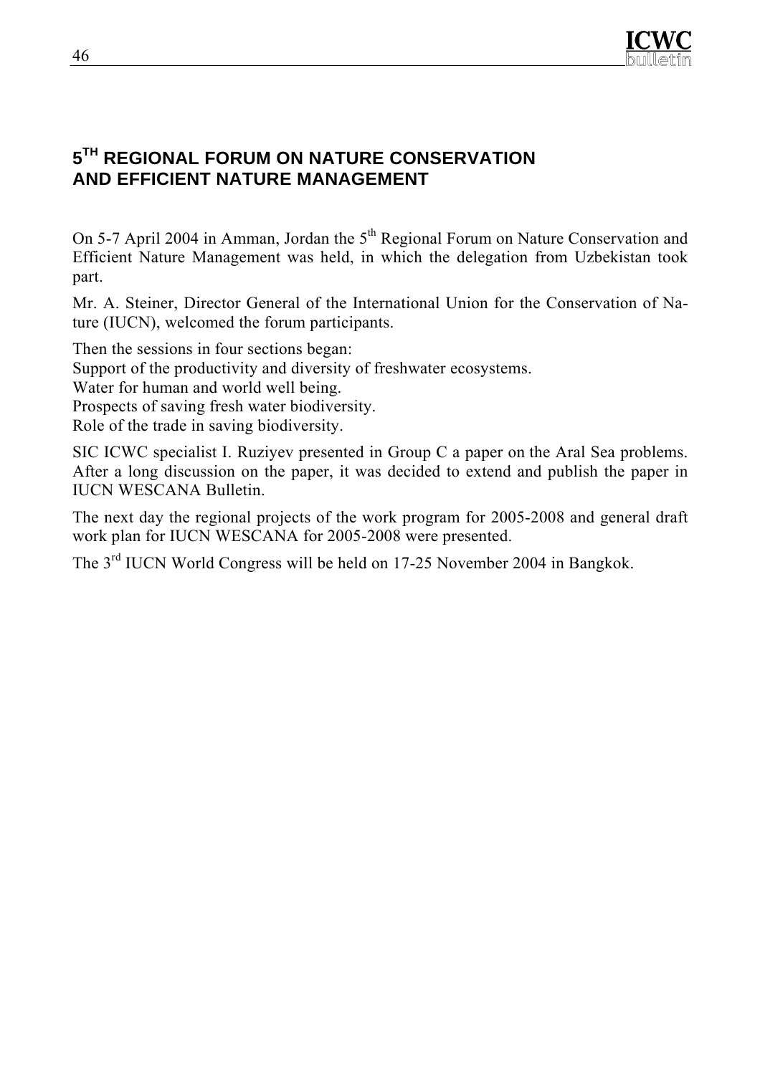

# **5TH REGIONAL FORUM ON NATURE CONSERVATION AND EFFICIENT NATURE MANAGEMENT**

On 5-7 April 2004 in Amman, Jordan the 5<sup>th</sup> Regional Forum on Nature Conservation and Efficient Nature Management was held, in which the delegation from Uzbekistan took part.

Mr. A. Steiner, Director General of the International Union for the Conservation of Nature (IUCN), welcomed the forum participants.

Then the sessions in four sections began:

Support of the productivity and diversity of freshwater ecosystems.

Water for human and world well being.

Prospects of saving fresh water biodiversity.

Role of the trade in saving biodiversity.

SIC ICWC specialist I. Ruziyev presented in Group C a paper on the Aral Sea problems. After a long discussion on the paper, it was decided to extend and publish the paper in IUCN WESCANA Bulletin.

The next day the regional projects of the work program for 2005-2008 and general draft work plan for IUCN WESCANA for 2005-2008 were presented.

The 3rd IUCN World Congress will be held on 17-25 November 2004 in Bangkok.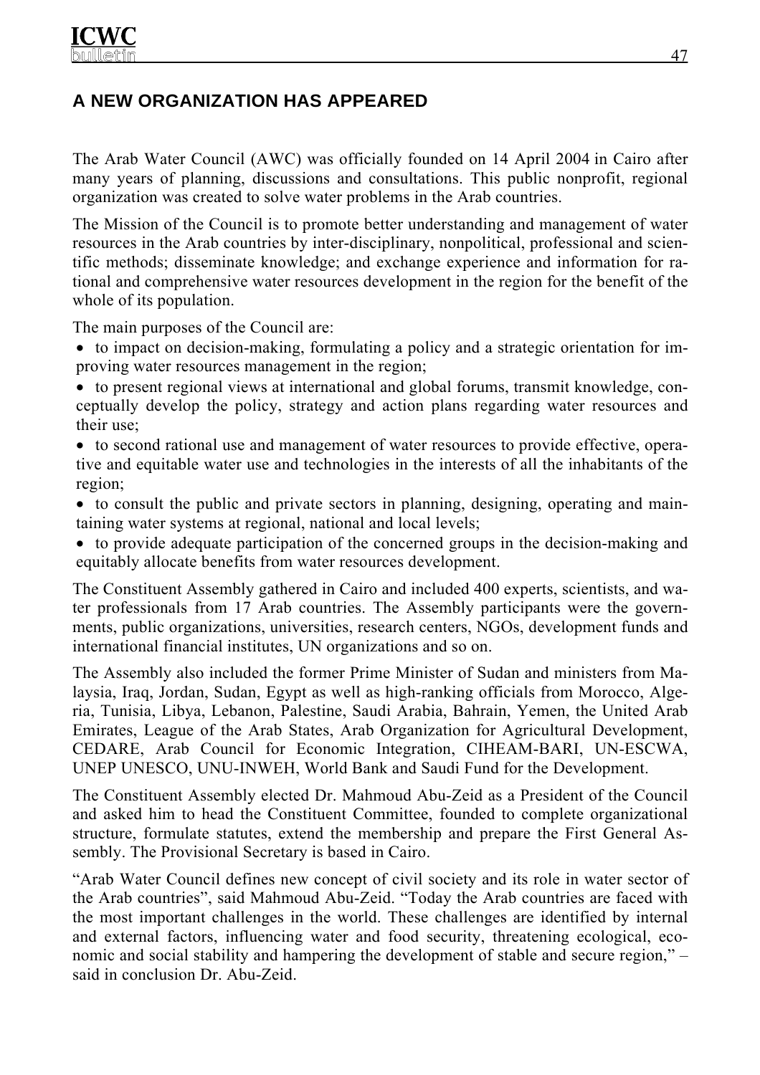# **A NEW ORGANIZATION HAS APPEARED**

The Arab Water Council (AWC) was officially founded on 14 April 2004 in Cairo after many years of planning, discussions and consultations. This public nonprofit, regional organization was created to solve water problems in the Arab countries.

The Mission of the Council is to promote better understanding and management of water resources in the Arab countries by inter-disciplinary, nonpolitical, professional and scientific methods; disseminate knowledge; and exchange experience and information for rational and comprehensive water resources development in the region for the benefit of the whole of its population.

The main purposes of the Council are:

- to impact on decision-making, formulating a policy and a strategic orientation for improving water resources management in the region;
- to present regional views at international and global forums, transmit knowledge, conceptually develop the policy, strategy and action plans regarding water resources and their use;
- to second rational use and management of water resources to provide effective, operative and equitable water use and technologies in the interests of all the inhabitants of the region;
- to consult the public and private sectors in planning, designing, operating and maintaining water systems at regional, national and local levels;
- to provide adequate participation of the concerned groups in the decision-making and equitably allocate benefits from water resources development.

The Constituent Assembly gathered in Cairo and included 400 experts, scientists, and water professionals from 17 Arab countries. The Assembly participants were the governments, public organizations, universities, research centers, NGOs, development funds and international financial institutes, UN organizations and so on.

The Assembly also included the former Prime Minister of Sudan and ministers from Malaysia, Iraq, Jordan, Sudan, Egypt as well as high-ranking officials from Morocco, Algeria, Tunisia, Libya, Lebanon, Palestine, Saudi Arabia, Bahrain, Yemen, the United Arab Emirates, League of the Arab States, Arab Organization for Agricultural Development, CEDARE, Arab Council for Economic Integration, CIHEAM-BARI, UN-ESCWA, UNEP UNESCO, UNU-INWEH, World Bank and Saudi Fund for the Development.

The Constituent Assembly elected Dr. Mahmoud Abu-Zeid as a President of the Council and asked him to head the Constituent Committee, founded to complete organizational structure, formulate statutes, extend the membership and prepare the First General Assembly. The Provisional Secretary is based in Cairo.

"Arab Water Council defines new concept of civil society and its role in water sector of the Arab countries", said Mahmoud Abu-Zeid. "Today the Arab countries are faced with the most important challenges in the world. These challenges are identified by internal and external factors, influencing water and food security, threatening ecological, economic and social stability and hampering the development of stable and secure region," – said in conclusion Dr. Abu-Zeid.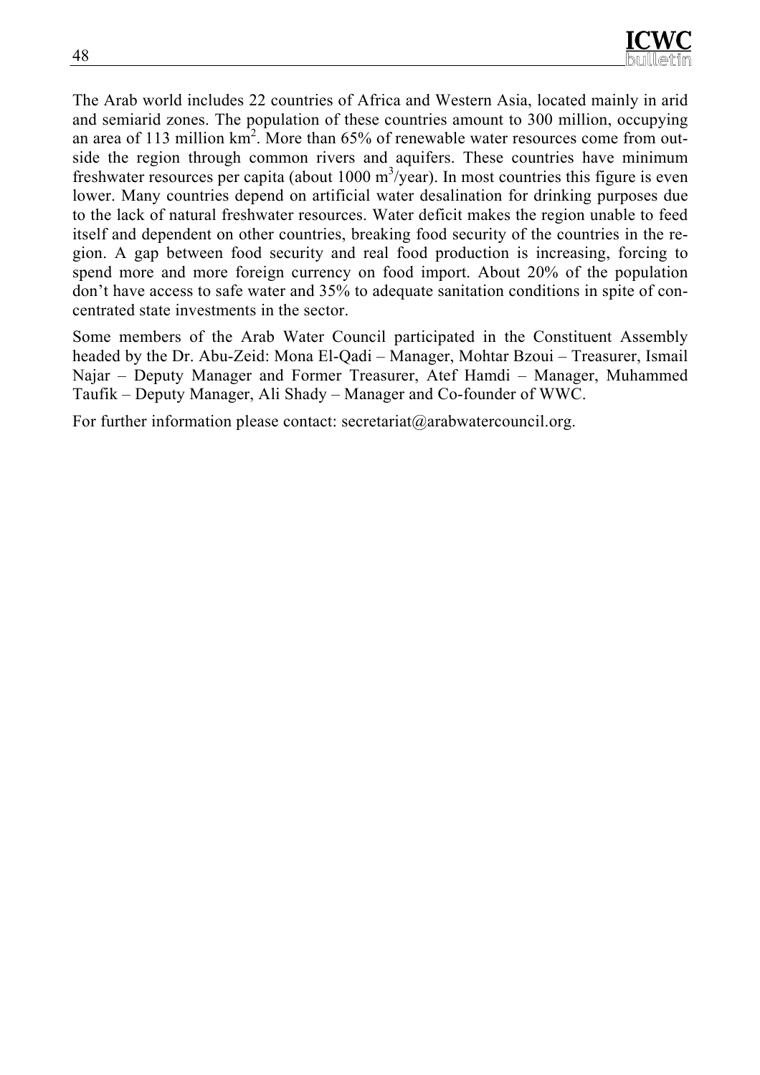The Arab world includes 22 countries of Africa and Western Asia, located mainly in arid and semiarid zones. The population of these countries amount to 300 million, occupying an area of 113 million  $km^2$ . More than 65% of renewable water resources come from outside the region through common rivers and aquifers. These countries have minimum freshwater resources per capita (about  $1000 \text{ m}^3/\text{year}$ ). In most countries this figure is even lower. Many countries depend on artificial water desalination for drinking purposes due to the lack of natural freshwater resources. Water deficit makes the region unable to feed itself and dependent on other countries, breaking food security of the countries in the region. A gap between food security and real food production is increasing, forcing to spend more and more foreign currency on food import. About 20% of the population don't have access to safe water and 35% to adequate sanitation conditions in spite of concentrated state investments in the sector.

Some members of the Arab Water Council participated in the Constituent Assembly headed by the Dr. Abu-Zeid: Mona El-Qadi – Manager, Mohtar Bzoui – Treasurer, Ismail Najar – Deputy Manager and Former Treasurer, Atef Hamdi – Manager, Muhammed Taufik – Deputy Manager, Ali Shady – Manager and Co-founder of WWC.

For further information please contact: secretariat@arabwatercouncil.org.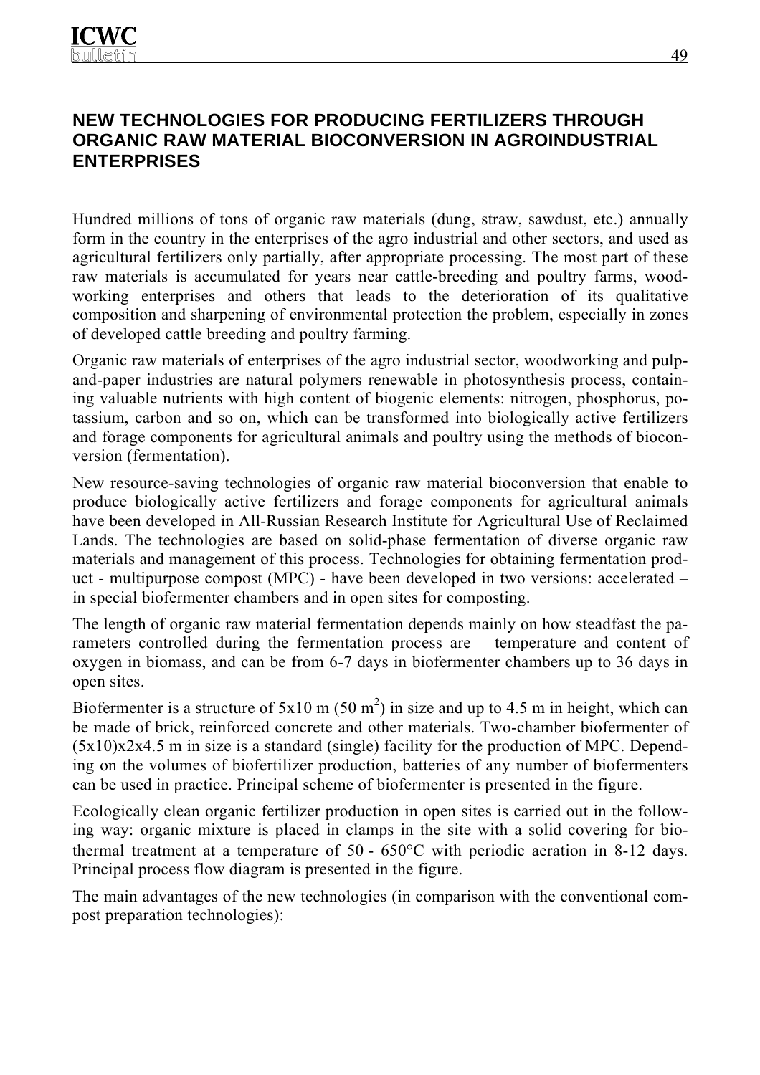## **NEW TECHNOLOGIES FOR PRODUCING FERTILIZERS THROUGH ORGANIC RAW MATERIAL BIOCONVERSION IN AGROINDUSTRIAL ENTERPRISES**

Hundred millions of tons of organic raw materials (dung, straw, sawdust, etc.) annually form in the country in the enterprises of the agro industrial and other sectors, and used as agricultural fertilizers only partially, after appropriate processing. The most part of these raw materials is accumulated for years near cattle-breeding and poultry farms, woodworking enterprises and others that leads to the deterioration of its qualitative composition and sharpening of environmental protection the problem, especially in zones of developed cattle breeding and poultry farming.

Organic raw materials of enterprises of the agro industrial sector, woodworking and pulpand-paper industries are natural polymers renewable in photosynthesis process, containing valuable nutrients with high content of biogenic elements: nitrogen, phosphorus, potassium, carbon and so on, which can be transformed into biologically active fertilizers and forage components for agricultural animals and poultry using the methods of bioconversion (fermentation).

New resource-saving technologies of organic raw material bioconversion that enable to produce biologically active fertilizers and forage components for agricultural animals have been developed in All-Russian Research Institute for Agricultural Use of Reclaimed Lands. The technologies are based on solid-phase fermentation of diverse organic raw materials and management of this process. Technologies for obtaining fermentation product - multipurpose compost (MPC) - have been developed in two versions: accelerated – in special biofermenter chambers and in open sites for composting.

The length of organic raw material fermentation depends mainly on how steadfast the parameters controlled during the fermentation process are – temperature and content of oxygen in biomass, and can be from 6-7 days in biofermenter chambers up to 36 days in open sites.

Biofermenter is a structure of  $5x10 \text{ m} (50 \text{ m}^2)$  in size and up to 4.5 m in height, which can be made of brick, reinforced concrete and other materials. Two-chamber biofermenter of (5х10)х2х4.5 m in size is a standard (single) facility for the production of MPC. Depending on the volumes of biofertilizer production, batteries of any number of biofermenters can be used in practice. Principal scheme of biofermenter is presented in the figure.

Ecologically clean organic fertilizer production in open sites is carried out in the following way: organic mixture is placed in clamps in the site with a solid covering for biothermal treatment at a temperature of 50 - 650°С with periodic aeration in 8-12 days. Principal process flow diagram is presented in the figure.

The main advantages of the new technologies (in comparison with the conventional compost preparation technologies):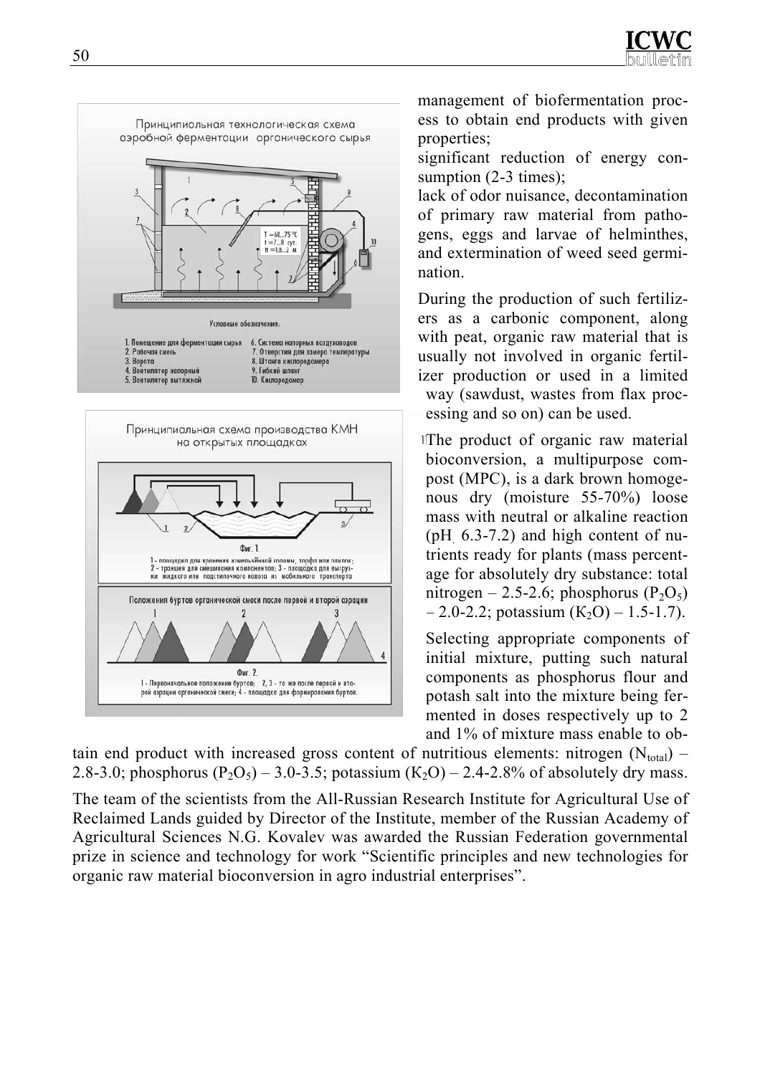

management of biofermentation process to obtain end products with given properties;

significant reduction of energy consumption (2-3 times):

lack of odor nuisance, decontamination of primary raw material from pathogens, eggs and larvae of helminthes, and extermination of weed seed germination.

During the production of such fertilizers as a carbonic component, along with peat, organic raw material that is usually not involved in organic fertilizer production or used in a limited way (sawdust, wastes from flax processing and so on) can be used.

The product of organic raw material bioconversion, a multipurpose compost (MPC), is a dark brown homogenous dry (moisture 55-70%) loose mass with neutral or alkaline reaction ( $pH$  6.3-7.2) and high content of nutrients ready for plants (mass percentage for absolutely dry substance: total nitrogen – 2.5-2.6; phosphorus  $(P_2O_5)$  $-2.0 - 2.2$ ; potassium  $(K_2O) - 1.5 - 1.7$ ).

Selecting appropriate components of initial mixture, putting such natural components as phosphorus flour and potash salt into the mixture being fermented in doses respectively up to 2 and 1% of mixture mass enable to ob-

tain end product with increased gross content of nutritious elements: nitrogen  $(N_{total})$  – 2.8-3.0; phosphorus  $(P_2O_5)$  – 3.0-3.5; potassium  $(K_2O)$  – 2.4-2.8% of absolutely dry mass.

The team of the scientists from the All-Russian Research Institute for Agricultural Use of Reclaimed Lands guided by Director of the Institute, member of the Russian Academy of Agricultural Sciences N.G. Kovalev was awarded the Russian Federation governmental prize in science and technology for work "Scientific principles and new technologies for organic raw material bioconversion in agro industrial enterprises".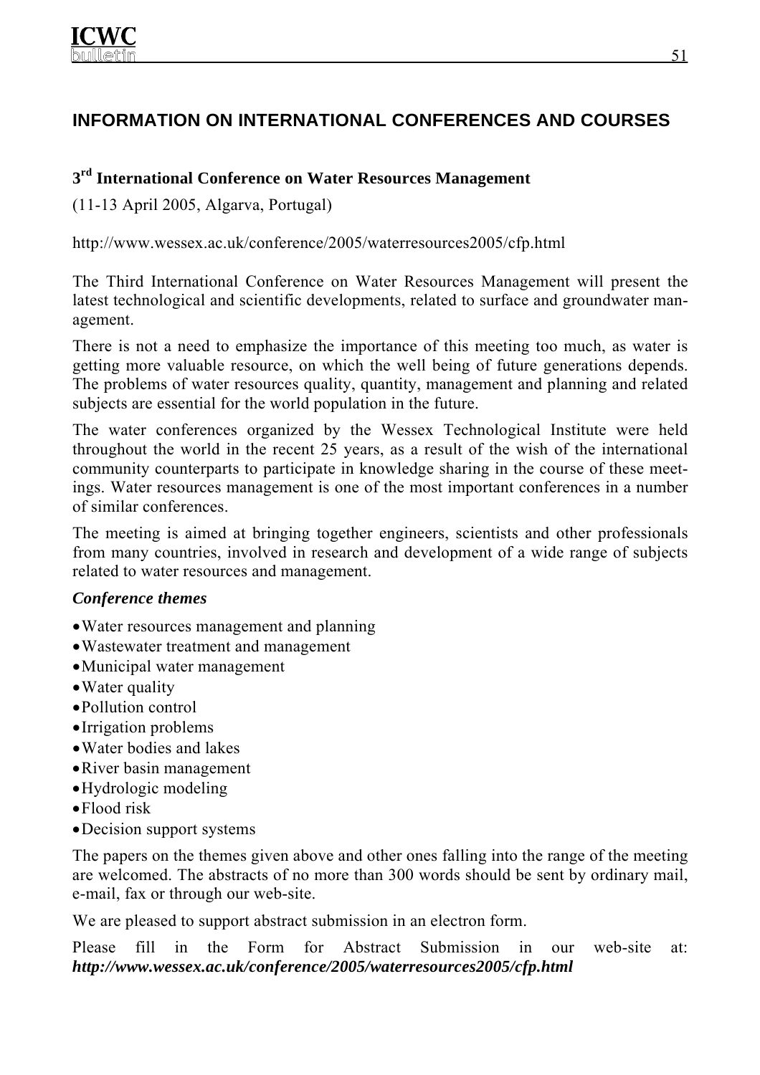# **INFORMATION ON INTERNATIONAL CONFERENCES AND COURSES**

## **3rd International Conference on Water Resources Management**

(11-13 April 2005, Algarva, Portugal)

http://www.wessex.ac.uk/conference/2005/waterresources2005/cfp.html

The Third International Conference on Water Resources Management will present the latest technological and scientific developments, related to surface and groundwater management.

There is not a need to emphasize the importance of this meeting too much, as water is getting more valuable resource, on which the well being of future generations depends. The problems of water resources quality, quantity, management and planning and related subjects are essential for the world population in the future.

The water conferences organized by the Wessex Technological Institute were held throughout the world in the recent 25 years, as a result of the wish of the international community counterparts to participate in knowledge sharing in the course of these meetings. Water resources management is one of the most important conferences in a number of similar conferences.

The meeting is aimed at bringing together engineers, scientists and other professionals from many countries, involved in research and development of a wide range of subjects related to water resources and management.

#### *Conference themes*

- Water resources management and planning
- •Wastewater treatment and management
- •Municipal water management
- Water quality
- •Pollution control
- •Irrigation problems
- •Water bodies and lakes
- •River basin management
- •Hydrologic modeling
- •Flood risk
- •Decision support systems

The papers on the themes given above and other ones falling into the range of the meeting are welcomed. The abstracts of no more than 300 words should be sent by ordinary mail, e-mail, fax or through our web-site.

We are pleased to support abstract submission in an electron form.

Please fill in the Form for Abstract Submission in our web-site at: *http://www.wessex.ac.uk/conference/2005/waterresources2005/cfp.html*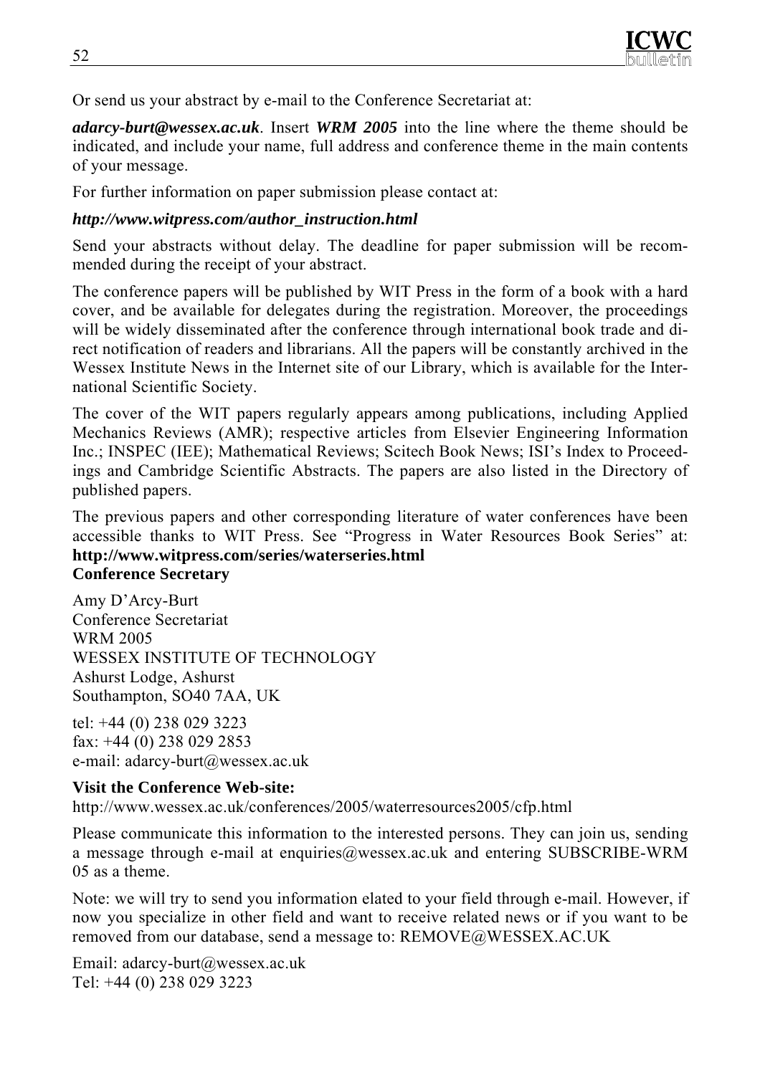

Or send us your abstract by e-mail to the Conference Secretariat at:

*adarcy-burt@wessex.ac.uk*. Insert *WRM 2005* into the line where the theme should be indicated, and include your name, full address and conference theme in the main contents of your message.

For further information on paper submission please contact at:

#### *http://www.witpress.com/author\_instruction.html*

Send your abstracts without delay. The deadline for paper submission will be recommended during the receipt of your abstract.

The conference papers will be published by WIT Press in the form of a book with a hard cover, and be available for delegates during the registration. Moreover, the proceedings will be widely disseminated after the conference through international book trade and direct notification of readers and librarians. All the papers will be constantly archived in the Wessex Institute News in the Internet site of our Library, which is available for the International Scientific Society.

The cover of the WIT papers regularly appears among publications, including Applied Mechanics Reviews (AMR); respective articles from Elsevier Engineering Information Inc.; INSPEC (IEE); Mathematical Reviews; Scitech Book News; ISI's Index to Proceedings and Cambridge Scientific Abstracts. The papers are also listed in the Directory of published papers.

The previous papers and other corresponding literature of water conferences have been accessible thanks to WIT Press. See "Progress in Water Resources Book Series" at: **http://www.witpress.com/series/waterseries.html**

#### **Conference Secretary**

Amy D'Arcy-Burt Conference Secretariat WRM 2005 WESSEX INSTITUTE OF TECHNOLOGY Ashurst Lodge, Ashurst Southampton, SO40 7AA, UK

tel: +44 (0) 238 029 3223 fax: +44 (0) 238 029 2853 e-mail: adarcy-burt@wessex.ac.uk

#### **Visit the Conference Web-site:**

http://www.wessex.ac.uk/conferences/2005/waterresources2005/cfp.html

Please communicate this information to the interested persons. They can join us, sending a message through e-mail at enquiries@wessex.ac.uk and entering SUBSCRIBE-WRM 05 as a theme.

Note: we will try to send you information elated to your field through e-mail. However, if now you specialize in other field and want to receive related news or if you want to be removed from our database, send a message to: REMOVE@WESSEX.AC.UK

Email: adarcy-burt@wessex.ac.uk Tel: +44 (0) 238 029 3223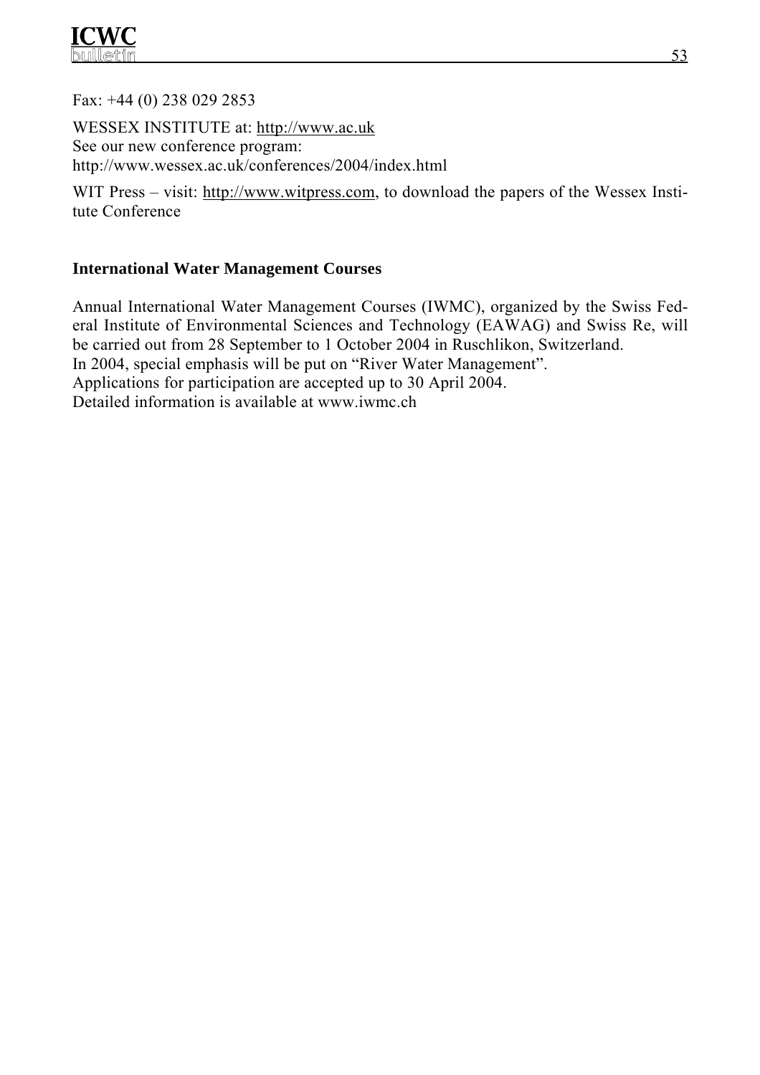

Fax: +44 (0) 238 029 2853

WESSEX INSTITUTE at: http://www.ac.uk See our new conference program: http://www.wessex.ac.uk/conferences/2004/index.html

WIT Press – visit: http://www.witpress.com, to download the papers of the Wessex Institute Conference

#### **International Water Management Courses**

Annual International Water Management Courses (IWMC), organized by the Swiss Federal Institute of Environmental Sciences and Technology (EAWAG) and Swiss Re, will be carried out from 28 September to 1 October 2004 in Ruschlikon, Switzerland. In 2004, special emphasis will be put on "River Water Management". Applications for participation are accepted up to 30 April 2004. Detailed information is available at www.iwmc.ch